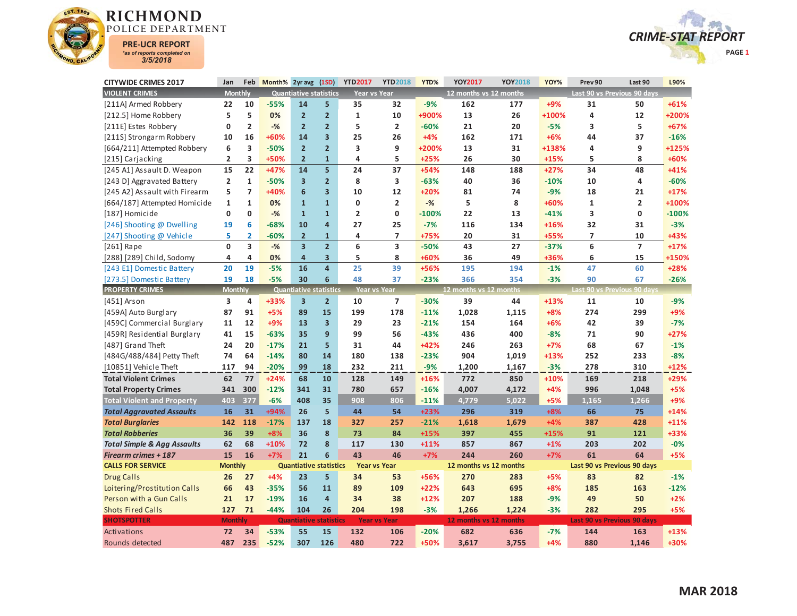



| <b>CITYWIDE CRIMES 2017</b>            | Jan            | Feb                     | Month% 2yr avg (1SD) |                               |                         | <b>YTD2017</b>      | <b>YTD2018</b>           | YTD%    | <b>YOY2017</b>         | <b>YOY2018</b> | YOY%   | Prev 90        | Last 90                     | L90%    |
|----------------------------------------|----------------|-------------------------|----------------------|-------------------------------|-------------------------|---------------------|--------------------------|---------|------------------------|----------------|--------|----------------|-----------------------------|---------|
| <b>VIOLENT CRIMES</b>                  | <b>Monthly</b> |                         |                      | <b>Quantiative statistics</b> |                         | Year vs Year        |                          |         | 12 months vs 12 months |                |        |                | Last 90 vs Previous 90 days |         |
| [211A] Armed Robbery                   | 22             | 10                      | $-55%$               | 14                            | 5                       | 35                  | 32                       | $-9%$   | 162                    | 177            | $+9%$  | 31             | 50                          | $+61%$  |
| [212.5] Home Robbery                   | 5              | 5                       | 0%                   | $\overline{2}$                | $\overline{2}$          | $\mathbf{1}$        | 10                       | +900%   | 13                     | 26             | +100%  | 4              | 12                          | +200%   |
| [211E] Estes Robbery                   | 0              | $\overline{2}$          | $-$ %                | $\overline{2}$                | $\overline{2}$          | 5                   | $\overline{2}$           | $-60%$  | 21                     | 20             | $-5%$  | 3              | 5                           | $+67%$  |
| [211S] Strongarm Robbery               | 10             | 16                      | +60%                 | 14                            | $\overline{\mathbf{3}}$ | 25                  | 26                       | $+4%$   | 162                    | 171            | $+6%$  | 44             | 37                          | $-16%$  |
| [664/211] Attempted Robbery            | 6              | 3                       | $-50%$               | $\overline{2}$                | $\overline{2}$          | 3                   | 9                        | +200%   | 13                     | 31             | +138%  | 4              | 9                           | +125%   |
| [215] Carjacking                       | $\overline{2}$ | 3                       | +50%                 | $\overline{2}$                | $\mathbf{1}$            | 4                   | 5                        | $+25%$  | 26                     | 30             | $+15%$ | 5              | 8                           | +60%    |
| [245 A1] Assault D. Weapon             | 15             | 22                      | $+47%$               | 14                            | $\overline{\mathbf{5}}$ | 24                  | 37                       | $+54%$  | 148                    | 188            | $+27%$ | 34             | 48                          | $+41%$  |
| [243 D] Aggravated Battery             | $\overline{2}$ | $\mathbf{1}$            | $-50%$               | $\overline{\mathbf{3}}$       | $\overline{2}$          | 8                   | $\overline{\mathbf{3}}$  | $-63%$  | 40                     | 36             | $-10%$ | 10             | 4                           | $-60%$  |
| [245 A2] Assault with Firearm          | 5              | $\overline{ }$          | +40%                 | 6                             | $\overline{\mathbf{3}}$ | 10                  | 12                       | $+20%$  | 81                     | 74             | $-9%$  | 18             | 21                          | $+17%$  |
| [664/187] Attempted Homicide           | $\mathbf{1}$   | $\mathbf{1}$            | 0%                   | $\mathbf{1}$                  | $\mathbf{1}$            | 0                   | $\overline{2}$           | $-$ %   | 5                      | 8              | +60%   | $\mathbf{1}$   | $\overline{2}$              | +100%   |
| [187] Homicide                         | $\mathbf{0}$   | $\mathbf{0}$            | $-$ %                | $\mathbf{1}$                  | $\mathbf{1}$            | $\overline{2}$      | 0                        | $-100%$ | 22                     | 13             | $-41%$ | 3              | $\mathbf{0}$                | $-100%$ |
| [246] Shooting @ Dwelling              | 19             | 6                       | $-68%$               | 10                            | 4                       | 27                  | 25                       | $-7%$   | 116                    | 134            | $+16%$ | 32             | 31                          | $-3%$   |
| [247] Shooting @ Vehicle               | 5              | 2                       | $-60%$               | $\overline{2}$                | $\mathbf{1}$            | 4                   | $\overline{\phantom{a}}$ | +75%    | 20                     | 31             | +55%   | $\overline{7}$ | 10                          | +43%    |
| $[261]$ Rape                           | $\mathbf{0}$   | $\overline{\mathbf{3}}$ | $-%$                 | $\overline{\mathbf{3}}$       | $\overline{2}$          | 6                   | $\overline{\mathbf{3}}$  | $-50%$  | 43                     | 27             | $-37%$ | 6              | $\overline{7}$              | $+17%$  |
| [288] [289] Child, Sodomy              | 4              | 4                       | 0%                   | $\overline{4}$                | 3                       | 5                   | 8                        | +60%    | 36                     | 49             | +36%   | 6              | 15                          | +150%   |
| [243 E1] Domestic Battery              | 20             | 19                      | $-5%$                | 16                            | $\overline{4}$          | 25                  | 39                       | +56%    | 195                    | 194            | $-1%$  | 47             | 60                          | $+28%$  |
| [273.5] Domestic Battery               | 19             | 18                      | $-5%$                | 30                            | 6                       | 48                  | 37                       | $-23%$  | 366                    | 354            | $-3%$  | 90             | 67                          | $-26%$  |
| <b>PROPERTY CRIMES</b>                 | <b>Monthly</b> |                         |                      | <b>Quantiative statistics</b> |                         | <b>Year vs Year</b> |                          |         | 12 months vs 12 months |                |        |                | Last 90 vs Previous 90 days |         |
| [451] Arson                            | 3              | 4                       | +33%                 | 3                             | $\overline{2}$          | 10                  | $\overline{7}$           | $-30%$  | 39                     | 44             | $+13%$ | 11             | 10                          | $-9%$   |
| [459A] Auto Burglary                   | 87             | 91                      | $+5%$                | 89                            | 15                      | 199                 | 178                      | $-11%$  | 1,028                  | 1,115          | $+8%$  | 274            | 299                         | +9%     |
| [459C] Commercial Burglary             | 11             | 12                      | +9%                  | 13                            | 3                       | 29                  | 23                       | $-21%$  | 154                    | 164            | $+6%$  | 42             | 39                          | $-7%$   |
| [459R] Residential Burglary            | 41             | 15                      | $-63%$               | 35                            | 9                       | 99                  | 56                       | $-43%$  | 436                    | 400            | $-8%$  | 71             | 90                          | $+27%$  |
| [487] Grand Theft                      | 24             | 20                      | $-17%$               | 21                            | 5                       | 31                  | 44                       | +42%    | 246                    | 263            | $+7%$  | 68             | 67                          | $-1%$   |
| [484G/488/484] Petty Theft             | 74             | 64                      | $-14%$               | 80                            | 14                      | 180                 | 138                      | $-23%$  | 904                    | 1,019          | $+13%$ | 252            | 233                         | $-8%$   |
| [10851] Vehicle Theft                  | 117            | 94                      | $-20%$               | 99                            | 18                      | 232                 | 211                      | $-9%$   | 1,200                  | 1,167          | $-3%$  | 278            | 310                         | $+12%$  |
| <b>Total Violent Crimes</b>            | 62             | 77                      | $+24%$               | 68                            | 10                      | 128                 | 149                      | +16%    | 772                    | 850            | $+10%$ | 169            | 218                         | +29%    |
| <b>Total Property Crimes</b>           | 341            | 300                     | $-12%$               | 341                           | 31                      | 780                 | 657                      | $-16%$  | 4,007                  | 4,172          | $+4%$  | 996            | 1,048                       | $+5%$   |
| <b>Total Violent and Property</b>      | 403            | 377                     | $-6%$                | 408                           | 35                      | 908                 | 806                      | $-11%$  | 4,779                  | 5.022          | $+5%$  | 1.165          | 1,266                       | +9%     |
| <b>Total Aggravated Assaults</b>       | 16             | 31                      | +94%                 | 26                            | 5                       | 44                  | 54                       | $+23%$  | 296                    | 319            | $+8%$  | 66             | 75                          | $+14%$  |
| <b>Total Burglaries</b>                | 142            | 118                     | $-17%$               | 137                           | 18                      | 327                 | 257                      | $-21%$  | 1,618                  | 1,679          | $+4%$  | 387            | 428                         | $+11%$  |
| <b>Total Robberies</b>                 | 36             | 39                      | $+8%$                | 36                            | 8                       | 73                  | 84                       | $+15%$  | 397                    | 455            | $+15%$ | 91             | 121                         | +33%    |
| <b>Total Simple &amp; Agg Assaults</b> | 62             | 68                      | $+10%$               | 72                            | 8                       | 117                 | 130                      | $+11%$  | 857                    | 867            | $+1%$  | 203            | 202                         | $-0%$   |
| <b>Firearm crimes + 187</b>            | 15             | 16                      | $+7%$                | 21                            | 6                       | 43                  | 46                       | $+7%$   | 244                    | 260            | $+7%$  | 61             | 64                          | $+5%$   |
| <b>CALLS FOR SERVICE</b>               | <b>Monthly</b> |                         |                      | <b>Quantiative statistics</b> |                         | <b>Year vs Year</b> |                          |         | 12 months vs 12 months |                |        |                | Last 90 vs Previous 90 days |         |
| <b>Drug Calls</b>                      | 26             | 27                      | $+4%$                | 23                            | 5                       | 34                  | 53                       | +56%    | 270                    | 283            | $+5%$  | 83             | 82                          | $-1%$   |
| Loitering/Prostitution Calls           | 66             | 43                      | $-35%$               | 56                            | 11                      | 89                  | 109                      | $+22%$  | 643                    | 695            | $+8%$  | 185            | 163                         | $-12%$  |
| Person with a Gun Calls                | 21             | 17                      | $-19%$               | 16                            | $\overline{4}$          | 34                  | 38                       | $+12%$  | 207                    | 188            | $-9%$  | 49             | 50                          | $+2%$   |
| <b>Shots Fired Calls</b>               | 127            | 71                      | $-44%$               | 104                           | 26                      | 204                 | 198                      | $-3%$   | 1,266                  | 1,224          | $-3%$  | 282            | 295                         | $+5%$   |
| <b>SHOTSPOTTER</b>                     | <b>Monthly</b> |                         |                      | <b>Quantiative</b>            | <b>statistics</b>       |                     | <b>Year vs Year</b>      |         | 12 months vs 12 months |                |        |                | Last 90 vs Previous 90 days |         |
| Activations                            | 72             | 34                      | $-53%$               | 55                            | 15                      | 132                 | 106                      | $-20%$  | 682                    | 636            | $-7%$  | 144            | 163                         | $+13%$  |
| Rounds detected                        | 487            | 235                     | $-52%$               | 307                           | 126                     | 480                 | 722                      | +50%    | 3.617                  | 3.755          | $+4%$  | 880            | 1.146                       | +30%    |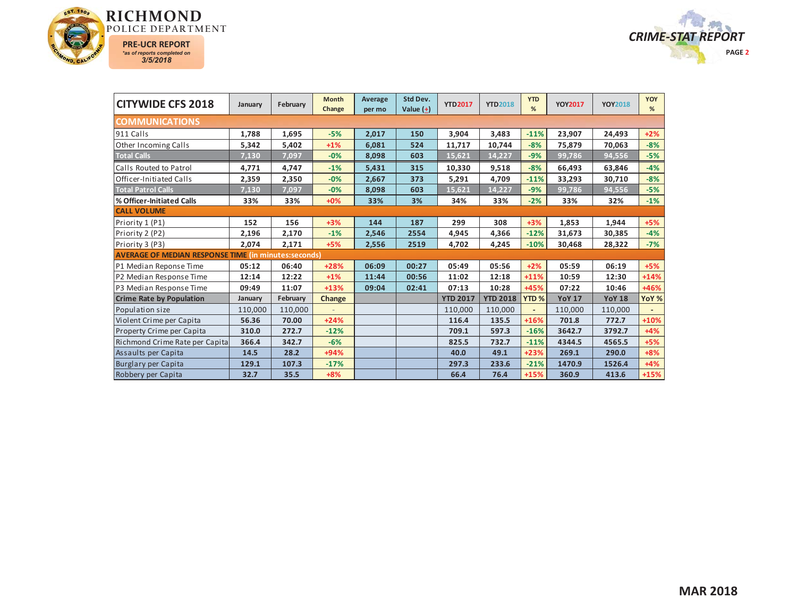



| <b>CITYWIDE CFS 2018</b>                                    | January | February | <b>Month</b><br>Change | Average<br>per mo | Std Dev.<br>Value $(\pm)$ | <b>YTD2017</b>  | <b>YTD2018</b>  | <b>YTD</b><br>%  | <b>YOY2017</b> | <b>YOY2018</b> | <b>YOY</b><br>% |
|-------------------------------------------------------------|---------|----------|------------------------|-------------------|---------------------------|-----------------|-----------------|------------------|----------------|----------------|-----------------|
| <b>COMMUNICATIONS</b>                                       |         |          |                        |                   |                           |                 |                 |                  |                |                |                 |
| 911 Calls                                                   | 1,788   | 1,695    | $-5%$                  | 2,017             | 150                       | 3,904           | 3,483           | $-11%$           | 23,907         | 24,493         | $+2%$           |
| <b>Other Incoming Calls</b>                                 | 5,342   | 5,402    | $+1%$                  | 6,081             | 524                       | 11,717          | 10,744          | $-8%$            | 75,879         | 70,063         | $-8%$           |
| <b>Total Calls</b>                                          | 7,130   | 7,097    | $-0%$                  | 8,098             | 603                       | 15,621          | 14,227          | $-9%$            | 99,786         | 94,556         | $-5%$           |
| Calls Routed to Patrol                                      | 4,771   | 4,747    | $-1%$                  | 5,431             | 315                       | 10,330          | 9,518           | $-8%$            | 66,493         | 63,846         | $-4%$           |
| Officer-Initiated Calls                                     | 2,359   | 2,350    | $-0%$                  | 2,667             | 373                       | 5,291           | 4,709           | $-11%$           | 33,293         | 30,710         | $-8%$           |
| <b>Total Patrol Calls</b>                                   | 7,130   | 7,097    | $-0%$                  | 8,098             | 603                       | 15,621          | 14,227          | $-9%$            | 99,786         | 94,556         | $-5%$           |
| % Officer-Initiated Calls                                   | 33%     | 33%      | $+0%$                  | 33%               | 3%                        | 34%             | 33%             | $-2%$            | 33%            | 32%            | $-1%$           |
| <b>CALL VOLUME</b>                                          |         |          |                        |                   |                           |                 |                 |                  |                |                |                 |
| Priority 1 (P1)                                             | 152     | 156      | $+3%$                  | 144               | 187                       | 299             | 308             | $+3%$            | 1,853          | 1,944          | $+5%$           |
| Priority 2 (P2)                                             | 2,196   | 2,170    | $-1%$                  | 2,546             | 2554                      | 4,945           | 4,366           | $-12%$           | 31,673         | 30,385         | $-4%$           |
| Priority 3 (P3)                                             | 2,074   | 2,171    | $+5%$                  | 2,556             | 2519                      | 4,702           | 4,245           | $-10%$           | 30,468         | 28,322         | $-7%$           |
| <b>AVERAGE OF MEDIAN RESPONSE TIME (in minutes:seconds)</b> |         |          |                        |                   |                           |                 |                 |                  |                |                |                 |
| P1 Median Reponse Time                                      | 05:12   | 06:40    | +28%                   | 06:09             | 00:27                     | 05:49           | 05:56           | $+2%$            | 05:59          | 06:19          | $+5%$           |
| P2 Median Response Time                                     | 12:14   | 12:22    | $+1%$                  | 11:44             | 00:56                     | 11:02           | 12:18           | $+11%$           | 10:59          | 12:30          | $+14%$          |
| P3 Median Response Time                                     | 09:49   | 11:07    | $+13%$                 | 09:04             | 02:41                     | 07:13           | 10:28           | +45%             | 07:22          | 10:46          | +46%            |
| <b>Crime Rate by Population</b>                             | January | February | Change                 |                   |                           | <b>YTD 2017</b> | <b>YTD 2018</b> | YTD <sub>%</sub> | <b>YoY 17</b>  | <b>YoY 18</b>  | YoY %           |
| Population size                                             | 110,000 | 110,000  |                        |                   |                           | 110,000         | 110,000         |                  | 110,000        | 110,000        |                 |
| Violent Crime per Capita                                    | 56.36   | 70.00    | $+24%$                 |                   |                           | 116.4           | 135.5           | $+16%$           | 701.8          | 772.7          | $+10%$          |
| Property Crime per Capita                                   | 310.0   | 272.7    | $-12%$                 |                   |                           | 709.1           | 597.3           | $-16%$           | 3642.7         | 3792.7         | $+4%$           |
| Richmond Crime Rate per Capita                              | 366.4   | 342.7    | $-6%$                  |                   |                           | 825.5           | 732.7           | $-11%$           | 4344.5         | 4565.5         | $+5%$           |
| Assaults per Capita                                         | 14.5    | 28.2     | $+94%$                 |                   |                           | 40.0            | 49.1            | $+23%$           | 269.1          | 290.0          | $+8%$           |
| Burglary per Capita                                         | 129.1   | 107.3    | $-17%$                 |                   |                           | 297.3           | 233.6           | $-21%$           | 1470.9         | 1526.4         | $+4%$           |
| Robbery per Capita                                          | 32.7    | 35.5     | $+8%$                  |                   |                           | 66.4            | 76.4            | $+15%$           | 360.9          | 413.6          | $+15%$          |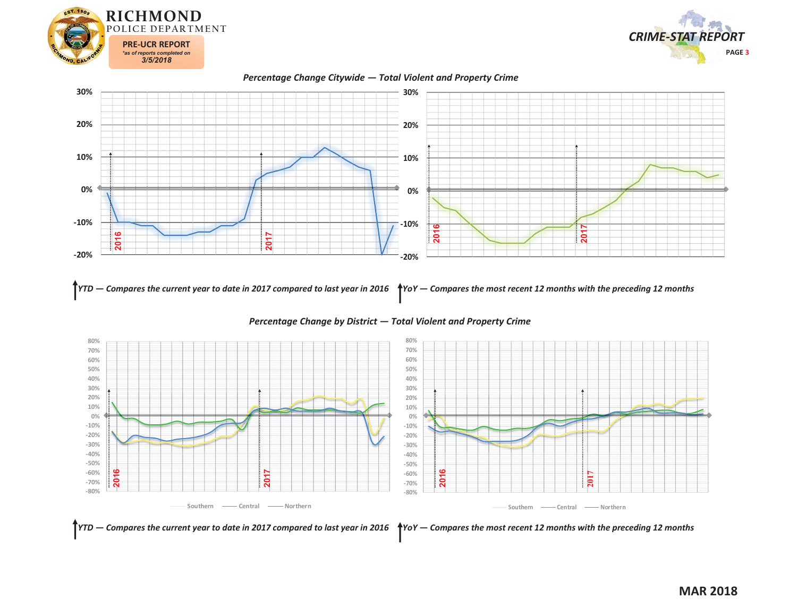







*YTD — Compares the current year to date in 2017 compared to last year in 2016 YoY — Compares the most recent 12 months with the preceding 12 months* 



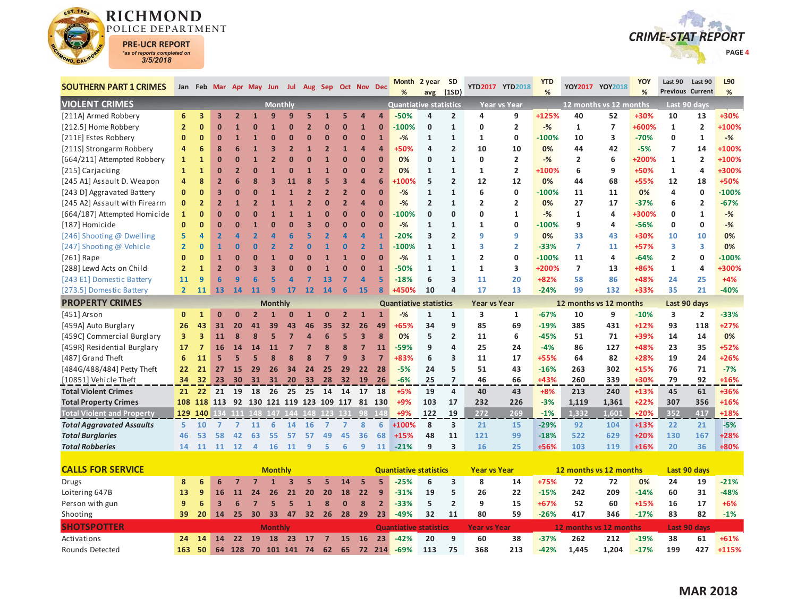



| <b>SOUTHERN PART 1 CRIMES</b>     |                         |                 |                         |                | Jan Feb Mar Apr May Jun |                |                |                         | Jul Aug Sep Oct Nov Dec                |                |                |                         | <b>Month</b><br>%             | 2 year         | <b>SD</b><br>(1SD)      |                     | YTD2017 YTD2018     | <b>YTD</b><br>% |                        | YOY2017 YOY2018        | <b>YOY</b><br>% | Last 90<br><b>Previous Current</b> | Last 90                 | L90<br>% |
|-----------------------------------|-------------------------|-----------------|-------------------------|----------------|-------------------------|----------------|----------------|-------------------------|----------------------------------------|----------------|----------------|-------------------------|-------------------------------|----------------|-------------------------|---------------------|---------------------|-----------------|------------------------|------------------------|-----------------|------------------------------------|-------------------------|----------|
| <b>VIOLENT CRIMES</b>             |                         |                 |                         |                |                         | <b>Monthly</b> |                |                         |                                        |                |                |                         | <b>Quantiative statistics</b> | avg            |                         |                     | <b>Year vs Year</b> |                 |                        | 12 months vs 12 months |                 |                                    | Last 90 days            |          |
| [211A] Armed Robbery              | 6                       | 3               | 3                       | $\overline{2}$ |                         | q              |                | 5                       |                                        | 5              |                | Δ                       | $-50%$                        | 4              | $\overline{2}$          | 4                   | 9                   | +125%           | 40                     | 52                     | +30%            | 10                                 | 13                      | +30%     |
| [212.5] Home Robbery              | $\overline{2}$          | $\mathbf{0}$    | $\overline{0}$          | 1              | O                       |                |                | $\overline{\mathbf{z}}$ | ŋ                                      | $\mathbf{0}$   | $\overline{1}$ | $\Omega$                | $-100%$                       | $\mathbf{0}$   | $\mathbf{1}$            | $\mathbf{0}$        | $\overline{2}$      | $-$ %           | $\mathbf{1}$           | $\overline{7}$         | +600%           | $\mathbf{1}$                       | $\overline{2}$          | +100%    |
| [211E] Estes Robbery              | $\mathbf{0}$            | $\bf{0}$        | $\mathbf{0}$            | $\mathbf{1}$   |                         | $\Omega$       |                | $\mathbf{0}$            | $\bf{0}$                               | $\bf{0}$       | $\bf{0}$       | $\mathbf{1}$            | $-%$                          | $\mathbf{1}$   | $\mathbf{1}$            | 1                   | 0                   | $-100%$         | 10                     | 3                      | $-70%$          | 0                                  | $\mathbf{1}$            | $-$ %    |
| [211S] Strongarm Robbery          | $\overline{a}$          | 6               | 8                       | 6              |                         | З              | $\overline{2}$ | 1                       | $\overline{2}$                         | $\overline{1}$ | 4              | $\overline{a}$          | +50%                          | 4              | $\overline{2}$          | 10                  | 10                  | 0%              | 44                     | 42                     | $-5%$           | $\overline{7}$                     | 14                      | +100%    |
| [664/211] Attempted Robbery       | $\mathbf{1}$            | $\mathbf{1}$    | $\overline{0}$          | $\overline{0}$ |                         |                |                |                         |                                        | $\Omega$       | $\Omega$       | $\overline{0}$          | 0%                            | 0              | $\mathbf{1}$            | 0                   | $\overline{2}$      | $-%$            | 2                      | 6                      | +200%           | $\mathbf{1}$                       | $\overline{\mathbf{2}}$ | +100%    |
| [215] Carjacking                  | $\mathbf{1}$            | $\mathbf{1}$    | 0                       | $\overline{2}$ | ŋ                       |                |                | 1                       | $\mathbf{1}$                           | $\mathbf{0}$   | $\Omega$       | $\overline{2}$          | 0%                            | $\mathbf{1}$   | $\mathbf{1}$            | 1                   | $\overline{2}$      | +100%           | 6                      | 9                      | +50%            | $\mathbf{1}$                       | $\overline{4}$          | +300%    |
| [245 A1] Assault D. Weapon        | 4                       | 8               | $\overline{2}$          | 6              | 8                       | 3              |                |                         | 5                                      | 3              | $\overline{a}$ | 6                       | $-100%$                       | 5              | $\overline{2}$          | 12                  | 12                  | 0%              | 44                     | 68                     | +55%            | 12                                 | 18                      | +50%     |
| [243 D] Aggravated Battery        | $\mathbf{0}$            | $\mathbf{0}$    | 3                       | $\overline{0}$ | ŋ                       |                |                |                         | $\overline{\mathbf{z}}$                | $\overline{2}$ | $\Omega$       | $\Omega$                | $-%$                          | $\mathbf{1}$   | $\mathbf{1}$            | 6                   | 0                   | $-100%$         | 11                     | 11                     | 0%              | 4                                  | $\mathbf 0$             | $-100%$  |
| [245 A2] Assault with Firearm     | $\mathbf{0}$            | $\overline{2}$  | $\overline{2}$          | $\mathbf{1}$   | $\overline{2}$          |                |                |                         | ŋ                                      | $\overline{2}$ | 4              | $\overline{0}$          | $-$ %                         | $\overline{2}$ | $\mathbf{1}$            | $\overline{2}$      | $\overline{2}$      | 0%              | 27                     | 17                     | $-37%$          | 6                                  | $\overline{2}$          | $-67%$   |
| [664/187] Attempted Homicide      | $\mathbf{1}$            | $\bf{0}$        | $\overline{0}$          | ŋ              | O                       |                |                |                         | $\mathbf{0}$                           | $\mathbf{0}$   | $\Omega$       | $\mathbf{0}$            | $-100%$                       | $\mathbf{0}$   | $\mathbf 0$             | 0                   | $\mathbf{1}$        | $-%$            | 1                      | $\overline{a}$         | +300%           | 0                                  | 1                       | $-%$     |
| [187] Homicide                    | $\mathbf{0}$            | $\mathbf{0}$    | $\overline{0}$          | $\overline{0}$ |                         |                |                |                         | 0                                      | $\mathbf{0}$   | $\Omega$       | $\Omega$                | $-%$                          | $\mathbf{1}$   | $\mathbf{1}$            | 1                   | 0                   | $-100%$         | 9                      | 4                      | $-56%$          | 0                                  | 0                       | $-$ %    |
| [246] Shooting @ Dwelling         | 5                       | 4               | $\overline{2}$          | Δ              |                         |                |                |                         |                                        |                | $\overline{a}$ | 1                       | $-20%$                        | 3              | $\overline{2}$          | 9                   | 9                   | 0%              | 33                     | 43                     | +30%            | 10                                 | 10                      | 0%       |
| [247] Shooting @ Vehicle          | $\overline{2}$          | $\mathbf{0}$    | $\overline{1}$          | $\Omega$       | n                       |                |                | 0                       |                                        | $\bf{0}$       | $\overline{2}$ | 1                       | $-100%$                       | $\mathbf{1}$   | $\mathbf{1}$            | 3                   | $\overline{2}$      | $-33%$          | 7                      | 11                     | $+57%$          | 3                                  | 3                       | 0%       |
| [ $261$ ] Rape                    | $\overline{0}$          | $\mathbf{0}$    | $\mathbf{1}$            | $\overline{0}$ | O                       |                |                | O                       | $\mathbf{1}$                           | 1              | $\bf{0}$       | $\overline{0}$          | $-$ %                         | $\mathbf{1}$   | $\mathbf{1}$            | $\overline{2}$      | 0                   | $-100%$         | 11                     | $\overline{a}$         | $-64%$          | $\overline{2}$                     | $\mathbf 0$             | $-100%$  |
| [288] Lewd Acts on Child          | $\overline{2}$          | $\mathbf{1}$    | $\overline{2}$          | $\Omega$       | 3                       | 3              |                |                         |                                        | $\Omega$       | $\Omega$       | $\overline{1}$          | $-50%$                        | $\mathbf{1}$   | $\mathbf{1}$            | $\mathbf{1}$        | 3                   | +200%           | $\overline{7}$         | 13                     | +86%            | $\mathbf{1}$                       | 4                       | +300%    |
| [243 E1] Domestic Battery         | 11                      | 9               | 6                       | q              | 6                       | 5              |                |                         | 13                                     |                | $\overline{a}$ | 5                       | $-18%$                        | 6              | $\overline{\mathbf{3}}$ | 11                  | 20                  | +82%            | 58                     | 86                     | +48%            | 24                                 | 25                      | $+4%$    |
| [273.5] Domestic Battery          | $\overline{2}$          | 11              | 13                      | 14             | 11                      | 9              | 17             | $12$                    | 14                                     | 6              | 15             | $\overline{\mathbf{8}}$ | +450%                         | 10             | $\overline{a}$          | 17                  | 13                  | $-24%$          | 99                     | 132                    | $+33%$          | 35                                 | 21                      | $-40%$   |
| <b>PROPERTY CRIMES</b>            |                         |                 |                         |                |                         | <b>Monthly</b> |                |                         |                                        |                |                |                         | <b>Quantiative statistics</b> |                |                         | <b>Year vs Year</b> |                     |                 | 12 months vs 12 months |                        |                 | Last 90 days                       |                         |          |
| [451] Arson                       | $\mathbf{0}$            | $\mathbf{1}$    | $\overline{0}$          | $\Omega$       | $\overline{2}$          |                | $\Omega$       | 1                       | $\bf{0}$                               | $\overline{2}$ | $\mathbf{1}$   | $\mathbf{1}$            | $-$ %                         | $\mathbf{1}$   | $\mathbf{1}$            | 3                   | $\mathbf{1}$        | $-67%$          | 10                     | 9                      | $-10%$          | 3                                  | $\overline{2}$          | $-33%$   |
| [459A] Auto Burglary              | 26                      | 43              | 31                      | 20             | 41                      | 39             | 43             | 46                      | 35                                     | 32             | 26             | 49                      | +65%                          | 34             | 9                       | 85                  | 69                  | $-19%$          | 385                    | 431                    | $+12%$          | 93                                 | 118                     | $+27%$   |
| [459C] Commercial Burglary        | $\overline{\mathbf{3}}$ | 3               | 11                      | 8              | 8                       | 5              |                | $\overline{a}$          | 6                                      | 5              | 3              | 8                       | 0%                            | 5              | $\overline{2}$          | 11                  | 6                   | $-45%$          | 51                     | 71                     | +39%            | 14                                 | 14                      | 0%       |
| [459R] Residential Burglary       | 17                      | $\overline{7}$  | 16                      | 14             | 14                      | 11             | 7              | 7                       | 8                                      | 8              | $\overline{7}$ | 11                      | $-59%$                        | 9              | $\overline{a}$          | 25                  | 24                  | $-4%$           | 86                     | 127                    | +48%            | 23                                 | 35                      | +52%     |
| [487] Grand Theft                 | 6                       | 11              | 5                       | 5              | 5                       | 8              |                |                         |                                        | 9              | 3              | $\overline{7}$          | +83%                          | 6              | 3                       | 11                  | 17                  | +55%            | 64                     | 82                     | +28%            | 19                                 | 24                      | +26%     |
| [484G/488/484] Petty Theft        | 22                      | 21              | 27                      | 15             | 29                      | 26             | 34             | 24                      | 25                                     | 29             | 22             | 28                      | $-5%$                         | 24             | 5                       | 51                  | 43                  | $-16%$          | 263                    | 302                    | $+15%$          | 76                                 | 71                      | $-7%$    |
| [10851] Vehicle Theft             | 34                      | 32 <sub>2</sub> | 23                      | 30             | 31                      | 31             | 20             |                         | 33 28                                  | 32             | 19             | 26                      | $-6%$                         | 25             | $\overline{7}$          | 46                  | 66                  | +43%            | 260                    | 339                    | +30%            | 79                                 | 92                      | $+16%$   |
| <b>Total Violent Crimes</b>       | 21                      | 22              |                         | 21 19          | 18                      | - 26           | 25             | 25 14                   |                                        | 14             | 17 18          |                         | $+5%$                         | 19             | 4                       | 40                  | 43                  | $+8%$           | 213                    | 240                    | $+13%$          | 45                                 | 61                      | +36%     |
| <b>Total Property Crimes</b>      |                         |                 |                         |                |                         |                |                |                         | 108 118 113 92 130 121 119 123 109 117 |                |                | 81 130                  | $+9%$                         | 103            | 17                      | 232                 | 226                 | $-3%$           | 1,119                  | 1,361                  | $+22%$          | 307                                | 356                     | $+16%$   |
| <b>Total Violent and Property</b> |                         | 129 140         |                         |                |                         |                |                |                         | 134 111 148 147 144 148 123 131        |                | -98            | 148                     | $+9%$                         | 122            | 19                      | 272                 | 269                 | $-1%$           | 1.332                  | 1,601                  | $+20%$          | 352                                | 417                     | +18%     |
| <b>Total Aggravated Assaults</b>  | 5.                      | 10              | $\overline{7}$          | $\overline{7}$ | 11                      | 6              | 14             | 16                      | $\overline{7}$                         | $\overline{7}$ | 8              | 6                       | $+100%$                       | 8              | $\overline{\mathbf{3}}$ | 21                  | 15                  | $-29%$          | 92                     | 104                    | $+13%$          | 22                                 | 21                      | $-5%$    |
| <b>Total Burglaries</b>           | 46                      | 53              | 58                      | 42             | 63                      | 55             | 57             | 57                      | 49                                     | 45             | 36             | 68                      | $+15%$                        | 48             | 11                      | 121                 | 99                  | $-18%$          | 522                    | 629                    | $+20%$          | 130                                | 167                     | +28%     |
| <b>Total Robberies</b>            | 14                      | 11              | 11                      | 12             | 4                       | 16             | <b>11</b>      | 9                       | 5                                      | 6              | 9              | 11                      | $-21%$                        | 9              | $\overline{\mathbf{3}}$ | 16                  | 25                  | +56%            | 103                    | 119                    | $+16%$          | 20                                 | 36                      | +80%     |
| <b>CALLS FOR SERVICE</b>          |                         |                 |                         |                |                         | <b>Monthly</b> |                |                         |                                        |                |                |                         | <b>Quantiative statistics</b> |                |                         | <b>Year vs Year</b> |                     |                 | 12 months vs 12 months |                        |                 |                                    | Last 90 days            |          |
| <b>Drugs</b>                      | 8                       | 6               | 6                       | 7              |                         |                |                | 5                       | 5                                      | 14             | 5              | 5                       | $-25%$                        | 6              | 3                       | 8                   | 14                  | +75%            | 72                     | 72                     | 0%              | 24                                 | 19                      | $-21%$   |
| Loitering 647B                    | 13                      | 9               | 16                      | 11             | 24                      | 26             | 21             | 20                      | 20                                     | 18             | 22             | 9                       | $-31%$                        | 19             | 5                       | 26                  | 22                  | $-15%$          | 242                    | 209                    | $-14%$          | 60                                 | 31                      | $-48%$   |
| Person with gun                   | 9                       | 6               | $\overline{\mathbf{3}}$ | 6              | $\overline{7}$          | 5              | 5              | $\mathbf{1}$            | 8                                      | $\mathbf 0$    | 8              | $\overline{2}$          | $-33%$                        | 5              | $\overline{2}$          | 9                   | 15                  | +67%            | 52                     | 60                     | $+15%$          | 16                                 | 17                      | $+6%$    |
| Shooting                          | 39                      | 20              | 14                      | 25             | 30                      | 33             | 47             |                         | 32 26                                  | 28             | 29             | 23                      | $-49%$                        | 32             | 11                      | 80                  | 59                  | $-26%$          | 417                    | 346                    | $-17%$          | 83                                 | 82                      | $-1%$    |
| <b>SHOTSPOTTER</b>                |                         |                 |                         |                |                         | <b>Monthly</b> |                |                         |                                        |                |                |                         | <b>Quantiative statistics</b> |                |                         | <b>Year vs Year</b> |                     |                 | 12 months vs 12 months |                        |                 |                                    | Last 90 days            |          |
|                                   |                         |                 |                         |                |                         |                |                |                         |                                        |                |                |                         |                               |                |                         |                     |                     |                 |                        |                        |                 |                                    |                         |          |
| Activations                       | 24                      | 14              | 14                      | 22             | <b>19</b>               | 18             | 23             | 17                      | $\overline{7}$                         | 15             | <b>16</b>      | 23                      | $-42%$                        | 20             | 9                       | 60                  | 38                  | $-37%$          | 262                    | 212                    | $-19%$          | 38                                 | 61                      | $+61%$   |
| Rounds Detected                   | 163                     | 50              | 64                      | 128            | 70                      | 101 141        |                | 74                      | 62                                     | 65             | 72             | 214                     | $-69%$                        | 113            | 75                      | 368                 | 213                 | $-42%$          | 1.445                  | 1.204                  | $-17%$          | 199                                | 427                     | +115%    |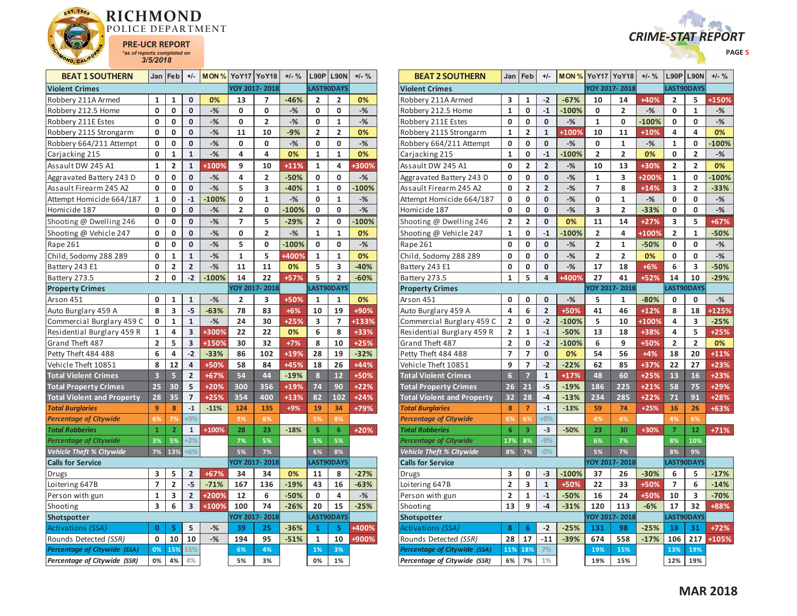



| <b>BEAT 1 SOUTHERN</b>              | Jan                     | Feb                     | $+/-$          | MON%    |                | YoY17 YoY18    | $+/-$ % | L90P            | <b>L90N</b>    | $+/-$ % |
|-------------------------------------|-------------------------|-------------------------|----------------|---------|----------------|----------------|---------|-----------------|----------------|---------|
| <b>Violent Crimes</b>               |                         |                         |                |         |                | YOY 2017-2018  |         |                 | LAST90DAYS     |         |
| Robbery 211A Armed                  | 1                       | 1                       | 0              | 0%      | 13             | 7              | $-46%$  | 2               | 2              | 0%      |
| Robbery 212.5 Home                  | 0                       | 0                       | $\mathbf 0$    | $-%$    | 0              | 0              | $-%$    | 0               | 0              | $-$ %   |
| Robbery 211E Estes                  | 0                       | 0                       | 0              | $-%$    | 0              | 2              | $-%$    | 0               | 1              | $-%$    |
| Robbery 211S Strongarm              | 0                       | 0                       | 0              | $-%$    | 11             | 10             | $-9%$   | 2               | $\overline{2}$ | 0%      |
| Robbery 664/211 Attempt             | 0                       | 0                       | 0              | $-%$    | 0              | 0              | $-%$    | 0               | 0              | -%      |
| Carjacking 215                      | O                       | $\mathbf{1}$            | $\mathbf{1}$   | $-$ %   | 4              | 4              | 0%      | $\mathbf{1}$    | $\mathbf{1}$   | 0%      |
| Assault DW 245 A1                   | 1                       | 2                       | 1              | +100%   | 9              | 10             | $+11%$  | 1               | 4              | +300%   |
| Aggravated Battery 243 D            | 0                       | 0                       | $\mathbf 0$    | $-%$    | 4              | 2              | $-50%$  | 0               | 0              | $-$ %   |
| Assault Firearm 245 A2              | 0                       | 0                       | 0              | $-%$    | 5              | 3              | $-40%$  | 1               | 0              | $-100%$ |
| Attempt Homicide 664/187            | 1                       | 0                       | $-1$           | $-100%$ | 0              | 1              | $-$ %   | 0               | 1              | $-%$    |
| Homicide 187                        | 0                       | 0                       | $\bf{0}$       | $-$ %   | $\overline{2}$ | 0              | $-100%$ | 0               | 0              | $-$ %   |
| Shooting @ Dwelling 246             | 0                       | 0                       | 0              | $-%$    | 7              | 5              | $-29%$  | 2               | 0              | $-100%$ |
| Shooting @ Vehicle 247              | 0                       | 0                       | $\mathbf 0$    | $-$ %   | 0              | $\overline{2}$ | $-%$    | $\mathbf{1}$    | $\mathbf{1}$   | 0%      |
| Rape 261                            | 0                       | 0                       | 0              | $-%$    | 5              | 0              | $-100%$ | 0               | 0              | $-$ %   |
| Child, Sodomy 288 289               | 0                       | $\mathbf{1}$            | $\mathbf{1}$   | $-%$    | $\mathbf{1}$   | 5              | +400%   | 1               | 1              | 0%      |
| Battery 243 E1                      | 0                       | $\overline{\mathbf{c}}$ | $\overline{2}$ | $-%$    | 11             | 11             | 0%      | 5               | 3              | $-40%$  |
| Battery 273.5                       | $\overline{2}$          | 0                       | $-2$           | $-100%$ | 14             | 22             | +57%    | 5               | $\overline{2}$ | $-60%$  |
| <b>Property Crimes</b>              |                         |                         |                |         |                | YOY 2017-2018  |         |                 | LAST90DAYS     |         |
| Arson 451                           | 0                       | 1                       | 1              | $-%$    | 2              | 3              | +50%    | 1               | 1              | 0%      |
| Auto Burglary 459 A                 | 8                       | 3                       | $-5$           | $-63%$  | 78             | 83             | $+6%$   | 10              | 19             | +90%    |
| Commercial Burglary 459 C           | 0                       | 1                       | $\mathbf 1$    | $-$ %   | 24             | 30             | $+25%$  | 3               | 7              | +133%   |
| Residential Burglary 459 R          | 1                       | 4                       | 3              | +300%   | 22             | 22             | 0%      | 6               | 8              | +33%    |
| Grand Theft 487                     | $\overline{\mathbf{c}}$ | 5                       | 3              | +150%   | 30             | 32             | $+7%$   | 8               | 10             | $+25%$  |
| Petty Theft 484 488                 | 6                       | 4                       | $-2$           | $-33%$  | 86             | 102            | +19%    | 28              | 19             | $-32%$  |
| Vehicle Theft 10851                 | 8                       | 12                      | 4              | +50%    | 58             | 84             | +45%    | 18              | 26             | $+44%$  |
| <b>Total Violent Crimes</b>         | 3                       | 5                       | $\overline{2}$ | $+67%$  | 54             | 44             | $-19%$  | 8               | 12             | $+50%$  |
| <b>Total Property Crimes</b>        | 25                      | 30                      | 5              | $+20%$  | 300            | 356            | $+19%$  | $\overline{74}$ | 90             | $+22%$  |
| <b>Total Violent and Property</b>   | 28                      | 35                      | $\overline{7}$ | $+25%$  | 354            | 400            | $+13%$  | 82              | 102            | $+24%$  |
| <b>Total Burglaries</b>             | 9                       | 8                       | $-1$           | $-11%$  | 124            | 135            | $+9%$   | 19              | 34             | $+79%$  |
| <b>Percentage of Citywide</b>       | 6%                      | 7%                      | $+0%$          |         | 8%             | 8%             |         | 5%              | 8%             |         |
| <b>Total Robberies</b>              | $\mathbf{1}$            | $\overline{2}$          | $\mathbf{1}$   | $+100%$ | 28             | 23             | $-18%$  | 5               | 6              | $+20%$  |
| <b>Percentage of Citywide</b>       | 3%                      | 5%                      | $+2%$          |         | 7%             | 5%             |         | 5%              | 5%             |         |
| <b>Vehicle Theft % Citywide</b>     | 7%                      | 13%                     | $+6%$          |         | 5%             | 7%             |         | 6%              | 8%             |         |
| <b>Calls for Service</b>            |                         |                         |                |         |                | YOY 2017-2018  |         |                 | LAST90DAYS     |         |
| Drugs                               | 3                       | 5                       | 2              | $+67%$  | 34             | 34             | 0%      | 11              | 8              | $-27%$  |
| Loitering 647B                      | $\overline{7}$          | $\overline{2}$          | $-5$           | $-71%$  | 167            | 136            | $-19%$  | 43              | 16             | $-63%$  |
| Person with gun                     | 1                       | 3                       | $\overline{2}$ | +200%   | 12             | 6              | $-50%$  | 0               | 4              | $-$ %   |
| Shooting                            | 3                       | 6                       | 3              | +100%   | 100            | 74             | $-26%$  | 20              | 15             | $-25%$  |
| Shotspotter                         |                         |                         |                |         |                | YOY 2017-2018  |         |                 | LAST90DAYS     |         |
| Activations (SSA)                   | 0                       | 5                       | 5              | $-%$    | 39             | 25             | $-36%$  | $\mathbf{1}$    | 5              | +400%   |
| Rounds Detected (SSR)               | 0                       | 10                      | 10             | $-$ %   | 194            | 95             | $-51%$  | 1               | 10             | +900%   |
| <b>Percentage of Citywide (SSA)</b> | 0%                      | 15%                     | 15%            |         | 6%             | 4%             |         | 1%              | 3%             |         |
| Percentage of Citywide (SSR)        | 0%                      | 4%                      | 4%             |         | 5%             | 3%             |         | 0%              | 1%             |         |

| <b>BEAT 2 SOUTHERN</b>            | Jan                     | Feb                     | $+/-$                   |         | <b>MON % YoY17 YoY18</b> |                         | $+/-$ % | L90P L90N               |                | $+/-$ % |
|-----------------------------------|-------------------------|-------------------------|-------------------------|---------|--------------------------|-------------------------|---------|-------------------------|----------------|---------|
| <b>Violent Crimes</b>             |                         |                         |                         |         |                          | YOY 2017-2018           |         | LAST90DAYS              |                |         |
| Robbery 211A Armed                | 3                       | 1                       | $-2$                    | $-67%$  | 10                       | 14                      | +40%    | 2                       | 5              | +150%   |
| Robbery 212.5 Home                | $\mathbf{1}$            | 0                       | $-1$                    | $-100%$ | 0                        | 2                       | $-%$    | 0                       | $\mathbf{1}$   | $-%$    |
| Robbery 211E Estes                | 0                       | 0                       | 0                       | $-%$    | 1                        | 0                       | $-100%$ | 0                       | 0              | $-%$    |
| Robbery 211S Strongarm            | $\mathbf{1}$            | 2                       | $\mathbf{1}$            | +100%   | 10                       | 11                      | $+10%$  | 4                       | 4              | 0%      |
| Robbery 664/211 Attempt           | 0                       | 0                       | 0                       | $-%$    | 0                        | 1                       | $-%$    | 1                       | 0              | $-100%$ |
| Carjacking 215                    | $\mathbf{1}$            | 0                       | $-1$                    | $-100%$ | $\overline{\mathbf{c}}$  | $\overline{\mathbf{c}}$ | 0%      | 0                       | $\overline{2}$ | $-%$    |
| Assault DW 245 A1                 | 0                       | $\overline{2}$          | $\overline{2}$          | $-%$    | 10                       | 13                      | +30%    | 2                       | 2              | 0%      |
| Aggravated Battery 243 D          | 0                       | 0                       | 0                       | $-%$    | 1                        | 3                       | +200%   | 1                       | 0              | $-100%$ |
| Assault Firearm 245 A2            | 0                       | $\overline{\mathbf{c}}$ | $\overline{\mathbf{c}}$ | $-%$    | $\overline{z}$           | 8                       | $+14%$  | 3                       | $\overline{2}$ | $-33%$  |
| Attempt Homicide 664/187          | 0                       | 0                       | 0                       | $-%$    | 0                        | $\mathbf{1}$            | $-%$    | 0                       | 0              | $-%$    |
| Homicide 187                      | 0                       | 0                       | 0                       | $-%$    | 3                        | 2                       | $-33%$  | 0                       | 0              | $-%$    |
| Shooting @ Dwelling 246           | $\overline{\mathbf{2}}$ | 2                       | 0                       | 0%      | 11                       | 14                      | $+27%$  | 3                       | 5              | +67%    |
| Shooting @ Vehicle 247            | $\mathbf{1}$            | 0                       | $-1$                    | $-100%$ | $\overline{2}$           | 4                       | +100%   | $\overline{2}$          | $\mathbf{1}$   | $-50%$  |
| Rape 261                          | 0                       | 0                       | 0                       | $-%$    | 2                        | 1                       | $-50%$  | 0                       | 0              | $-%$    |
| Child, Sodomy 288 289             | 0                       | 0                       | 0                       | $-%$    | $\overline{\mathbf{c}}$  | 2                       | 0%      | 0                       | 0              | $-$ %   |
| Battery 243 E1                    | 0                       | 0                       | 0                       | $-%$    | 17                       | 18                      | $+6%$   | 6                       | 3              | $-50%$  |
| Battery 273.5                     | $\mathbf{1}$            | 5                       | 4                       | +400%   | 27                       | 41                      | $+52%$  | 14                      | 10             | $-29%$  |
| <b>Property Crimes</b>            |                         |                         |                         |         |                          | YOY 2017-2018           |         | LAST90DAYS              |                |         |
| Arson 451                         | 0                       | 0                       | 0                       | $-%$    | 5                        | 1                       | $-80%$  | 0                       | 0              | $-$ %   |
| Auto Burglary 459 A               | 4                       | 6                       | $\overline{\mathbf{c}}$ | +50%    | 41                       | 46                      | $+12%$  | 8                       | 18             | +125%   |
| Commercial Burglary 459 C         | 2                       | 0                       | $-2$                    | $-100%$ | 5                        | 10                      | +100%   | 4                       | 3              | $-25%$  |
| Residential Burglary 459 R        | 2                       | $\mathbf 1$             | $-1$                    | $-50%$  | 13                       | 18                      | +38%    | 4                       | 5              | $+25%$  |
| Grand Theft 487                   | 2                       | 0                       | $-2$                    | $-100%$ | 6                        | 9                       | +50%    | $\overline{\mathbf{2}}$ | $\overline{2}$ | 0%      |
| Petty Theft 484 488               | 7                       | 7                       | 0                       | 0%      | 54                       | 56                      | $+4%$   | 18                      | 20             | $+11%$  |
| Vehicle Theft 10851               | 9                       | $\overline{z}$          | $-2$                    | $-22%$  | 62                       | 85                      | +37%    | 22                      | 27             | $+23%$  |
| <b>Total Violent Crimes</b>       | $6\overline{6}$         | $\overline{z}$          | $\mathbf{1}$            | $+17%$  | 48                       | 60                      | $+25%$  | 13                      | 16             | $+23%$  |
| <b>Total Property Crimes</b>      | 26                      | 21                      | $-5$                    | $-19%$  | 186                      | 225                     | $+21%$  | 58                      | 75             | $+29%$  |
| <b>Total Violent and Property</b> | 32                      | 28                      | $-4$                    | $-13%$  | 234                      | 285                     | $+22%$  | 71                      | 91             | $+28%$  |
| <b>Total Burglaries</b>           | 8                       | $\overline{7}$          | $-1$                    | $-13%$  | 59                       | 74                      | $+25%$  | 16                      | 26             | $+63%$  |
| <b>Percentage of Citywide</b>     | 6%                      | 6%                      | $+0%$                   |         | 4%                       | 4%                      |         | 4%                      | 6%             |         |
| <b>Total Robberies</b>            | 6                       | 3                       | $-3$                    | $-50%$  | 23                       | 30                      | +30%    | $\overline{7}$          | 12             | $+71%$  |
| <b>Percentage of Citywide</b>     | 17%                     | 8%                      | $-9%$                   |         | 6%                       | 7%                      |         | 8%                      | 10%            |         |
| Vehicle Theft % Citywide          | 8%                      | 7%                      | $-0%$                   |         | 5%                       | 7%                      |         | 8%                      | 9%             |         |
| <b>Calls for Service</b>          |                         |                         |                         |         |                          | YOY 2017-2018           |         | LAST90DAYS              |                |         |
| Drugs                             | 3                       | 0                       | $-3$                    | $-100%$ | 37                       | 26                      | $-30%$  | 6                       | 5              | $-17%$  |
| Loitering 647B                    | $\overline{2}$          | 3                       | $\mathbf{1}$            | +50%    | 22                       | 33                      | +50%    | 7                       | 6              | $-14%$  |
| Person with gun                   | 2                       | 1                       | $-1$                    | $-50%$  | 16                       | 24                      | +50%    | 10                      | 3              | $-70%$  |
| Shooting                          | 13                      | 9                       | $-4$                    | $-31%$  | 120                      | 113                     | $-6%$   | 17                      | 32             | +88%    |
| Shotspotter                       |                         |                         |                         |         |                          | YOY 2017-2018           |         |                         | LAST90DAYS     |         |
| Activations (SSA)                 | 8                       | 6                       | $-2$                    | $-25%$  | 131                      | 98                      | $-25%$  | 18                      | 31             | $+72%$  |
| Rounds Detected (SSR)             | 28                      | 17                      | $-11$                   | $-39%$  | 674                      | 558                     | $-17%$  | 106                     | 217            | $+105%$ |
| Percentage of Citywide (SSA)      | 11%                     | 18%                     | 7%                      |         | 19%                      | 15%                     |         | 13%                     | 19%            |         |
| Percentage of Citywide (SSR)      | 6%                      | 7%                      | 1%                      |         | 19%                      | 15%                     |         | 12%                     | 19%            |         |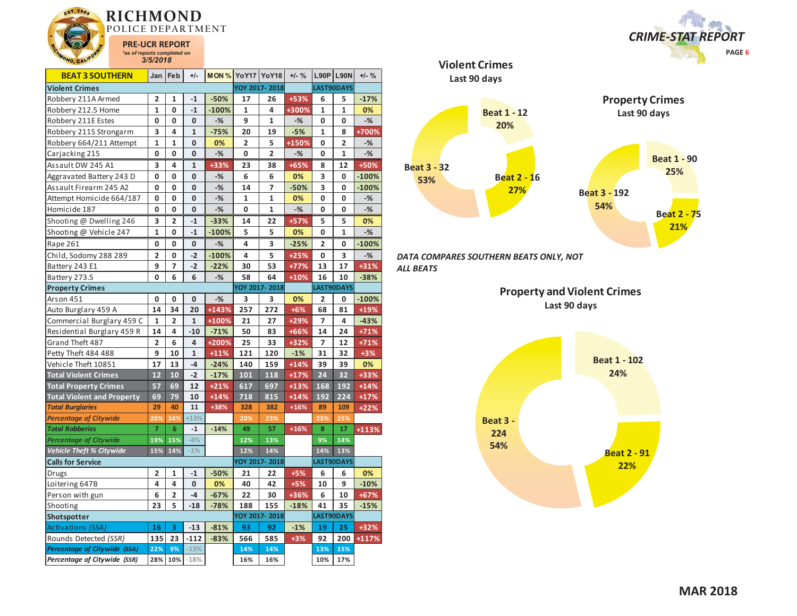

| <b>BEAT 3 SOUTHERN</b>              | Jan                     | Feb         | $+/-$        | <b>MON % YoY17 YoY18</b> |                |                         | $+/-$ % |                         | <b>L90P L90N</b> | $+/-$ % |
|-------------------------------------|-------------------------|-------------|--------------|--------------------------|----------------|-------------------------|---------|-------------------------|------------------|---------|
| <b>Violent Crimes</b>               |                         |             |              |                          |                | YOY 2017-2018           |         |                         | LAST90DAYS       |         |
| Robbery 211A Armed                  | 2                       | 1           | $-1$         | $-50%$                   | 17             | 26                      | +53%    | 6                       | 5                | $-17%$  |
| Robbery 212.5 Home                  | $\mathbf{1}$            | 0           | $-1$         | $-100%$                  | 1              | 4                       | +300%   | 1                       | 1                | 0%      |
| Robbery 211E Estes                  | 0                       | 0           | 0            | -%                       | 9              | 1                       | $-$ %   | 0                       | 0                | $-%$    |
| Robbery 211S Strongarm              | 3                       | 4           | 1            | $-75%$                   | 20             | 19                      | $-5%$   | 1                       | 8                | +700%   |
| Robbery 664/211 Attempt             | 1                       | 1           | 0            | 0%                       | $\overline{2}$ | 5                       | +150%   | 0                       | 2                | -%      |
| Carjacking 215                      | 0                       | 0           | 0            | $-%$                     | 0              | $\overline{\mathbf{c}}$ | $-%$    | 0                       | 1                | $-$ %   |
| Assault DW 245 A1                   | 3                       | 4           | 1            | +33%                     | 23             | 38                      | $+65%$  | 8                       | 12               | +50%    |
| Aggravated Battery 243 D            | 0                       | 0           | 0            | $-$ %                    | 6              | 6                       | 0%      | 3                       | 0                | $-100%$ |
| Assault Firearm 245 A2              | 0                       | 0           | 0            | $-%$                     | 14             | 7                       | $-50%$  | 3                       | 0                | $-100%$ |
| Attempt Homicide 664/187            | 0                       | 0           | 0            | $-%$                     | 1              | 1                       | 0%      | 0                       | 0                | $-%$    |
| Homicide 187                        | 0                       | 0           | 0            | $-%$                     | 0              | 1                       | $-%$    | 0                       | 0                | $-$ %   |
| Shooting @ Dwelling 246             | 3                       | 2           | $-1$         | $-33%$                   | 14             | 22                      | $+57%$  | 5                       | 5                | 0%      |
| Shooting @ Vehicle 247              | $\mathbf{1}$            | $\mathbf 0$ | $-1$         | $-100%$                  | 5              | 5                       | 0%      | 0                       | $\mathbf{1}$     | $-$ %   |
| Rape 261                            | 0                       | 0           | 0            | $-%$                     | 4              | 3                       | $-25%$  | $\overline{\mathbf{2}}$ | 0                | $-100%$ |
| Child, Sodomy 288 289               | $\overline{2}$          | 0           | $-2$         | $-100%$                  | 4              | 5                       | $+25%$  | 0                       | 3                | $-%$    |
| Battery 243 E1                      | 9                       | 7           | $-2$         | $-22%$                   | 30             | 53                      | $+77%$  | 13                      | 17               | $+31%$  |
| Battery 273.5                       | 0                       | 6           | 6            | $-%$                     | 58             | 64                      | $+10%$  | 16                      | 10               | $-38%$  |
| <b>Property Crimes</b>              |                         |             |              |                          |                | YOY 2017-2018           |         |                         | LAST90DAYS       |         |
| Arson 451                           | 0                       | 0           | 0            | $-$ %                    | 3              | 3                       | 0%      | $\overline{\mathbf{2}}$ | 0                | $-100%$ |
| Auto Burglary 459 A                 | 14                      | 34          | 20           | +143%                    | 257            | 272                     | $+6%$   | 68                      | 81               | $+19%$  |
| Commercial Burglary 459 C           | 1                       | 2           | $\mathbf{1}$ | +100%                    | 21             | 27                      | $+29%$  | 7                       | 4                | $-43%$  |
| Residential Burglary 459 R          | 14                      | 4           | $-10$        | $-71%$                   | 50             | 83                      | +66%    | 14                      | 24               | $+71%$  |
| Grand Theft 487                     | $\overline{2}$          | 6           | 4            | +200%                    | 25             | 33                      | +32%    | $\overline{7}$          | 12               | $+71%$  |
| Petty Theft 484 488                 | 9                       | 10          | $\mathbf{1}$ | $+11%$                   | 121            | 120                     | $-1%$   | 31                      | 32               | $+3%$   |
| Vehicle Theft 10851                 | 17                      | 13          | $-4$         | $-24%$                   | 140            | 159                     | $+14%$  | 39                      | 39               | 0%      |
| <b>Total Violent Crimes</b>         | 12                      | 10          | $-2$         | $-17%$                   | 101            | 118                     | $+17%$  | 24                      | 32               | $+33%$  |
| <b>Total Property Crimes</b>        | 57                      | 69          | 12           | $+21%$                   | 617            | 697                     | $+13%$  | 168                     | 192              | $+14%$  |
| <b>Total Violent and Property</b>   | 69                      | 79          | 10           | $+14%$                   | 718            | 815                     | $+14%$  | 192                     | 224              | $+17%$  |
| <b>Total Burglaries</b>             | 29                      | 40          | 11           | +38%                     | 328            | 382                     | $+16%$  | 89                      | 109              | $+22%$  |
| <b>Percentage of Citywide</b>       | 20%                     | 34%         | $+13%$       |                          | 20%            | 23%                     |         | 23%                     | 25%              |         |
| <b>Total Robberies</b>              | $\overline{7}$          | 6           | $-1$         | $-14%$                   | 49             | 57                      | $+16%$  | 8                       | 17               | $+113%$ |
| <b>Percentage of Citywide</b>       | 19%                     | 15%         | $-4%$        |                          | 12%            | 13%                     |         | 9%                      | 14%              |         |
| Vehicle Theft % Citywide            | 15%                     | 14%         | $-1%$        |                          | 12%            | 14%                     |         | 14%                     | 13%              |         |
| <b>Calls for Service</b>            |                         |             |              |                          |                | YOY 2017-2018           |         |                         | LAST90DAYS       |         |
| Drugs                               | $\overline{\mathbf{c}}$ | 1           | $-1$         | $-50%$                   | 21             | 22                      | $+5%$   | 6                       | 6                | 0%      |
| Loitering 647B                      | 4                       | 4           | 0            | 0%                       | 40             | 42                      | $+5%$   | 10                      | 9                | $-10%$  |
| Person with gun                     | 6                       | 2           | $-4$         | $-67%$                   | 22             | 30                      | +36%    | 6                       | 10               | $+67%$  |
| Shooting                            | 23                      | 5           | $-18$        | $-78%$                   | 188            | 155                     | $-18%$  | 41                      | 35               | $-15%$  |
| Shotspotter                         |                         |             |              |                          |                | YOY 2017-2018           |         |                         | LAST90DAYS       |         |
| Activations (SSA)                   | 16                      | 3           | $-13$        | $-81%$                   | 93             | 92                      | $-1%$   | 19                      | 25               | $+32%$  |
| Rounds Detected (SSR)               | 135                     | 23          | $-112$       | $-83%$                   | 566            | 585                     | $+3%$   | 92                      | 200              | +117%   |
| <b>Percentage of Citywide (SSA)</b> | 22%                     | 9%          | $-13%$       |                          | 14%            | 14%                     |         | 13%                     | 15%              |         |
| Percentage of Citywide (SSR)        | 28%                     | 10%         | $-18%$       |                          | 16%            | 16%                     |         | 10%                     | 17%              |         |



*DATA COMPARES SOUTHERN BEATS ONLY, NOT ALL BEATS* 

> **Property and Violent Crimes Last 90 days**



*CRIME-STAT REPORT*

 **PAGE 6**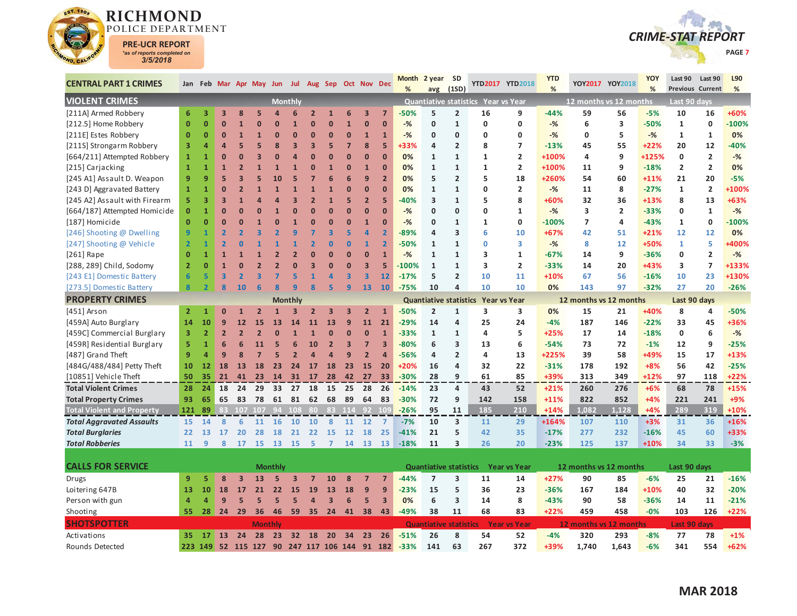



| Jan Feb Mar Apr May Jun Jul Aug Sep Oct Nov Dec<br>%<br>%<br>%<br>%<br>(1SD)<br><b>Previous Current</b><br>avg<br><b>VIOLENT CRIMES</b><br><b>Monthly</b><br>Quantiative statistics Year vs Year<br>12 months vs 12 months<br>Last 90 days<br>[211A] Armed Robbery<br>$\overline{2}$<br>6<br>3<br>$\overline{\mathbf{3}}$<br>8<br>5<br>$\overline{2}$<br>$\overline{\mathbf{3}}$<br>$\overline{7}$<br>-50%<br>5<br>16<br>9<br>$-44%$<br>59<br>$-5%$<br>10<br>16<br>+60%<br>$\Delta$<br>6<br>$\mathbf{1}$<br>6<br>56<br>[212.5] Home Robbery<br>$\mathbf{0}$<br>$\mathbf{0}$<br>$\mathbf{0}$<br>$\overline{1}$<br>$\bf{0}$<br>$\mathbf{0}$<br>$-%$<br>$\mathbf 0$<br>$\mathbf{1}$<br>0<br>0<br>$-%$<br>6<br>3<br>$-50%$<br>$\mathbf{1}$<br>$\mathbf 0$<br>$-100%$<br>$\mathbf{1}$<br>$\overline{0}$<br>$\Omega$<br>0<br>[211E] Estes Robbery<br>$\mathbf{0}$<br>0%<br>$\mathbf 0$<br>$\mathbf{0}$<br>$\mathbf{0}$<br>$\overline{1}$<br>$\Omega$<br>$\Omega$<br>$\Omega$<br>$\mathbf{1}$<br>1<br>$-%$<br>$\mathbf{0}$<br>$\Omega$<br>0<br>0<br>$-%$<br>0<br>5<br>$-$ %<br>1<br>1<br>$\Omega$<br>8<br>5<br>[211S] Strongarm Robbery<br>3<br>5<br>$\overline{7}$<br>8<br>$\overline{7}$<br>55<br>$+22%$<br>12<br>$-40%$<br>4<br>3<br>З<br>+33%<br>$\overline{2}$<br>$-13%$<br>45<br>20<br>4<br>G<br>5<br>8<br>4<br>$\overline{2}$<br>$\overline{2}$<br>[664/211] Attempted Robbery<br>$\overline{0}$<br>$\Omega$<br>$\Omega$<br>$\overline{0}$<br>0%<br>$\mathbf{1}$<br>9<br>+125%<br>$\mathbf{0}$<br>$-$ %<br>$\mathbf{1}$<br>$\mathbf{0}$<br>n<br>$\mathbf{1}$<br>$\mathbf{1}$<br>+100%<br>4<br>1<br>Δ<br>$\overline{\mathbf{2}}$<br>0%<br>[215] Carjacking<br>$\overline{1}$<br>$\overline{0}$<br>$\overline{0}$<br>0%<br>$\mathbf{1}$<br>$\overline{2}$<br>+100%<br>9<br>$-18%$<br>$\overline{2}$<br>$\mathbf{1}$<br>1<br>$\mathbf{1}$<br>$\mathbf 0$<br>$\mathbf{1}$<br>$\mathbf{1}$<br>$\mathbf{1}$<br>11<br>[245 A1] Assault D. Weapon<br>9<br>5<br>6<br>$\overline{2}$<br>$\overline{2}$<br>5<br>18<br>21<br>$-5%$<br>9<br>7<br>6<br>9<br>0%<br>5<br>+260%<br>54<br>60<br>$+11%$<br>20<br>10<br>5<br>$\mathbf{0}$<br>8<br>$\overline{2}$<br>+100%<br>[243 D] Aggravated Battery<br>$\overline{1}$<br>$\overline{0}$<br>$\bf{0}$<br>0%<br>$\mathbf{1}$<br>0<br>$\overline{2}$<br>$-%$<br>11<br>$-27%$<br>$\mathbf{1}$<br>$\mathbf{1}$<br>$\mathbf{1}$<br>$\mathbf{0}$<br>2<br>1<br>$\mathbf{1}$<br>[245 A2] Assault with Firearm<br>$\overline{\mathbf{3}}$<br>5<br>$\overline{2}$<br>5<br>5<br>8<br>8<br>13<br>+63%<br>5<br>$\overline{\mathbf{3}}$<br>в<br>2<br>$\overline{1}$<br>$-40%$<br>3<br>$\mathbf{1}$<br>+60%<br>32<br>36<br>$+13%$<br>$\overline{0}$<br>$\overline{2}$<br>$\mathbf{1}$<br>[664/187] Attempted Homicide<br>$\mathbf 0$<br>$\overline{1}$<br>O<br>$\Omega$<br>$\overline{0}$<br>$\bf{0}$<br>$\overline{0}$<br>0<br>3<br>$\mathbf 0$<br>$-$ %<br>$\Omega$<br>$-%$<br>$\Omega$<br>$\Omega$<br>1<br>$-$ %<br>$-33%$<br>[187] Homicide<br>$\overline{0}$<br>$\mathbf{0}$<br>$\mathbf 0$<br>$\overline{7}$<br>$\mathbf 0$<br>$-100%$<br>$\mathbf 0$<br>$\Omega$<br>$\overline{0}$<br>$\Omega$<br>$\mathbf{1}$<br>$-%$<br>$\mathbf{1}$<br>$\mathbf{1}$<br>$-100%$<br>$-43%$<br>$\mathbf{1}$<br>0<br>0<br>4<br>$\overline{9}$<br>$\overline{\mathbf{3}}$<br>5<br>$\overline{a}$<br>$\overline{2}$<br>$-89%$<br>$\overline{\mathbf{3}}$<br>6<br>0%<br>[246] Shooting @ Dwelling<br>$\overline{2}$<br>q<br>10<br>$+67%$<br>12<br>12<br>4<br>42<br>51<br>$+21%$<br>[247] Shooting @ Vehicle<br>$\overline{0}$<br>$\mathbf{0}$<br>$\overline{2}$<br>$-$ %<br>+50%<br>5<br>+400%<br>$\overline{2}$<br>$\overline{2}$<br>n<br>2<br>$\mathbf{1}$<br>$-50%$<br>0<br>3<br>8<br>12<br>$\mathbf{1}$<br>1<br>1<br>$[261]$ Rape<br>$\overline{0}$<br>$\mathbf{0}$<br>$\bf{0}$<br>$\overline{1}$<br>$-$ %<br>3<br>$\mathbf{1}$<br>$-67%$<br>9<br>$\overline{2}$<br>$-%$<br>$\mathbf 0$<br>$\overline{1}$<br>$\mathbf{1}$<br>$\overline{2}$<br>$\overline{0}$<br>$\mathbf{1}$<br>$\mathbf{1}$<br>14<br>$-36%$<br>0<br>$\overline{7}$<br>$\overline{2}$<br>3<br>$\mathbf{0}$<br>$\overline{\mathbf{3}}$<br>5<br>3<br>$\overline{2}$<br>3<br>+133%<br>[288, 289] Child, Sodomy<br>$\Omega$<br>$\mathbf{1}$<br>$\Omega$<br>$-100%$<br>$\mathbf{1}$<br>$\mathbf{1}$<br>$-33%$<br>14<br>20<br>$+43%$<br>O<br>n<br>$6\phantom{1}6$<br>$\overline{\mathbf{3}}$<br>$\overline{\mathbf{3}}$<br>$\overline{\mathbf{3}}$<br>5<br>23<br>+130%<br>[243 E1] Domestic Battery<br>5<br>$\overline{2}$<br>5<br>$\overline{1}$<br>$\overline{a}$<br>12<br>$-17%$<br>$\overline{2}$<br>10<br>11<br>$+10%$<br>67<br>56<br>10<br>$\overline{\mathbf{3}}$<br>$-16%$<br>$\overline{\mathbf{R}}$<br>5<br>$\overline{9}$<br>8<br>$\overline{2}$<br>8<br>10<br>6<br>$\mathbf{q}$<br>13<br>10<br>10<br>97<br>27<br>20<br>$-26%$<br>[273.5] Domestic Battery<br>$\mathbf{R}$<br>10<br>$-75%$<br>10<br>4<br>0%<br>143<br>$-32%$<br><b>PROPERTY CRIMES</b><br><b>Monthly</b><br><b>Quantiative statistics</b><br>12 months vs 12 months<br>Last 90 days<br><b>Year vs Year</b><br>[451] Arson<br>$\overline{2}$<br>3<br>+40%<br>$\overline{2}$<br>3<br>$\overline{\mathbf{3}}$<br>$\overline{\mathbf{3}}$<br>$\overline{2}$<br>$-50%$<br>$\mathbf{1}$<br>3<br>0%<br>15<br>21<br>8<br>4<br>-50%<br>1<br>0<br>$\overline{2}$<br>$\mathbf{1}$<br>2<br>$\mathbf{1}$<br>14<br>11<br>21<br>14<br>4<br>25<br>+36%<br>[459A] Auto Burglary<br>10<br>$\mathbf{9}$<br>12<br>15<br>13<br>13<br>9<br>$-29%$<br>24<br>$-4%$<br>187<br>146<br>$-22%$<br>33<br>45<br>11<br>14<br>$\overline{0}$<br>5<br>6<br>$-%$<br>[459C] Commercial Burglary<br>3<br>$\overline{2}$<br>$\overline{2}$<br>$\overline{2}$<br>$\overline{0}$<br>$\bf{0}$<br>$-33%$<br>4<br>$+25%$<br>$-18%$<br>0<br>$\overline{2}$<br>1<br>$\mathbf{1}$<br>$\mathbf{1}$<br>$\mathbf{1}$<br>17<br>14<br>$\mathbf{0}$<br>$-25%$<br>[459R] Residential Burglary<br>6<br>$\overline{2}$<br>$\overline{\mathbf{3}}$<br>$\overline{7}$<br>$\overline{\mathbf{3}}$<br>$-80%$<br>6<br>9<br>5<br>$\overline{1}$<br>10<br>6<br>3<br>13<br>$-54%$<br>72<br>$-1%$<br>12<br>11<br>5<br>6<br>73<br>15<br>$+13%$<br>[487] Grand Theft<br>9<br>$\overline{a}$<br>9<br>$\overline{a}$<br>9<br>$\overline{2}$<br>$-56%$<br>$\overline{2}$<br>4<br>13<br>+225%<br>39<br>58<br>+49%<br>17<br>$\mathbf{8}$<br>$\overline{2}$<br>Δ<br>4<br>4<br>56<br>[484G/488/484] Petty Theft<br>23<br>22<br>192<br>$+8%$<br>42<br>$-25%$<br>18<br>13<br>18<br>23<br>17<br>18<br>15<br>20<br>$+20%$<br>16<br>4<br>32<br>$-31%$<br>178<br>10<br>12<br>24<br>[10851] Vehicle Theft<br>50<br>35<br>21<br>23<br>28<br>28<br>9<br>61<br>85<br>+39%<br>313<br>349<br>$+12%$<br>97<br>118<br>$+22%$<br>41<br>14 31 17<br>$-42$<br>27<br>33<br>$-30%$<br><b>Total Violent Crimes</b><br>25<br>28<br>28<br>24<br>18<br>24<br>29<br>33<br>27<br>18<br>15<br>-26<br>$-14%$<br>23<br>4<br>43<br>52<br>$+21%$<br>260<br>276<br>$+6%$<br>68<br>78<br>$+15%$<br>$+9%$<br><b>Total Property Crimes</b><br>93<br>65<br>83<br>78<br>61<br>81<br>62<br>68<br>89<br>64<br>83<br>$-30%$<br>72<br>9<br>142<br>158<br>$+11%$<br>822<br>852<br>$+4%$<br>221<br>241<br>65<br><b>Total Violent and Property</b><br>210<br>319<br>83 114<br>92 109<br>95<br>11<br>185<br>$+14%$<br>1.082<br>1.128<br>$+4%$<br>289<br>$+10%$<br>89<br>$-26%$<br>121<br>83 107 107 94 108<br>-80.<br><b>Total Aggravated Assaults</b><br>15<br>8<br>6<br>11<br>16<br>10<br>10<br>8<br>11<br>12<br>$-7%$<br>$\overline{\mathbf{3}}$<br>11<br>+164%<br>$+16%$<br>14<br>$\overline{7}$<br>10<br>29<br>107<br>110<br>$+3%$<br>31<br>36<br><b>Total Burglaries</b><br>21<br>22<br><b>15</b><br>12<br>25<br>$-41%$<br>21<br>5<br>42<br>35<br>$-17%$<br>277<br>232<br>$-16%$<br>45<br>60<br>+33%<br>22<br>13<br>17<br>20<br>28<br>18<br>18<br><b>Total Robberies</b><br>11<br>15<br>13<br>5<br>11<br>3<br>26<br>20<br>137<br>$+10%$<br>34<br>33<br>$-3%$<br>9<br>8<br>17<br><b>15</b><br>$\overline{7}$<br>14<br>13<br><b>13</b><br>$-18%$<br>$-23%$<br>125<br><b>CALLS FOR SERVICE</b><br><b>Monthly</b><br><b>Year vs Year</b><br>12 months vs 12 months<br>Last 90 days<br><b>Quantiative statistics</b><br>8<br>$\overline{\mathbf{3}}$<br>13<br>$\overline{\mathbf{3}}$<br>$\overline{7}$<br>10<br>8<br>$\overline{7}$<br>$-44%$<br>$\overline{7}$<br>$\overline{\mathbf{3}}$<br>11<br>$+27%$<br>90<br>$-6%$<br>25<br>$-16%$<br><b>Drugs</b><br>9<br>5<br>5<br>$\overline{7}$<br>14<br>85<br>21<br>18<br>9<br>$\overline{9}$<br>5<br>23<br>32<br>$-20%$<br>Loitering 647B<br>13<br>10<br>18<br>17<br>21<br>22<br>19<br>13<br>$-23%$<br>15<br>36<br>$-36%$<br>167<br>184<br>$+10%$<br>40<br>15<br>$\overline{3}$<br>6<br>5<br>$\overline{\mathbf{3}}$<br>6<br>$\overline{\mathbf{3}}$<br>8<br>$-21%$<br>Person with gun<br>$\overline{a}$<br>$\mathbf{9}$<br>5<br>5<br>5<br>0%<br>$-43%$<br>90<br>58<br>$-36%$<br>14<br>11<br>$\overline{a}$<br>5<br>$\overline{a}$<br>14<br>29<br>24<br>$-49%$<br>38<br>11<br>68<br>83<br>$+22%$<br>459<br>458<br>$-0%$<br>103<br>126<br>$+22%$<br>Shooting<br>24<br>36<br>46<br>59<br>35<br>41<br>38<br>43<br>55<br>28<br><b>SHOTSPOTTER</b><br><b>Last 90 days</b><br><b>Quantiative statistics</b><br><b>Year vs Year</b><br>12 months vs 12 months<br><b>Monthly</b> | <b>CENTRAL PART 1 CRIMES</b> |    |    |    |    |    |    |  |    |    |    |    | <b>Month</b> | 2 year | <b>SD</b> |    | YTD2017 YTD2018 | <b>YTD</b> |     | YOY2017 YOY2018 | YOY   | Last 90 | Last 90 | L90   |
|-------------------------------------------------------------------------------------------------------------------------------------------------------------------------------------------------------------------------------------------------------------------------------------------------------------------------------------------------------------------------------------------------------------------------------------------------------------------------------------------------------------------------------------------------------------------------------------------------------------------------------------------------------------------------------------------------------------------------------------------------------------------------------------------------------------------------------------------------------------------------------------------------------------------------------------------------------------------------------------------------------------------------------------------------------------------------------------------------------------------------------------------------------------------------------------------------------------------------------------------------------------------------------------------------------------------------------------------------------------------------------------------------------------------------------------------------------------------------------------------------------------------------------------------------------------------------------------------------------------------------------------------------------------------------------------------------------------------------------------------------------------------------------------------------------------------------------------------------------------------------------------------------------------------------------------------------------------------------------------------------------------------------------------------------------------------------------------------------------------------------------------------------------------------------------------------------------------------------------------------------------------------------------------------------------------------------------------------------------------------------------------------------------------------------------------------------------------------------------------------------------------------------------------------------------------------------------------------------------------------------------------------------------------------------------------------------------------------------------------------------------------------------------------------------------------------------------------------------------------------------------------------------------------------------------------------------------------------------------------------------------------------------------------------------------------------------------------------------------------------------------------------------------------------------------------------------------------------------------------------------------------------------------------------------------------------------------------------------------------------------------------------------------------------------------------------------------------------------------------------------------------------------------------------------------------------------------------------------------------------------------------------------------------------------------------------------------------------------------------------------------------------------------------------------------------------------------------------------------------------------------------------------------------------------------------------------------------------------------------------------------------------------------------------------------------------------------------------------------------------------------------------------------------------------------------------------------------------------------------------------------------------------------------------------------------------------------------------------------------------------------------------------------------------------------------------------------------------------------------------------------------------------------------------------------------------------------------------------------------------------------------------------------------------------------------------------------------------------------------------------------------------------------------------------------------------------------------------------------------------------------------------------------------------------------------------------------------------------------------------------------------------------------------------------------------------------------------------------------------------------------------------------------------------------------------------------------------------------------------------------------------------------------------------------------------------------------------------------------------------------------------------------------------------------------------------------------------------------------------------------------------------------------------------------------------------------------------------------------------------------------------------------------------------------------------------------------------------------------------------------------------------------------------------------------------------------------------------------------------------------------------------------------------------------------------------------------------------------------------------------------------------------------------------------------------------------------------------------------------------------------------------------------------------------------------------------------------------------------------------------------------------------------------------------------------------------------------------------------------------------------------------------------------------------------------------------------------------------------------------------------------------------------------------------------------------------------------------------------------------------------------------------------------------------------------------------------------------------------------------------------------------------------------------------------------------------------------------------------------------------------------------------------------------------------------------------------------------------------------------------------------------------------------------------------------------------------------------------------------------------------------------------------------------------------------------------------------------------------------------------------------------------------------------------------------------------------------------------------------------------------------------------------------------------------------------------------------------------------------------------------------------------------------------------------------------------------------------------------------------------------------------------------------------------------------------------------------------------------------------------------------------------------------------------------------------------------------------------------------------------------------------------------------------------------------------------------------------------------------------------------------------------------------------------------------------------------------------------------------------------------------------------------------------------------------------------------------------------------------------------------------------------------------------------------------------------------------------------------------------------------------------------------------------------------------------------------------------------------------------------------------------------------------------------------------------------------------------------------------------------------------------------------------------------------------------------------------------------------------------------------------------------------------------------------------------------------------------------------------------------------------------------------------------------------------------------------------------------------------------------------------------------------------------------------------------------------------------------------------------------------------------------------------------------------------------------------------------------------------------------|------------------------------|----|----|----|----|----|----|--|----|----|----|----|--------------|--------|-----------|----|-----------------|------------|-----|-----------------|-------|---------|---------|-------|
|                                                                                                                                                                                                                                                                                                                                                                                                                                                                                                                                                                                                                                                                                                                                                                                                                                                                                                                                                                                                                                                                                                                                                                                                                                                                                                                                                                                                                                                                                                                                                                                                                                                                                                                                                                                                                                                                                                                                                                                                                                                                                                                                                                                                                                                                                                                                                                                                                                                                                                                                                                                                                                                                                                                                                                                                                                                                                                                                                                                                                                                                                                                                                                                                                                                                                                                                                                                                                                                                                                                                                                                                                                                                                                                                                                                                                                                                                                                                                                                                                                                                                                                                                                                                                                                                                                                                                                                                                                                                                                                                                                                                                                                                                                                                                                                                                                                                                                                                                                                                                                                                                                                                                                                                                                                                                                                                                                                                                                                                                                                                                                                                                                                                                                                                                                                                                                                                                                                                                                                                                                                                                                                                                                                                                                                                                                                                                                                                                                                                                                                                                                                                                                                                                                                                                                                                                                                                                                                                                                                                                                                                                                                                                                                                                                                                                                                                                                                                                                                                                                                                                                                                                                                                                                                                                                                                                                                                                                                                                                                                                                                                                                                                                                                                                                                                                                                                                                                                                                                                                                                                                                                                                                                                                                                                                                                                                                                                                                                                                                                                                                                                                                                                                                                                                                                 |                              |    |    |    |    |    |    |  |    |    |    |    |              |        |           |    |                 |            |     |                 |       |         |         |       |
|                                                                                                                                                                                                                                                                                                                                                                                                                                                                                                                                                                                                                                                                                                                                                                                                                                                                                                                                                                                                                                                                                                                                                                                                                                                                                                                                                                                                                                                                                                                                                                                                                                                                                                                                                                                                                                                                                                                                                                                                                                                                                                                                                                                                                                                                                                                                                                                                                                                                                                                                                                                                                                                                                                                                                                                                                                                                                                                                                                                                                                                                                                                                                                                                                                                                                                                                                                                                                                                                                                                                                                                                                                                                                                                                                                                                                                                                                                                                                                                                                                                                                                                                                                                                                                                                                                                                                                                                                                                                                                                                                                                                                                                                                                                                                                                                                                                                                                                                                                                                                                                                                                                                                                                                                                                                                                                                                                                                                                                                                                                                                                                                                                                                                                                                                                                                                                                                                                                                                                                                                                                                                                                                                                                                                                                                                                                                                                                                                                                                                                                                                                                                                                                                                                                                                                                                                                                                                                                                                                                                                                                                                                                                                                                                                                                                                                                                                                                                                                                                                                                                                                                                                                                                                                                                                                                                                                                                                                                                                                                                                                                                                                                                                                                                                                                                                                                                                                                                                                                                                                                                                                                                                                                                                                                                                                                                                                                                                                                                                                                                                                                                                                                                                                                                                                                 |                              |    |    |    |    |    |    |  |    |    |    |    |              |        |           |    |                 |            |     |                 |       |         |         |       |
|                                                                                                                                                                                                                                                                                                                                                                                                                                                                                                                                                                                                                                                                                                                                                                                                                                                                                                                                                                                                                                                                                                                                                                                                                                                                                                                                                                                                                                                                                                                                                                                                                                                                                                                                                                                                                                                                                                                                                                                                                                                                                                                                                                                                                                                                                                                                                                                                                                                                                                                                                                                                                                                                                                                                                                                                                                                                                                                                                                                                                                                                                                                                                                                                                                                                                                                                                                                                                                                                                                                                                                                                                                                                                                                                                                                                                                                                                                                                                                                                                                                                                                                                                                                                                                                                                                                                                                                                                                                                                                                                                                                                                                                                                                                                                                                                                                                                                                                                                                                                                                                                                                                                                                                                                                                                                                                                                                                                                                                                                                                                                                                                                                                                                                                                                                                                                                                                                                                                                                                                                                                                                                                                                                                                                                                                                                                                                                                                                                                                                                                                                                                                                                                                                                                                                                                                                                                                                                                                                                                                                                                                                                                                                                                                                                                                                                                                                                                                                                                                                                                                                                                                                                                                                                                                                                                                                                                                                                                                                                                                                                                                                                                                                                                                                                                                                                                                                                                                                                                                                                                                                                                                                                                                                                                                                                                                                                                                                                                                                                                                                                                                                                                                                                                                                                                 |                              |    |    |    |    |    |    |  |    |    |    |    |              |        |           |    |                 |            |     |                 |       |         |         |       |
|                                                                                                                                                                                                                                                                                                                                                                                                                                                                                                                                                                                                                                                                                                                                                                                                                                                                                                                                                                                                                                                                                                                                                                                                                                                                                                                                                                                                                                                                                                                                                                                                                                                                                                                                                                                                                                                                                                                                                                                                                                                                                                                                                                                                                                                                                                                                                                                                                                                                                                                                                                                                                                                                                                                                                                                                                                                                                                                                                                                                                                                                                                                                                                                                                                                                                                                                                                                                                                                                                                                                                                                                                                                                                                                                                                                                                                                                                                                                                                                                                                                                                                                                                                                                                                                                                                                                                                                                                                                                                                                                                                                                                                                                                                                                                                                                                                                                                                                                                                                                                                                                                                                                                                                                                                                                                                                                                                                                                                                                                                                                                                                                                                                                                                                                                                                                                                                                                                                                                                                                                                                                                                                                                                                                                                                                                                                                                                                                                                                                                                                                                                                                                                                                                                                                                                                                                                                                                                                                                                                                                                                                                                                                                                                                                                                                                                                                                                                                                                                                                                                                                                                                                                                                                                                                                                                                                                                                                                                                                                                                                                                                                                                                                                                                                                                                                                                                                                                                                                                                                                                                                                                                                                                                                                                                                                                                                                                                                                                                                                                                                                                                                                                                                                                                                                                 |                              |    |    |    |    |    |    |  |    |    |    |    |              |        |           |    |                 |            |     |                 |       |         |         |       |
|                                                                                                                                                                                                                                                                                                                                                                                                                                                                                                                                                                                                                                                                                                                                                                                                                                                                                                                                                                                                                                                                                                                                                                                                                                                                                                                                                                                                                                                                                                                                                                                                                                                                                                                                                                                                                                                                                                                                                                                                                                                                                                                                                                                                                                                                                                                                                                                                                                                                                                                                                                                                                                                                                                                                                                                                                                                                                                                                                                                                                                                                                                                                                                                                                                                                                                                                                                                                                                                                                                                                                                                                                                                                                                                                                                                                                                                                                                                                                                                                                                                                                                                                                                                                                                                                                                                                                                                                                                                                                                                                                                                                                                                                                                                                                                                                                                                                                                                                                                                                                                                                                                                                                                                                                                                                                                                                                                                                                                                                                                                                                                                                                                                                                                                                                                                                                                                                                                                                                                                                                                                                                                                                                                                                                                                                                                                                                                                                                                                                                                                                                                                                                                                                                                                                                                                                                                                                                                                                                                                                                                                                                                                                                                                                                                                                                                                                                                                                                                                                                                                                                                                                                                                                                                                                                                                                                                                                                                                                                                                                                                                                                                                                                                                                                                                                                                                                                                                                                                                                                                                                                                                                                                                                                                                                                                                                                                                                                                                                                                                                                                                                                                                                                                                                                                                 |                              |    |    |    |    |    |    |  |    |    |    |    |              |        |           |    |                 |            |     |                 |       |         |         |       |
|                                                                                                                                                                                                                                                                                                                                                                                                                                                                                                                                                                                                                                                                                                                                                                                                                                                                                                                                                                                                                                                                                                                                                                                                                                                                                                                                                                                                                                                                                                                                                                                                                                                                                                                                                                                                                                                                                                                                                                                                                                                                                                                                                                                                                                                                                                                                                                                                                                                                                                                                                                                                                                                                                                                                                                                                                                                                                                                                                                                                                                                                                                                                                                                                                                                                                                                                                                                                                                                                                                                                                                                                                                                                                                                                                                                                                                                                                                                                                                                                                                                                                                                                                                                                                                                                                                                                                                                                                                                                                                                                                                                                                                                                                                                                                                                                                                                                                                                                                                                                                                                                                                                                                                                                                                                                                                                                                                                                                                                                                                                                                                                                                                                                                                                                                                                                                                                                                                                                                                                                                                                                                                                                                                                                                                                                                                                                                                                                                                                                                                                                                                                                                                                                                                                                                                                                                                                                                                                                                                                                                                                                                                                                                                                                                                                                                                                                                                                                                                                                                                                                                                                                                                                                                                                                                                                                                                                                                                                                                                                                                                                                                                                                                                                                                                                                                                                                                                                                                                                                                                                                                                                                                                                                                                                                                                                                                                                                                                                                                                                                                                                                                                                                                                                                                                                 |                              |    |    |    |    |    |    |  |    |    |    |    |              |        |           |    |                 |            |     |                 |       |         |         |       |
|                                                                                                                                                                                                                                                                                                                                                                                                                                                                                                                                                                                                                                                                                                                                                                                                                                                                                                                                                                                                                                                                                                                                                                                                                                                                                                                                                                                                                                                                                                                                                                                                                                                                                                                                                                                                                                                                                                                                                                                                                                                                                                                                                                                                                                                                                                                                                                                                                                                                                                                                                                                                                                                                                                                                                                                                                                                                                                                                                                                                                                                                                                                                                                                                                                                                                                                                                                                                                                                                                                                                                                                                                                                                                                                                                                                                                                                                                                                                                                                                                                                                                                                                                                                                                                                                                                                                                                                                                                                                                                                                                                                                                                                                                                                                                                                                                                                                                                                                                                                                                                                                                                                                                                                                                                                                                                                                                                                                                                                                                                                                                                                                                                                                                                                                                                                                                                                                                                                                                                                                                                                                                                                                                                                                                                                                                                                                                                                                                                                                                                                                                                                                                                                                                                                                                                                                                                                                                                                                                                                                                                                                                                                                                                                                                                                                                                                                                                                                                                                                                                                                                                                                                                                                                                                                                                                                                                                                                                                                                                                                                                                                                                                                                                                                                                                                                                                                                                                                                                                                                                                                                                                                                                                                                                                                                                                                                                                                                                                                                                                                                                                                                                                                                                                                                                                 |                              |    |    |    |    |    |    |  |    |    |    |    |              |        |           |    |                 |            |     |                 |       |         |         |       |
|                                                                                                                                                                                                                                                                                                                                                                                                                                                                                                                                                                                                                                                                                                                                                                                                                                                                                                                                                                                                                                                                                                                                                                                                                                                                                                                                                                                                                                                                                                                                                                                                                                                                                                                                                                                                                                                                                                                                                                                                                                                                                                                                                                                                                                                                                                                                                                                                                                                                                                                                                                                                                                                                                                                                                                                                                                                                                                                                                                                                                                                                                                                                                                                                                                                                                                                                                                                                                                                                                                                                                                                                                                                                                                                                                                                                                                                                                                                                                                                                                                                                                                                                                                                                                                                                                                                                                                                                                                                                                                                                                                                                                                                                                                                                                                                                                                                                                                                                                                                                                                                                                                                                                                                                                                                                                                                                                                                                                                                                                                                                                                                                                                                                                                                                                                                                                                                                                                                                                                                                                                                                                                                                                                                                                                                                                                                                                                                                                                                                                                                                                                                                                                                                                                                                                                                                                                                                                                                                                                                                                                                                                                                                                                                                                                                                                                                                                                                                                                                                                                                                                                                                                                                                                                                                                                                                                                                                                                                                                                                                                                                                                                                                                                                                                                                                                                                                                                                                                                                                                                                                                                                                                                                                                                                                                                                                                                                                                                                                                                                                                                                                                                                                                                                                                                                 |                              |    |    |    |    |    |    |  |    |    |    |    |              |        |           |    |                 |            |     |                 |       |         |         |       |
|                                                                                                                                                                                                                                                                                                                                                                                                                                                                                                                                                                                                                                                                                                                                                                                                                                                                                                                                                                                                                                                                                                                                                                                                                                                                                                                                                                                                                                                                                                                                                                                                                                                                                                                                                                                                                                                                                                                                                                                                                                                                                                                                                                                                                                                                                                                                                                                                                                                                                                                                                                                                                                                                                                                                                                                                                                                                                                                                                                                                                                                                                                                                                                                                                                                                                                                                                                                                                                                                                                                                                                                                                                                                                                                                                                                                                                                                                                                                                                                                                                                                                                                                                                                                                                                                                                                                                                                                                                                                                                                                                                                                                                                                                                                                                                                                                                                                                                                                                                                                                                                                                                                                                                                                                                                                                                                                                                                                                                                                                                                                                                                                                                                                                                                                                                                                                                                                                                                                                                                                                                                                                                                                                                                                                                                                                                                                                                                                                                                                                                                                                                                                                                                                                                                                                                                                                                                                                                                                                                                                                                                                                                                                                                                                                                                                                                                                                                                                                                                                                                                                                                                                                                                                                                                                                                                                                                                                                                                                                                                                                                                                                                                                                                                                                                                                                                                                                                                                                                                                                                                                                                                                                                                                                                                                                                                                                                                                                                                                                                                                                                                                                                                                                                                                                                                 |                              |    |    |    |    |    |    |  |    |    |    |    |              |        |           |    |                 |            |     |                 |       |         |         |       |
|                                                                                                                                                                                                                                                                                                                                                                                                                                                                                                                                                                                                                                                                                                                                                                                                                                                                                                                                                                                                                                                                                                                                                                                                                                                                                                                                                                                                                                                                                                                                                                                                                                                                                                                                                                                                                                                                                                                                                                                                                                                                                                                                                                                                                                                                                                                                                                                                                                                                                                                                                                                                                                                                                                                                                                                                                                                                                                                                                                                                                                                                                                                                                                                                                                                                                                                                                                                                                                                                                                                                                                                                                                                                                                                                                                                                                                                                                                                                                                                                                                                                                                                                                                                                                                                                                                                                                                                                                                                                                                                                                                                                                                                                                                                                                                                                                                                                                                                                                                                                                                                                                                                                                                                                                                                                                                                                                                                                                                                                                                                                                                                                                                                                                                                                                                                                                                                                                                                                                                                                                                                                                                                                                                                                                                                                                                                                                                                                                                                                                                                                                                                                                                                                                                                                                                                                                                                                                                                                                                                                                                                                                                                                                                                                                                                                                                                                                                                                                                                                                                                                                                                                                                                                                                                                                                                                                                                                                                                                                                                                                                                                                                                                                                                                                                                                                                                                                                                                                                                                                                                                                                                                                                                                                                                                                                                                                                                                                                                                                                                                                                                                                                                                                                                                                                                 |                              |    |    |    |    |    |    |  |    |    |    |    |              |        |           |    |                 |            |     |                 |       |         |         |       |
|                                                                                                                                                                                                                                                                                                                                                                                                                                                                                                                                                                                                                                                                                                                                                                                                                                                                                                                                                                                                                                                                                                                                                                                                                                                                                                                                                                                                                                                                                                                                                                                                                                                                                                                                                                                                                                                                                                                                                                                                                                                                                                                                                                                                                                                                                                                                                                                                                                                                                                                                                                                                                                                                                                                                                                                                                                                                                                                                                                                                                                                                                                                                                                                                                                                                                                                                                                                                                                                                                                                                                                                                                                                                                                                                                                                                                                                                                                                                                                                                                                                                                                                                                                                                                                                                                                                                                                                                                                                                                                                                                                                                                                                                                                                                                                                                                                                                                                                                                                                                                                                                                                                                                                                                                                                                                                                                                                                                                                                                                                                                                                                                                                                                                                                                                                                                                                                                                                                                                                                                                                                                                                                                                                                                                                                                                                                                                                                                                                                                                                                                                                                                                                                                                                                                                                                                                                                                                                                                                                                                                                                                                                                                                                                                                                                                                                                                                                                                                                                                                                                                                                                                                                                                                                                                                                                                                                                                                                                                                                                                                                                                                                                                                                                                                                                                                                                                                                                                                                                                                                                                                                                                                                                                                                                                                                                                                                                                                                                                                                                                                                                                                                                                                                                                                                                 |                              |    |    |    |    |    |    |  |    |    |    |    |              |        |           |    |                 |            |     |                 |       |         |         |       |
|                                                                                                                                                                                                                                                                                                                                                                                                                                                                                                                                                                                                                                                                                                                                                                                                                                                                                                                                                                                                                                                                                                                                                                                                                                                                                                                                                                                                                                                                                                                                                                                                                                                                                                                                                                                                                                                                                                                                                                                                                                                                                                                                                                                                                                                                                                                                                                                                                                                                                                                                                                                                                                                                                                                                                                                                                                                                                                                                                                                                                                                                                                                                                                                                                                                                                                                                                                                                                                                                                                                                                                                                                                                                                                                                                                                                                                                                                                                                                                                                                                                                                                                                                                                                                                                                                                                                                                                                                                                                                                                                                                                                                                                                                                                                                                                                                                                                                                                                                                                                                                                                                                                                                                                                                                                                                                                                                                                                                                                                                                                                                                                                                                                                                                                                                                                                                                                                                                                                                                                                                                                                                                                                                                                                                                                                                                                                                                                                                                                                                                                                                                                                                                                                                                                                                                                                                                                                                                                                                                                                                                                                                                                                                                                                                                                                                                                                                                                                                                                                                                                                                                                                                                                                                                                                                                                                                                                                                                                                                                                                                                                                                                                                                                                                                                                                                                                                                                                                                                                                                                                                                                                                                                                                                                                                                                                                                                                                                                                                                                                                                                                                                                                                                                                                                                                 |                              |    |    |    |    |    |    |  |    |    |    |    |              |        |           |    |                 |            |     |                 |       |         |         |       |
|                                                                                                                                                                                                                                                                                                                                                                                                                                                                                                                                                                                                                                                                                                                                                                                                                                                                                                                                                                                                                                                                                                                                                                                                                                                                                                                                                                                                                                                                                                                                                                                                                                                                                                                                                                                                                                                                                                                                                                                                                                                                                                                                                                                                                                                                                                                                                                                                                                                                                                                                                                                                                                                                                                                                                                                                                                                                                                                                                                                                                                                                                                                                                                                                                                                                                                                                                                                                                                                                                                                                                                                                                                                                                                                                                                                                                                                                                                                                                                                                                                                                                                                                                                                                                                                                                                                                                                                                                                                                                                                                                                                                                                                                                                                                                                                                                                                                                                                                                                                                                                                                                                                                                                                                                                                                                                                                                                                                                                                                                                                                                                                                                                                                                                                                                                                                                                                                                                                                                                                                                                                                                                                                                                                                                                                                                                                                                                                                                                                                                                                                                                                                                                                                                                                                                                                                                                                                                                                                                                                                                                                                                                                                                                                                                                                                                                                                                                                                                                                                                                                                                                                                                                                                                                                                                                                                                                                                                                                                                                                                                                                                                                                                                                                                                                                                                                                                                                                                                                                                                                                                                                                                                                                                                                                                                                                                                                                                                                                                                                                                                                                                                                                                                                                                                                                 |                              |    |    |    |    |    |    |  |    |    |    |    |              |        |           |    |                 |            |     |                 |       |         |         |       |
|                                                                                                                                                                                                                                                                                                                                                                                                                                                                                                                                                                                                                                                                                                                                                                                                                                                                                                                                                                                                                                                                                                                                                                                                                                                                                                                                                                                                                                                                                                                                                                                                                                                                                                                                                                                                                                                                                                                                                                                                                                                                                                                                                                                                                                                                                                                                                                                                                                                                                                                                                                                                                                                                                                                                                                                                                                                                                                                                                                                                                                                                                                                                                                                                                                                                                                                                                                                                                                                                                                                                                                                                                                                                                                                                                                                                                                                                                                                                                                                                                                                                                                                                                                                                                                                                                                                                                                                                                                                                                                                                                                                                                                                                                                                                                                                                                                                                                                                                                                                                                                                                                                                                                                                                                                                                                                                                                                                                                                                                                                                                                                                                                                                                                                                                                                                                                                                                                                                                                                                                                                                                                                                                                                                                                                                                                                                                                                                                                                                                                                                                                                                                                                                                                                                                                                                                                                                                                                                                                                                                                                                                                                                                                                                                                                                                                                                                                                                                                                                                                                                                                                                                                                                                                                                                                                                                                                                                                                                                                                                                                                                                                                                                                                                                                                                                                                                                                                                                                                                                                                                                                                                                                                                                                                                                                                                                                                                                                                                                                                                                                                                                                                                                                                                                                                                 |                              |    |    |    |    |    |    |  |    |    |    |    |              |        |           |    |                 |            |     |                 |       |         |         |       |
|                                                                                                                                                                                                                                                                                                                                                                                                                                                                                                                                                                                                                                                                                                                                                                                                                                                                                                                                                                                                                                                                                                                                                                                                                                                                                                                                                                                                                                                                                                                                                                                                                                                                                                                                                                                                                                                                                                                                                                                                                                                                                                                                                                                                                                                                                                                                                                                                                                                                                                                                                                                                                                                                                                                                                                                                                                                                                                                                                                                                                                                                                                                                                                                                                                                                                                                                                                                                                                                                                                                                                                                                                                                                                                                                                                                                                                                                                                                                                                                                                                                                                                                                                                                                                                                                                                                                                                                                                                                                                                                                                                                                                                                                                                                                                                                                                                                                                                                                                                                                                                                                                                                                                                                                                                                                                                                                                                                                                                                                                                                                                                                                                                                                                                                                                                                                                                                                                                                                                                                                                                                                                                                                                                                                                                                                                                                                                                                                                                                                                                                                                                                                                                                                                                                                                                                                                                                                                                                                                                                                                                                                                                                                                                                                                                                                                                                                                                                                                                                                                                                                                                                                                                                                                                                                                                                                                                                                                                                                                                                                                                                                                                                                                                                                                                                                                                                                                                                                                                                                                                                                                                                                                                                                                                                                                                                                                                                                                                                                                                                                                                                                                                                                                                                                                                                 |                              |    |    |    |    |    |    |  |    |    |    |    |              |        |           |    |                 |            |     |                 |       |         |         |       |
|                                                                                                                                                                                                                                                                                                                                                                                                                                                                                                                                                                                                                                                                                                                                                                                                                                                                                                                                                                                                                                                                                                                                                                                                                                                                                                                                                                                                                                                                                                                                                                                                                                                                                                                                                                                                                                                                                                                                                                                                                                                                                                                                                                                                                                                                                                                                                                                                                                                                                                                                                                                                                                                                                                                                                                                                                                                                                                                                                                                                                                                                                                                                                                                                                                                                                                                                                                                                                                                                                                                                                                                                                                                                                                                                                                                                                                                                                                                                                                                                                                                                                                                                                                                                                                                                                                                                                                                                                                                                                                                                                                                                                                                                                                                                                                                                                                                                                                                                                                                                                                                                                                                                                                                                                                                                                                                                                                                                                                                                                                                                                                                                                                                                                                                                                                                                                                                                                                                                                                                                                                                                                                                                                                                                                                                                                                                                                                                                                                                                                                                                                                                                                                                                                                                                                                                                                                                                                                                                                                                                                                                                                                                                                                                                                                                                                                                                                                                                                                                                                                                                                                                                                                                                                                                                                                                                                                                                                                                                                                                                                                                                                                                                                                                                                                                                                                                                                                                                                                                                                                                                                                                                                                                                                                                                                                                                                                                                                                                                                                                                                                                                                                                                                                                                                                                 |                              |    |    |    |    |    |    |  |    |    |    |    |              |        |           |    |                 |            |     |                 |       |         |         |       |
|                                                                                                                                                                                                                                                                                                                                                                                                                                                                                                                                                                                                                                                                                                                                                                                                                                                                                                                                                                                                                                                                                                                                                                                                                                                                                                                                                                                                                                                                                                                                                                                                                                                                                                                                                                                                                                                                                                                                                                                                                                                                                                                                                                                                                                                                                                                                                                                                                                                                                                                                                                                                                                                                                                                                                                                                                                                                                                                                                                                                                                                                                                                                                                                                                                                                                                                                                                                                                                                                                                                                                                                                                                                                                                                                                                                                                                                                                                                                                                                                                                                                                                                                                                                                                                                                                                                                                                                                                                                                                                                                                                                                                                                                                                                                                                                                                                                                                                                                                                                                                                                                                                                                                                                                                                                                                                                                                                                                                                                                                                                                                                                                                                                                                                                                                                                                                                                                                                                                                                                                                                                                                                                                                                                                                                                                                                                                                                                                                                                                                                                                                                                                                                                                                                                                                                                                                                                                                                                                                                                                                                                                                                                                                                                                                                                                                                                                                                                                                                                                                                                                                                                                                                                                                                                                                                                                                                                                                                                                                                                                                                                                                                                                                                                                                                                                                                                                                                                                                                                                                                                                                                                                                                                                                                                                                                                                                                                                                                                                                                                                                                                                                                                                                                                                                                                 |                              |    |    |    |    |    |    |  |    |    |    |    |              |        |           |    |                 |            |     |                 |       |         |         |       |
|                                                                                                                                                                                                                                                                                                                                                                                                                                                                                                                                                                                                                                                                                                                                                                                                                                                                                                                                                                                                                                                                                                                                                                                                                                                                                                                                                                                                                                                                                                                                                                                                                                                                                                                                                                                                                                                                                                                                                                                                                                                                                                                                                                                                                                                                                                                                                                                                                                                                                                                                                                                                                                                                                                                                                                                                                                                                                                                                                                                                                                                                                                                                                                                                                                                                                                                                                                                                                                                                                                                                                                                                                                                                                                                                                                                                                                                                                                                                                                                                                                                                                                                                                                                                                                                                                                                                                                                                                                                                                                                                                                                                                                                                                                                                                                                                                                                                                                                                                                                                                                                                                                                                                                                                                                                                                                                                                                                                                                                                                                                                                                                                                                                                                                                                                                                                                                                                                                                                                                                                                                                                                                                                                                                                                                                                                                                                                                                                                                                                                                                                                                                                                                                                                                                                                                                                                                                                                                                                                                                                                                                                                                                                                                                                                                                                                                                                                                                                                                                                                                                                                                                                                                                                                                                                                                                                                                                                                                                                                                                                                                                                                                                                                                                                                                                                                                                                                                                                                                                                                                                                                                                                                                                                                                                                                                                                                                                                                                                                                                                                                                                                                                                                                                                                                                                 |                              |    |    |    |    |    |    |  |    |    |    |    |              |        |           |    |                 |            |     |                 |       |         |         |       |
|                                                                                                                                                                                                                                                                                                                                                                                                                                                                                                                                                                                                                                                                                                                                                                                                                                                                                                                                                                                                                                                                                                                                                                                                                                                                                                                                                                                                                                                                                                                                                                                                                                                                                                                                                                                                                                                                                                                                                                                                                                                                                                                                                                                                                                                                                                                                                                                                                                                                                                                                                                                                                                                                                                                                                                                                                                                                                                                                                                                                                                                                                                                                                                                                                                                                                                                                                                                                                                                                                                                                                                                                                                                                                                                                                                                                                                                                                                                                                                                                                                                                                                                                                                                                                                                                                                                                                                                                                                                                                                                                                                                                                                                                                                                                                                                                                                                                                                                                                                                                                                                                                                                                                                                                                                                                                                                                                                                                                                                                                                                                                                                                                                                                                                                                                                                                                                                                                                                                                                                                                                                                                                                                                                                                                                                                                                                                                                                                                                                                                                                                                                                                                                                                                                                                                                                                                                                                                                                                                                                                                                                                                                                                                                                                                                                                                                                                                                                                                                                                                                                                                                                                                                                                                                                                                                                                                                                                                                                                                                                                                                                                                                                                                                                                                                                                                                                                                                                                                                                                                                                                                                                                                                                                                                                                                                                                                                                                                                                                                                                                                                                                                                                                                                                                                                                 |                              |    |    |    |    |    |    |  |    |    |    |    |              |        |           |    |                 |            |     |                 |       |         |         |       |
|                                                                                                                                                                                                                                                                                                                                                                                                                                                                                                                                                                                                                                                                                                                                                                                                                                                                                                                                                                                                                                                                                                                                                                                                                                                                                                                                                                                                                                                                                                                                                                                                                                                                                                                                                                                                                                                                                                                                                                                                                                                                                                                                                                                                                                                                                                                                                                                                                                                                                                                                                                                                                                                                                                                                                                                                                                                                                                                                                                                                                                                                                                                                                                                                                                                                                                                                                                                                                                                                                                                                                                                                                                                                                                                                                                                                                                                                                                                                                                                                                                                                                                                                                                                                                                                                                                                                                                                                                                                                                                                                                                                                                                                                                                                                                                                                                                                                                                                                                                                                                                                                                                                                                                                                                                                                                                                                                                                                                                                                                                                                                                                                                                                                                                                                                                                                                                                                                                                                                                                                                                                                                                                                                                                                                                                                                                                                                                                                                                                                                                                                                                                                                                                                                                                                                                                                                                                                                                                                                                                                                                                                                                                                                                                                                                                                                                                                                                                                                                                                                                                                                                                                                                                                                                                                                                                                                                                                                                                                                                                                                                                                                                                                                                                                                                                                                                                                                                                                                                                                                                                                                                                                                                                                                                                                                                                                                                                                                                                                                                                                                                                                                                                                                                                                                                                 |                              |    |    |    |    |    |    |  |    |    |    |    |              |        |           |    |                 |            |     |                 |       |         |         |       |
|                                                                                                                                                                                                                                                                                                                                                                                                                                                                                                                                                                                                                                                                                                                                                                                                                                                                                                                                                                                                                                                                                                                                                                                                                                                                                                                                                                                                                                                                                                                                                                                                                                                                                                                                                                                                                                                                                                                                                                                                                                                                                                                                                                                                                                                                                                                                                                                                                                                                                                                                                                                                                                                                                                                                                                                                                                                                                                                                                                                                                                                                                                                                                                                                                                                                                                                                                                                                                                                                                                                                                                                                                                                                                                                                                                                                                                                                                                                                                                                                                                                                                                                                                                                                                                                                                                                                                                                                                                                                                                                                                                                                                                                                                                                                                                                                                                                                                                                                                                                                                                                                                                                                                                                                                                                                                                                                                                                                                                                                                                                                                                                                                                                                                                                                                                                                                                                                                                                                                                                                                                                                                                                                                                                                                                                                                                                                                                                                                                                                                                                                                                                                                                                                                                                                                                                                                                                                                                                                                                                                                                                                                                                                                                                                                                                                                                                                                                                                                                                                                                                                                                                                                                                                                                                                                                                                                                                                                                                                                                                                                                                                                                                                                                                                                                                                                                                                                                                                                                                                                                                                                                                                                                                                                                                                                                                                                                                                                                                                                                                                                                                                                                                                                                                                                                                 |                              |    |    |    |    |    |    |  |    |    |    |    |              |        |           |    |                 |            |     |                 |       |         |         |       |
|                                                                                                                                                                                                                                                                                                                                                                                                                                                                                                                                                                                                                                                                                                                                                                                                                                                                                                                                                                                                                                                                                                                                                                                                                                                                                                                                                                                                                                                                                                                                                                                                                                                                                                                                                                                                                                                                                                                                                                                                                                                                                                                                                                                                                                                                                                                                                                                                                                                                                                                                                                                                                                                                                                                                                                                                                                                                                                                                                                                                                                                                                                                                                                                                                                                                                                                                                                                                                                                                                                                                                                                                                                                                                                                                                                                                                                                                                                                                                                                                                                                                                                                                                                                                                                                                                                                                                                                                                                                                                                                                                                                                                                                                                                                                                                                                                                                                                                                                                                                                                                                                                                                                                                                                                                                                                                                                                                                                                                                                                                                                                                                                                                                                                                                                                                                                                                                                                                                                                                                                                                                                                                                                                                                                                                                                                                                                                                                                                                                                                                                                                                                                                                                                                                                                                                                                                                                                                                                                                                                                                                                                                                                                                                                                                                                                                                                                                                                                                                                                                                                                                                                                                                                                                                                                                                                                                                                                                                                                                                                                                                                                                                                                                                                                                                                                                                                                                                                                                                                                                                                                                                                                                                                                                                                                                                                                                                                                                                                                                                                                                                                                                                                                                                                                                                                 |                              |    |    |    |    |    |    |  |    |    |    |    |              |        |           |    |                 |            |     |                 |       |         |         |       |
|                                                                                                                                                                                                                                                                                                                                                                                                                                                                                                                                                                                                                                                                                                                                                                                                                                                                                                                                                                                                                                                                                                                                                                                                                                                                                                                                                                                                                                                                                                                                                                                                                                                                                                                                                                                                                                                                                                                                                                                                                                                                                                                                                                                                                                                                                                                                                                                                                                                                                                                                                                                                                                                                                                                                                                                                                                                                                                                                                                                                                                                                                                                                                                                                                                                                                                                                                                                                                                                                                                                                                                                                                                                                                                                                                                                                                                                                                                                                                                                                                                                                                                                                                                                                                                                                                                                                                                                                                                                                                                                                                                                                                                                                                                                                                                                                                                                                                                                                                                                                                                                                                                                                                                                                                                                                                                                                                                                                                                                                                                                                                                                                                                                                                                                                                                                                                                                                                                                                                                                                                                                                                                                                                                                                                                                                                                                                                                                                                                                                                                                                                                                                                                                                                                                                                                                                                                                                                                                                                                                                                                                                                                                                                                                                                                                                                                                                                                                                                                                                                                                                                                                                                                                                                                                                                                                                                                                                                                                                                                                                                                                                                                                                                                                                                                                                                                                                                                                                                                                                                                                                                                                                                                                                                                                                                                                                                                                                                                                                                                                                                                                                                                                                                                                                                                                 |                              |    |    |    |    |    |    |  |    |    |    |    |              |        |           |    |                 |            |     |                 |       |         |         |       |
|                                                                                                                                                                                                                                                                                                                                                                                                                                                                                                                                                                                                                                                                                                                                                                                                                                                                                                                                                                                                                                                                                                                                                                                                                                                                                                                                                                                                                                                                                                                                                                                                                                                                                                                                                                                                                                                                                                                                                                                                                                                                                                                                                                                                                                                                                                                                                                                                                                                                                                                                                                                                                                                                                                                                                                                                                                                                                                                                                                                                                                                                                                                                                                                                                                                                                                                                                                                                                                                                                                                                                                                                                                                                                                                                                                                                                                                                                                                                                                                                                                                                                                                                                                                                                                                                                                                                                                                                                                                                                                                                                                                                                                                                                                                                                                                                                                                                                                                                                                                                                                                                                                                                                                                                                                                                                                                                                                                                                                                                                                                                                                                                                                                                                                                                                                                                                                                                                                                                                                                                                                                                                                                                                                                                                                                                                                                                                                                                                                                                                                                                                                                                                                                                                                                                                                                                                                                                                                                                                                                                                                                                                                                                                                                                                                                                                                                                                                                                                                                                                                                                                                                                                                                                                                                                                                                                                                                                                                                                                                                                                                                                                                                                                                                                                                                                                                                                                                                                                                                                                                                                                                                                                                                                                                                                                                                                                                                                                                                                                                                                                                                                                                                                                                                                                                                 |                              |    |    |    |    |    |    |  |    |    |    |    |              |        |           |    |                 |            |     |                 |       |         |         |       |
|                                                                                                                                                                                                                                                                                                                                                                                                                                                                                                                                                                                                                                                                                                                                                                                                                                                                                                                                                                                                                                                                                                                                                                                                                                                                                                                                                                                                                                                                                                                                                                                                                                                                                                                                                                                                                                                                                                                                                                                                                                                                                                                                                                                                                                                                                                                                                                                                                                                                                                                                                                                                                                                                                                                                                                                                                                                                                                                                                                                                                                                                                                                                                                                                                                                                                                                                                                                                                                                                                                                                                                                                                                                                                                                                                                                                                                                                                                                                                                                                                                                                                                                                                                                                                                                                                                                                                                                                                                                                                                                                                                                                                                                                                                                                                                                                                                                                                                                                                                                                                                                                                                                                                                                                                                                                                                                                                                                                                                                                                                                                                                                                                                                                                                                                                                                                                                                                                                                                                                                                                                                                                                                                                                                                                                                                                                                                                                                                                                                                                                                                                                                                                                                                                                                                                                                                                                                                                                                                                                                                                                                                                                                                                                                                                                                                                                                                                                                                                                                                                                                                                                                                                                                                                                                                                                                                                                                                                                                                                                                                                                                                                                                                                                                                                                                                                                                                                                                                                                                                                                                                                                                                                                                                                                                                                                                                                                                                                                                                                                                                                                                                                                                                                                                                                                                 |                              |    |    |    |    |    |    |  |    |    |    |    |              |        |           |    |                 |            |     |                 |       |         |         |       |
|                                                                                                                                                                                                                                                                                                                                                                                                                                                                                                                                                                                                                                                                                                                                                                                                                                                                                                                                                                                                                                                                                                                                                                                                                                                                                                                                                                                                                                                                                                                                                                                                                                                                                                                                                                                                                                                                                                                                                                                                                                                                                                                                                                                                                                                                                                                                                                                                                                                                                                                                                                                                                                                                                                                                                                                                                                                                                                                                                                                                                                                                                                                                                                                                                                                                                                                                                                                                                                                                                                                                                                                                                                                                                                                                                                                                                                                                                                                                                                                                                                                                                                                                                                                                                                                                                                                                                                                                                                                                                                                                                                                                                                                                                                                                                                                                                                                                                                                                                                                                                                                                                                                                                                                                                                                                                                                                                                                                                                                                                                                                                                                                                                                                                                                                                                                                                                                                                                                                                                                                                                                                                                                                                                                                                                                                                                                                                                                                                                                                                                                                                                                                                                                                                                                                                                                                                                                                                                                                                                                                                                                                                                                                                                                                                                                                                                                                                                                                                                                                                                                                                                                                                                                                                                                                                                                                                                                                                                                                                                                                                                                                                                                                                                                                                                                                                                                                                                                                                                                                                                                                                                                                                                                                                                                                                                                                                                                                                                                                                                                                                                                                                                                                                                                                                                                 |                              |    |    |    |    |    |    |  |    |    |    |    |              |        |           |    |                 |            |     |                 |       |         |         |       |
|                                                                                                                                                                                                                                                                                                                                                                                                                                                                                                                                                                                                                                                                                                                                                                                                                                                                                                                                                                                                                                                                                                                                                                                                                                                                                                                                                                                                                                                                                                                                                                                                                                                                                                                                                                                                                                                                                                                                                                                                                                                                                                                                                                                                                                                                                                                                                                                                                                                                                                                                                                                                                                                                                                                                                                                                                                                                                                                                                                                                                                                                                                                                                                                                                                                                                                                                                                                                                                                                                                                                                                                                                                                                                                                                                                                                                                                                                                                                                                                                                                                                                                                                                                                                                                                                                                                                                                                                                                                                                                                                                                                                                                                                                                                                                                                                                                                                                                                                                                                                                                                                                                                                                                                                                                                                                                                                                                                                                                                                                                                                                                                                                                                                                                                                                                                                                                                                                                                                                                                                                                                                                                                                                                                                                                                                                                                                                                                                                                                                                                                                                                                                                                                                                                                                                                                                                                                                                                                                                                                                                                                                                                                                                                                                                                                                                                                                                                                                                                                                                                                                                                                                                                                                                                                                                                                                                                                                                                                                                                                                                                                                                                                                                                                                                                                                                                                                                                                                                                                                                                                                                                                                                                                                                                                                                                                                                                                                                                                                                                                                                                                                                                                                                                                                                                                 |                              |    |    |    |    |    |    |  |    |    |    |    |              |        |           |    |                 |            |     |                 |       |         |         |       |
|                                                                                                                                                                                                                                                                                                                                                                                                                                                                                                                                                                                                                                                                                                                                                                                                                                                                                                                                                                                                                                                                                                                                                                                                                                                                                                                                                                                                                                                                                                                                                                                                                                                                                                                                                                                                                                                                                                                                                                                                                                                                                                                                                                                                                                                                                                                                                                                                                                                                                                                                                                                                                                                                                                                                                                                                                                                                                                                                                                                                                                                                                                                                                                                                                                                                                                                                                                                                                                                                                                                                                                                                                                                                                                                                                                                                                                                                                                                                                                                                                                                                                                                                                                                                                                                                                                                                                                                                                                                                                                                                                                                                                                                                                                                                                                                                                                                                                                                                                                                                                                                                                                                                                                                                                                                                                                                                                                                                                                                                                                                                                                                                                                                                                                                                                                                                                                                                                                                                                                                                                                                                                                                                                                                                                                                                                                                                                                                                                                                                                                                                                                                                                                                                                                                                                                                                                                                                                                                                                                                                                                                                                                                                                                                                                                                                                                                                                                                                                                                                                                                                                                                                                                                                                                                                                                                                                                                                                                                                                                                                                                                                                                                                                                                                                                                                                                                                                                                                                                                                                                                                                                                                                                                                                                                                                                                                                                                                                                                                                                                                                                                                                                                                                                                                                                                 |                              |    |    |    |    |    |    |  |    |    |    |    |              |        |           |    |                 |            |     |                 |       |         |         |       |
|                                                                                                                                                                                                                                                                                                                                                                                                                                                                                                                                                                                                                                                                                                                                                                                                                                                                                                                                                                                                                                                                                                                                                                                                                                                                                                                                                                                                                                                                                                                                                                                                                                                                                                                                                                                                                                                                                                                                                                                                                                                                                                                                                                                                                                                                                                                                                                                                                                                                                                                                                                                                                                                                                                                                                                                                                                                                                                                                                                                                                                                                                                                                                                                                                                                                                                                                                                                                                                                                                                                                                                                                                                                                                                                                                                                                                                                                                                                                                                                                                                                                                                                                                                                                                                                                                                                                                                                                                                                                                                                                                                                                                                                                                                                                                                                                                                                                                                                                                                                                                                                                                                                                                                                                                                                                                                                                                                                                                                                                                                                                                                                                                                                                                                                                                                                                                                                                                                                                                                                                                                                                                                                                                                                                                                                                                                                                                                                                                                                                                                                                                                                                                                                                                                                                                                                                                                                                                                                                                                                                                                                                                                                                                                                                                                                                                                                                                                                                                                                                                                                                                                                                                                                                                                                                                                                                                                                                                                                                                                                                                                                                                                                                                                                                                                                                                                                                                                                                                                                                                                                                                                                                                                                                                                                                                                                                                                                                                                                                                                                                                                                                                                                                                                                                                                                 |                              |    |    |    |    |    |    |  |    |    |    |    |              |        |           |    |                 |            |     |                 |       |         |         |       |
|                                                                                                                                                                                                                                                                                                                                                                                                                                                                                                                                                                                                                                                                                                                                                                                                                                                                                                                                                                                                                                                                                                                                                                                                                                                                                                                                                                                                                                                                                                                                                                                                                                                                                                                                                                                                                                                                                                                                                                                                                                                                                                                                                                                                                                                                                                                                                                                                                                                                                                                                                                                                                                                                                                                                                                                                                                                                                                                                                                                                                                                                                                                                                                                                                                                                                                                                                                                                                                                                                                                                                                                                                                                                                                                                                                                                                                                                                                                                                                                                                                                                                                                                                                                                                                                                                                                                                                                                                                                                                                                                                                                                                                                                                                                                                                                                                                                                                                                                                                                                                                                                                                                                                                                                                                                                                                                                                                                                                                                                                                                                                                                                                                                                                                                                                                                                                                                                                                                                                                                                                                                                                                                                                                                                                                                                                                                                                                                                                                                                                                                                                                                                                                                                                                                                                                                                                                                                                                                                                                                                                                                                                                                                                                                                                                                                                                                                                                                                                                                                                                                                                                                                                                                                                                                                                                                                                                                                                                                                                                                                                                                                                                                                                                                                                                                                                                                                                                                                                                                                                                                                                                                                                                                                                                                                                                                                                                                                                                                                                                                                                                                                                                                                                                                                                                                 |                              |    |    |    |    |    |    |  |    |    |    |    |              |        |           |    |                 |            |     |                 |       |         |         |       |
|                                                                                                                                                                                                                                                                                                                                                                                                                                                                                                                                                                                                                                                                                                                                                                                                                                                                                                                                                                                                                                                                                                                                                                                                                                                                                                                                                                                                                                                                                                                                                                                                                                                                                                                                                                                                                                                                                                                                                                                                                                                                                                                                                                                                                                                                                                                                                                                                                                                                                                                                                                                                                                                                                                                                                                                                                                                                                                                                                                                                                                                                                                                                                                                                                                                                                                                                                                                                                                                                                                                                                                                                                                                                                                                                                                                                                                                                                                                                                                                                                                                                                                                                                                                                                                                                                                                                                                                                                                                                                                                                                                                                                                                                                                                                                                                                                                                                                                                                                                                                                                                                                                                                                                                                                                                                                                                                                                                                                                                                                                                                                                                                                                                                                                                                                                                                                                                                                                                                                                                                                                                                                                                                                                                                                                                                                                                                                                                                                                                                                                                                                                                                                                                                                                                                                                                                                                                                                                                                                                                                                                                                                                                                                                                                                                                                                                                                                                                                                                                                                                                                                                                                                                                                                                                                                                                                                                                                                                                                                                                                                                                                                                                                                                                                                                                                                                                                                                                                                                                                                                                                                                                                                                                                                                                                                                                                                                                                                                                                                                                                                                                                                                                                                                                                                                                 |                              |    |    |    |    |    |    |  |    |    |    |    |              |        |           |    |                 |            |     |                 |       |         |         |       |
|                                                                                                                                                                                                                                                                                                                                                                                                                                                                                                                                                                                                                                                                                                                                                                                                                                                                                                                                                                                                                                                                                                                                                                                                                                                                                                                                                                                                                                                                                                                                                                                                                                                                                                                                                                                                                                                                                                                                                                                                                                                                                                                                                                                                                                                                                                                                                                                                                                                                                                                                                                                                                                                                                                                                                                                                                                                                                                                                                                                                                                                                                                                                                                                                                                                                                                                                                                                                                                                                                                                                                                                                                                                                                                                                                                                                                                                                                                                                                                                                                                                                                                                                                                                                                                                                                                                                                                                                                                                                                                                                                                                                                                                                                                                                                                                                                                                                                                                                                                                                                                                                                                                                                                                                                                                                                                                                                                                                                                                                                                                                                                                                                                                                                                                                                                                                                                                                                                                                                                                                                                                                                                                                                                                                                                                                                                                                                                                                                                                                                                                                                                                                                                                                                                                                                                                                                                                                                                                                                                                                                                                                                                                                                                                                                                                                                                                                                                                                                                                                                                                                                                                                                                                                                                                                                                                                                                                                                                                                                                                                                                                                                                                                                                                                                                                                                                                                                                                                                                                                                                                                                                                                                                                                                                                                                                                                                                                                                                                                                                                                                                                                                                                                                                                                                                                 |                              |    |    |    |    |    |    |  |    |    |    |    |              |        |           |    |                 |            |     |                 |       |         |         |       |
|                                                                                                                                                                                                                                                                                                                                                                                                                                                                                                                                                                                                                                                                                                                                                                                                                                                                                                                                                                                                                                                                                                                                                                                                                                                                                                                                                                                                                                                                                                                                                                                                                                                                                                                                                                                                                                                                                                                                                                                                                                                                                                                                                                                                                                                                                                                                                                                                                                                                                                                                                                                                                                                                                                                                                                                                                                                                                                                                                                                                                                                                                                                                                                                                                                                                                                                                                                                                                                                                                                                                                                                                                                                                                                                                                                                                                                                                                                                                                                                                                                                                                                                                                                                                                                                                                                                                                                                                                                                                                                                                                                                                                                                                                                                                                                                                                                                                                                                                                                                                                                                                                                                                                                                                                                                                                                                                                                                                                                                                                                                                                                                                                                                                                                                                                                                                                                                                                                                                                                                                                                                                                                                                                                                                                                                                                                                                                                                                                                                                                                                                                                                                                                                                                                                                                                                                                                                                                                                                                                                                                                                                                                                                                                                                                                                                                                                                                                                                                                                                                                                                                                                                                                                                                                                                                                                                                                                                                                                                                                                                                                                                                                                                                                                                                                                                                                                                                                                                                                                                                                                                                                                                                                                                                                                                                                                                                                                                                                                                                                                                                                                                                                                                                                                                                                                 |                              |    |    |    |    |    |    |  |    |    |    |    |              |        |           |    |                 |            |     |                 |       |         |         |       |
|                                                                                                                                                                                                                                                                                                                                                                                                                                                                                                                                                                                                                                                                                                                                                                                                                                                                                                                                                                                                                                                                                                                                                                                                                                                                                                                                                                                                                                                                                                                                                                                                                                                                                                                                                                                                                                                                                                                                                                                                                                                                                                                                                                                                                                                                                                                                                                                                                                                                                                                                                                                                                                                                                                                                                                                                                                                                                                                                                                                                                                                                                                                                                                                                                                                                                                                                                                                                                                                                                                                                                                                                                                                                                                                                                                                                                                                                                                                                                                                                                                                                                                                                                                                                                                                                                                                                                                                                                                                                                                                                                                                                                                                                                                                                                                                                                                                                                                                                                                                                                                                                                                                                                                                                                                                                                                                                                                                                                                                                                                                                                                                                                                                                                                                                                                                                                                                                                                                                                                                                                                                                                                                                                                                                                                                                                                                                                                                                                                                                                                                                                                                                                                                                                                                                                                                                                                                                                                                                                                                                                                                                                                                                                                                                                                                                                                                                                                                                                                                                                                                                                                                                                                                                                                                                                                                                                                                                                                                                                                                                                                                                                                                                                                                                                                                                                                                                                                                                                                                                                                                                                                                                                                                                                                                                                                                                                                                                                                                                                                                                                                                                                                                                                                                                                                                 |                              |    |    |    |    |    |    |  |    |    |    |    |              |        |           |    |                 |            |     |                 |       |         |         |       |
|                                                                                                                                                                                                                                                                                                                                                                                                                                                                                                                                                                                                                                                                                                                                                                                                                                                                                                                                                                                                                                                                                                                                                                                                                                                                                                                                                                                                                                                                                                                                                                                                                                                                                                                                                                                                                                                                                                                                                                                                                                                                                                                                                                                                                                                                                                                                                                                                                                                                                                                                                                                                                                                                                                                                                                                                                                                                                                                                                                                                                                                                                                                                                                                                                                                                                                                                                                                                                                                                                                                                                                                                                                                                                                                                                                                                                                                                                                                                                                                                                                                                                                                                                                                                                                                                                                                                                                                                                                                                                                                                                                                                                                                                                                                                                                                                                                                                                                                                                                                                                                                                                                                                                                                                                                                                                                                                                                                                                                                                                                                                                                                                                                                                                                                                                                                                                                                                                                                                                                                                                                                                                                                                                                                                                                                                                                                                                                                                                                                                                                                                                                                                                                                                                                                                                                                                                                                                                                                                                                                                                                                                                                                                                                                                                                                                                                                                                                                                                                                                                                                                                                                                                                                                                                                                                                                                                                                                                                                                                                                                                                                                                                                                                                                                                                                                                                                                                                                                                                                                                                                                                                                                                                                                                                                                                                                                                                                                                                                                                                                                                                                                                                                                                                                                                                                 |                              |    |    |    |    |    |    |  |    |    |    |    |              |        |           |    |                 |            |     |                 |       |         |         |       |
|                                                                                                                                                                                                                                                                                                                                                                                                                                                                                                                                                                                                                                                                                                                                                                                                                                                                                                                                                                                                                                                                                                                                                                                                                                                                                                                                                                                                                                                                                                                                                                                                                                                                                                                                                                                                                                                                                                                                                                                                                                                                                                                                                                                                                                                                                                                                                                                                                                                                                                                                                                                                                                                                                                                                                                                                                                                                                                                                                                                                                                                                                                                                                                                                                                                                                                                                                                                                                                                                                                                                                                                                                                                                                                                                                                                                                                                                                                                                                                                                                                                                                                                                                                                                                                                                                                                                                                                                                                                                                                                                                                                                                                                                                                                                                                                                                                                                                                                                                                                                                                                                                                                                                                                                                                                                                                                                                                                                                                                                                                                                                                                                                                                                                                                                                                                                                                                                                                                                                                                                                                                                                                                                                                                                                                                                                                                                                                                                                                                                                                                                                                                                                                                                                                                                                                                                                                                                                                                                                                                                                                                                                                                                                                                                                                                                                                                                                                                                                                                                                                                                                                                                                                                                                                                                                                                                                                                                                                                                                                                                                                                                                                                                                                                                                                                                                                                                                                                                                                                                                                                                                                                                                                                                                                                                                                                                                                                                                                                                                                                                                                                                                                                                                                                                                                                 |                              |    |    |    |    |    |    |  |    |    |    |    |              |        |           |    |                 |            |     |                 |       |         |         |       |
|                                                                                                                                                                                                                                                                                                                                                                                                                                                                                                                                                                                                                                                                                                                                                                                                                                                                                                                                                                                                                                                                                                                                                                                                                                                                                                                                                                                                                                                                                                                                                                                                                                                                                                                                                                                                                                                                                                                                                                                                                                                                                                                                                                                                                                                                                                                                                                                                                                                                                                                                                                                                                                                                                                                                                                                                                                                                                                                                                                                                                                                                                                                                                                                                                                                                                                                                                                                                                                                                                                                                                                                                                                                                                                                                                                                                                                                                                                                                                                                                                                                                                                                                                                                                                                                                                                                                                                                                                                                                                                                                                                                                                                                                                                                                                                                                                                                                                                                                                                                                                                                                                                                                                                                                                                                                                                                                                                                                                                                                                                                                                                                                                                                                                                                                                                                                                                                                                                                                                                                                                                                                                                                                                                                                                                                                                                                                                                                                                                                                                                                                                                                                                                                                                                                                                                                                                                                                                                                                                                                                                                                                                                                                                                                                                                                                                                                                                                                                                                                                                                                                                                                                                                                                                                                                                                                                                                                                                                                                                                                                                                                                                                                                                                                                                                                                                                                                                                                                                                                                                                                                                                                                                                                                                                                                                                                                                                                                                                                                                                                                                                                                                                                                                                                                                                                 |                              |    |    |    |    |    |    |  |    |    |    |    |              |        |           |    |                 |            |     |                 |       |         |         |       |
|                                                                                                                                                                                                                                                                                                                                                                                                                                                                                                                                                                                                                                                                                                                                                                                                                                                                                                                                                                                                                                                                                                                                                                                                                                                                                                                                                                                                                                                                                                                                                                                                                                                                                                                                                                                                                                                                                                                                                                                                                                                                                                                                                                                                                                                                                                                                                                                                                                                                                                                                                                                                                                                                                                                                                                                                                                                                                                                                                                                                                                                                                                                                                                                                                                                                                                                                                                                                                                                                                                                                                                                                                                                                                                                                                                                                                                                                                                                                                                                                                                                                                                                                                                                                                                                                                                                                                                                                                                                                                                                                                                                                                                                                                                                                                                                                                                                                                                                                                                                                                                                                                                                                                                                                                                                                                                                                                                                                                                                                                                                                                                                                                                                                                                                                                                                                                                                                                                                                                                                                                                                                                                                                                                                                                                                                                                                                                                                                                                                                                                                                                                                                                                                                                                                                                                                                                                                                                                                                                                                                                                                                                                                                                                                                                                                                                                                                                                                                                                                                                                                                                                                                                                                                                                                                                                                                                                                                                                                                                                                                                                                                                                                                                                                                                                                                                                                                                                                                                                                                                                                                                                                                                                                                                                                                                                                                                                                                                                                                                                                                                                                                                                                                                                                                                                                 |                              |    |    |    |    |    |    |  |    |    |    |    |              |        |           |    |                 |            |     |                 |       |         |         |       |
|                                                                                                                                                                                                                                                                                                                                                                                                                                                                                                                                                                                                                                                                                                                                                                                                                                                                                                                                                                                                                                                                                                                                                                                                                                                                                                                                                                                                                                                                                                                                                                                                                                                                                                                                                                                                                                                                                                                                                                                                                                                                                                                                                                                                                                                                                                                                                                                                                                                                                                                                                                                                                                                                                                                                                                                                                                                                                                                                                                                                                                                                                                                                                                                                                                                                                                                                                                                                                                                                                                                                                                                                                                                                                                                                                                                                                                                                                                                                                                                                                                                                                                                                                                                                                                                                                                                                                                                                                                                                                                                                                                                                                                                                                                                                                                                                                                                                                                                                                                                                                                                                                                                                                                                                                                                                                                                                                                                                                                                                                                                                                                                                                                                                                                                                                                                                                                                                                                                                                                                                                                                                                                                                                                                                                                                                                                                                                                                                                                                                                                                                                                                                                                                                                                                                                                                                                                                                                                                                                                                                                                                                                                                                                                                                                                                                                                                                                                                                                                                                                                                                                                                                                                                                                                                                                                                                                                                                                                                                                                                                                                                                                                                                                                                                                                                                                                                                                                                                                                                                                                                                                                                                                                                                                                                                                                                                                                                                                                                                                                                                                                                                                                                                                                                                                                                 |                              |    |    |    |    |    |    |  |    |    |    |    |              |        |           |    |                 |            |     |                 |       |         |         |       |
|                                                                                                                                                                                                                                                                                                                                                                                                                                                                                                                                                                                                                                                                                                                                                                                                                                                                                                                                                                                                                                                                                                                                                                                                                                                                                                                                                                                                                                                                                                                                                                                                                                                                                                                                                                                                                                                                                                                                                                                                                                                                                                                                                                                                                                                                                                                                                                                                                                                                                                                                                                                                                                                                                                                                                                                                                                                                                                                                                                                                                                                                                                                                                                                                                                                                                                                                                                                                                                                                                                                                                                                                                                                                                                                                                                                                                                                                                                                                                                                                                                                                                                                                                                                                                                                                                                                                                                                                                                                                                                                                                                                                                                                                                                                                                                                                                                                                                                                                                                                                                                                                                                                                                                                                                                                                                                                                                                                                                                                                                                                                                                                                                                                                                                                                                                                                                                                                                                                                                                                                                                                                                                                                                                                                                                                                                                                                                                                                                                                                                                                                                                                                                                                                                                                                                                                                                                                                                                                                                                                                                                                                                                                                                                                                                                                                                                                                                                                                                                                                                                                                                                                                                                                                                                                                                                                                                                                                                                                                                                                                                                                                                                                                                                                                                                                                                                                                                                                                                                                                                                                                                                                                                                                                                                                                                                                                                                                                                                                                                                                                                                                                                                                                                                                                                                                 |                              |    |    |    |    |    |    |  |    |    |    |    |              |        |           |    |                 |            |     |                 |       |         |         |       |
| 32 18                                                                                                                                                                                                                                                                                                                                                                                                                                                                                                                                                                                                                                                                                                                                                                                                                                                                                                                                                                                                                                                                                                                                                                                                                                                                                                                                                                                                                                                                                                                                                                                                                                                                                                                                                                                                                                                                                                                                                                                                                                                                                                                                                                                                                                                                                                                                                                                                                                                                                                                                                                                                                                                                                                                                                                                                                                                                                                                                                                                                                                                                                                                                                                                                                                                                                                                                                                                                                                                                                                                                                                                                                                                                                                                                                                                                                                                                                                                                                                                                                                                                                                                                                                                                                                                                                                                                                                                                                                                                                                                                                                                                                                                                                                                                                                                                                                                                                                                                                                                                                                                                                                                                                                                                                                                                                                                                                                                                                                                                                                                                                                                                                                                                                                                                                                                                                                                                                                                                                                                                                                                                                                                                                                                                                                                                                                                                                                                                                                                                                                                                                                                                                                                                                                                                                                                                                                                                                                                                                                                                                                                                                                                                                                                                                                                                                                                                                                                                                                                                                                                                                                                                                                                                                                                                                                                                                                                                                                                                                                                                                                                                                                                                                                                                                                                                                                                                                                                                                                                                                                                                                                                                                                                                                                                                                                                                                                                                                                                                                                                                                                                                                                                                                                                                                                           | Activations                  | 35 | 17 | 13 | 24 | 28 | 23 |  | 20 | 34 | 23 | 26 | $-51%$       | 26     | 8         | 54 | 52              | $-4%$      | 320 | 293             | $-8%$ | 77      | 78      | $+1%$ |
| 223 149 52 115 127<br>90 247 117 106 144 91<br>$-33%$<br>141<br>372<br>+39%<br>1.740<br>$-6%$<br>341<br>554<br>$+62%$<br>Rounds Detected<br>182<br>63<br>267<br>1.643                                                                                                                                                                                                                                                                                                                                                                                                                                                                                                                                                                                                                                                                                                                                                                                                                                                                                                                                                                                                                                                                                                                                                                                                                                                                                                                                                                                                                                                                                                                                                                                                                                                                                                                                                                                                                                                                                                                                                                                                                                                                                                                                                                                                                                                                                                                                                                                                                                                                                                                                                                                                                                                                                                                                                                                                                                                                                                                                                                                                                                                                                                                                                                                                                                                                                                                                                                                                                                                                                                                                                                                                                                                                                                                                                                                                                                                                                                                                                                                                                                                                                                                                                                                                                                                                                                                                                                                                                                                                                                                                                                                                                                                                                                                                                                                                                                                                                                                                                                                                                                                                                                                                                                                                                                                                                                                                                                                                                                                                                                                                                                                                                                                                                                                                                                                                                                                                                                                                                                                                                                                                                                                                                                                                                                                                                                                                                                                                                                                                                                                                                                                                                                                                                                                                                                                                                                                                                                                                                                                                                                                                                                                                                                                                                                                                                                                                                                                                                                                                                                                                                                                                                                                                                                                                                                                                                                                                                                                                                                                                                                                                                                                                                                                                                                                                                                                                                                                                                                                                                                                                                                                                                                                                                                                                                                                                                                                                                                                                                                                                                                                                           |                              |    |    |    |    |    |    |  |    |    |    |    |              |        |           |    |                 |            |     |                 |       |         |         |       |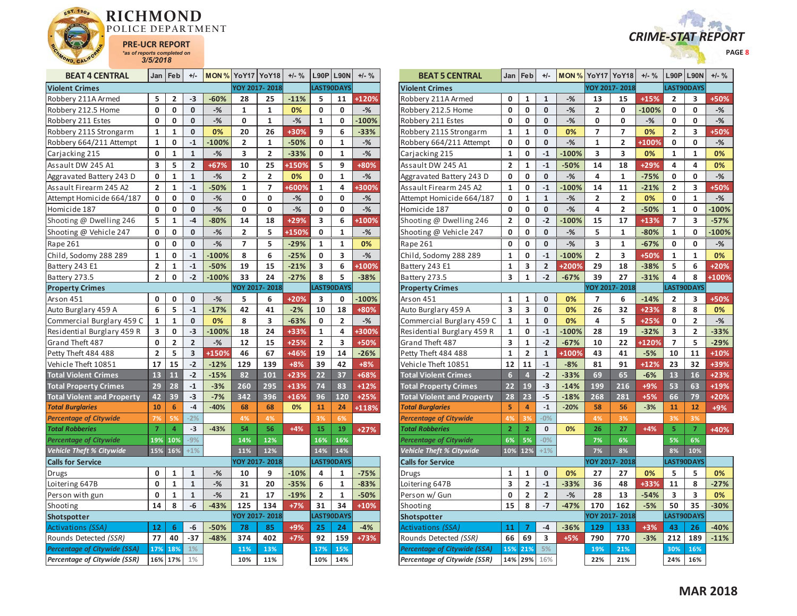



| <b>BEAT 4 CENTRAL</b>               | Jan            | Feb                     | $+/-$          |         | <b>MON % YoY17 YoY18</b> |                         | $+/-$ % |                | $L90P$   L90N | $+/-$ % |
|-------------------------------------|----------------|-------------------------|----------------|---------|--------------------------|-------------------------|---------|----------------|---------------|---------|
| <b>Violent Crimes</b>               |                |                         |                |         |                          | YOY 2017-2018           |         |                | LAST90DAYS    |         |
| Robbery 211A Armed                  | 5              | 2                       | -3             | $-60%$  | 28                       | 25                      | $-11%$  | 5              | 11            | $+120%$ |
| Robbery 212.5 Home                  | 0              | 0                       | 0              | $-%$    | 1                        | 1                       | 0%      | 0              | 0             | $-$ %   |
| Robbery 211 Estes                   | 0              | 0                       | 0              | $-%$    | 0                        | $\mathbf{1}$            | $-$ %   | 1              | 0             | $-100%$ |
| Robbery 211S Strongarm              | $\mathbf{1}$   | 1                       | 0              | 0%      | 20                       | 26                      | +30%    | 9              | 6             | $-33%$  |
| Robbery 664/211 Attempt             | $\mathbf{1}$   | 0                       | $-1$           | $-100%$ | 2                        | $\mathbf{1}$            | $-50%$  | 0              | 1             | $-$ %   |
| Carjacking 215                      | 0              | $\overline{\mathbf{1}}$ | $\mathbf{1}$   | $-%$    | 3                        | $\overline{2}$          | $-33%$  | 0              | $\mathbf{1}$  | $-$ %   |
| Assault DW 245 A1                   | 3              | 5                       | $\overline{2}$ | +67%    | 10                       | 25                      | +150%   | 5              | 9             | +80%    |
| Aggravated Battery 243 D            | 0              | $\overline{1}$          | $\overline{1}$ | $-%$    | $\overline{2}$           | $\overline{\mathbf{c}}$ | 0%      | 0              | $\mathbf{1}$  | $-$ %   |
| Assault Firearm 245 A2              | $\overline{2}$ | $\mathbf{1}$            | $-1$           | $-50%$  | $\mathbf 1$              | 7                       | +600%   | 1              | 4             | +300%   |
| Attempt Homicide 664/187            | 0              | 0                       | 0              | $-%$    | 0                        | 0                       | $-$ %   | 0              | 0             | $-$ %   |
| Homicide 187                        | 0              | 0                       | 0              | $-%$    | 0                        | 0                       | $-%$    | 0              | 0             | $-%$    |
| Shooting @ Dwelling 246             | 5              | 1                       | -4             | $-80%$  | 14                       | 18                      | $+29%$  | 3              | 6             | +100%   |
| Shooting @ Vehicle 247              | 0              | 0                       | 0              | $-%$    | $\overline{2}$           | 5                       | +150%   | 0              | 1             | $-%$    |
| Rape 261                            | 0              | 0                       | 0              | $-%$    | 7                        | 5                       | $-29%$  | 1              | $\mathbf{1}$  | 0%      |
| Child, Sodomy 288 289               | $\mathbf{1}$   | 0                       | $-1$           | $-100%$ | 8                        | 6                       | $-25%$  | 0              | 3             | $-$ %   |
| Battery 243 E1                      | $\overline{2}$ | $\mathbf{1}$            | $-1$           | $-50%$  | 19                       | 15                      | $-21%$  | 3              | 6             | +100%   |
| Battery 273.5                       | $\overline{2}$ | 0                       | $-2$           | $-100%$ | 33                       | 24                      | $-27%$  | 8              | 5             | $-38%$  |
| <b>Property Crimes</b>              |                |                         |                |         |                          | YOY 2017-2018           |         |                | LAST90DAYS    |         |
| Arson 451                           | 0              | 0                       | 0              | $-$ %   | 5                        | 6                       | +20%    | 3              | 0             | $-100%$ |
| Auto Burglary 459 A                 | 6              | 5                       | $-1$           | $-17%$  | 42                       | 41                      | $-2%$   | 10             | 18            | +80%    |
| Commercial Burglary 459 C           | 1              | 1                       | 0              | 0%      | 8                        | 3                       | $-63%$  | 0              | 2             | $-$ %   |
| Residential Burglary 459 R          | 3              | 0                       | $-3$           | $-100%$ | 18                       | 24                      | +33%    | 1              | 4             | +300%   |
| Grand Theft 487                     | 0              | $\overline{2}$          | $\overline{2}$ | $-$ %   | 12                       | 15                      | $+25%$  | $\overline{2}$ | 3             | $+50%$  |
| Petty Theft 484 488                 | $\overline{2}$ | 5                       | 3              | +150%   | 46                       | 67                      | +46%    | 19             | 14            | $-26%$  |
| Vehicle Theft 10851                 | 17             | 15                      | $-2$           | $-12%$  | 129                      | 139                     | $+8%$   | 39             | 42            | $+8%$   |
| <b>Total Violent Crimes</b>         | 13             | 11                      | $-2$           | $-15%$  | 82                       | 101                     | $+23%$  | 22             | 37            | +68%    |
| <b>Total Property Crimes</b>        | 29             | 28                      | $-1$           | $-3%$   | 260                      | 295                     | $+13%$  | 74             | 83            | $+12%$  |
| <b>Total Violent and Property</b>   | 42             | 39                      | $-3$           | $-7%$   | 342                      | 396                     | $+16%$  | 96             | 120           | $+25%$  |
| <b>Total Burglaries</b>             | 10             | 6                       | $-4$           | $-40%$  | 68                       | 68                      | 0%      | 11             | 24            | +118%   |
| <b>Percentage of Citywide</b>       | 7%             | 5%                      | $-2%$          |         | 4%                       | 4%                      |         | 3%             | 6%            |         |
| <b>Total Robberies</b>              | $\overline{7}$ | $\overline{a}$          | $-3$           | $-43%$  | 54                       | 56                      | $+4%$   | 15             | 19            | $+27%$  |
| <b>Percentage of Citywide</b>       | 19%            | 10%                     | $-9%$          |         | 14%                      | 12%                     |         | 16%            | 16%           |         |
| <b>Vehicle Theft % Citywide</b>     | 15%            | 16%                     | $+1%$          |         | 11%                      | 12%                     |         | 14%            | 14%           |         |
| <b>Calls for Service</b>            |                |                         |                |         |                          | YOY 2017-2018           |         |                | LAST90DAYS    |         |
| Drugs                               | 0              | 1                       | 1              | $-$ %   | 10                       | 9                       | $-10%$  | 4              | 1             | $-75%$  |
| Loitering 647B                      | 0              | $\overline{\mathbf{1}}$ | $\overline{1}$ | $-%$    | 31                       | 20                      | $-35%$  | 6              | $\mathbf{1}$  | $-83%$  |
| Person with gun                     | 0              | $\mathbf{1}$            | $\mathbf{1}$   | $-%$    | 21                       | 17                      | $-19%$  | $\overline{2}$ | 1             | $-50%$  |
| Shooting                            | 14             | 8                       | $-6$           | $-43%$  | 125                      | 134                     | $+7%$   | 31             | 34            | $+10%$  |
| Shotspotter                         |                |                         |                |         |                          | YOY 2017-2018           |         |                | LAST90DAYS    |         |
| Activations (SSA)                   | 12             | 6                       | -6             | $-50%$  | 78                       | 85                      | $+9%$   | 25             | 24            | $-4%$   |
| Rounds Detected (SSR)               | 77             | 40                      | $-37$          | $-48%$  | 374                      | 402                     | $+7%$   | 92             | 159           | $+73%$  |
| <b>Percentage of Citywide (SSA)</b> | 17%            | 18%                     | 1%             |         | 11%                      | 13%                     |         | 17%            | 15%           |         |
| Percentage of Citywide (SSR)        |                | 16% 17%                 | $1\%$          |         | 10%                      | 11%                     |         | 10%            | 14%           |         |

| <b>BEAT 5 CENTRAL</b>               |                         | Jan Feb                 | $+/-$                   |         | <b>MON % YoY17 YoY18</b> |               | $+/-$ % |                | <b>L90P L90N</b>        | $+/-$ % |
|-------------------------------------|-------------------------|-------------------------|-------------------------|---------|--------------------------|---------------|---------|----------------|-------------------------|---------|
| <b>Violent Crimes</b>               |                         |                         |                         |         |                          | YOY 2017-2018 |         |                | LAST90DAYS              |         |
| Robbery 211A Armed                  | 0                       | 1                       | 1                       | $-%$    | 13                       | 15            | $+15%$  | 2              | 3                       | +50%    |
| Robbery 212.5 Home                  | 0                       | 0                       | 0                       | $-$ %   | 2                        | 0             | $-100%$ | 0              | 0                       | $-%$    |
| Robbery 211 Estes                   | 0                       | 0                       | 0                       | $-%$    | 0                        | 0             | $-%$    | 0              | 0                       | $-$ %   |
| Robbery 211S Strongarm              | $\mathbf{1}$            | $\mathbf{1}$            | 0                       | 0%      | 7                        | 7             | 0%      | $\overline{2}$ | 3                       | +50%    |
| Robbery 664/211 Attempt             | 0                       | 0                       | 0                       | $-%$    | 1                        | 2             | +100%   | 0              | 0                       | $-%$    |
| Carjacking 215                      | $\mathbf{1}$            | 0                       | $-1$                    | $-100%$ | 3                        | 3             | 0%      | 1              | $\mathbf{1}$            | 0%      |
| Assault DW 245 A1                   | 2                       | $\mathbf{1}$            | $-1$                    | $-50%$  | 14                       | 18            | $+29%$  | 4              | 4                       | 0%      |
| Aggravated Battery 243 D            | 0                       | 0                       | 0                       | $-$ %   | 4                        | $\mathbf{1}$  | $-75%$  | 0              | 0                       | $-$ %   |
| Assault Firearm 245 A2              | $\mathbf{1}$            | 0                       | $-1$                    | $-100%$ | 14                       | 11            | $-21%$  | $\overline{2}$ | 3                       | +50%    |
| Attempt Homicide 664/187            | 0                       | $\mathbf{1}$            | $\mathbf{1}$            | $-%$    | 2                        | 2             | 0%      | 0              | 1                       | $-%$    |
| Homicide 187                        | 0                       | 0                       | 0                       | $-%$    | 4                        | 2             | $-50%$  | 1              | 0                       | $-100%$ |
| Shooting @ Dwelling 246             | $\overline{\mathbf{c}}$ | 0                       | $-2$                    | $-100%$ | 15                       | 17            | $+13%$  | 7              | 3                       | $-57%$  |
| Shooting @ Vehicle 247              | 0                       | 0                       | 0                       | $-$ %   | 5                        | $\mathbf{1}$  | $-80%$  | 1              | 0                       | $-100%$ |
| Rape 261                            | 0                       | 0                       | 0                       | $-%$    | 3                        | 1             | $-67%$  | 0              | 0                       | $-%$    |
| Child, Sodomy 288 289               | $\mathbf 1$             | 0                       | $-1$                    | $-100%$ | 2                        | 3             | +50%    | 1              | 1                       | 0%      |
| Battery 243 E1                      | $\mathbf{1}$            | 3                       | $\overline{\mathbf{2}}$ | +200%   | 29                       | 18            | $-38%$  | 5              | 6                       | $+20%$  |
| Battery 273.5                       | 3                       | $\mathbf{1}$            | $-2$                    | $-67%$  | 39                       | 27            | $-31%$  | 4              | 8                       | +100%   |
| <b>Property Crimes</b>              |                         |                         |                         |         |                          | YOY 2017-2018 |         |                | LAST90DAYS              |         |
| Arson 451                           | $\mathbf 1$             | $\mathbf 1$             | 0                       | 0%      | 7                        | 6             | $-14%$  | 2              | 3                       | +50%    |
| Auto Burglary 459 A                 | 3                       | 3                       | 0                       | 0%      | 26                       | 32            | $+23%$  | 8              | 8                       | 0%      |
| Commercial Burglary 459 C           | $\mathbf{1}$            | $\mathbf{1}$            | 0                       | 0%      | 4                        | 5             | $+25%$  | 0              | $\overline{\mathbf{c}}$ | $-$ %   |
| Residential Burglary 459 R          | $\mathbf{1}$            | 0                       | $-1$                    | $-100%$ | 28                       | 19            | $-32%$  | 3              | $\overline{2}$          | $-33%$  |
| Grand Theft 487                     | 3                       | $\mathbf{1}$            | $-2$                    | $-67%$  | 10                       | 22            | +120%   | 7              | 5                       | $-29%$  |
| Petty Theft 484 488                 | $\mathbf{1}$            | $\overline{2}$          | $\mathbf{1}$            | +100%   | 43                       | 41            | $-5%$   | 10             | 11                      | $+10%$  |
| Vehicle Theft 10851                 | 12                      | 11                      | $-1$                    | $-8%$   | 81                       | 91            | $+12%$  | 23             | 32                      | $+39%$  |
| <b>Total Violent Crimes</b>         | $6\phantom{.}6$         | $\overline{4}$          | $-2$                    | $-33%$  | 69                       | 65            | $-6%$   | 13             | 16                      | $+23%$  |
| <b>Total Property Crimes</b>        | 22                      | 19                      | $-3$                    | $-14%$  | 199                      | 216           | +9%     | 53             | 63                      | +19%    |
| <b>Total Violent and Property</b>   | 28                      | 23                      | $-5$                    | $-18%$  | 268                      | 281           | $+5%$   | 66             | 79                      | $+20%$  |
| <b>Total Burglaries</b>             | 5                       | 4                       | $-1$                    | $-20%$  | 58                       | 56            | $-3%$   | 11             | 12                      | +9%     |
| <b>Percentage of Citywide</b>       | 4%                      | 3%                      | $-0%$                   |         | 4%                       | 3%            |         | 3%             | 3%                      |         |
| <b>Total Robberies</b>              | $\overline{2}$          | $\overline{2}$          | 0                       | 0%      | 26                       | 27            | $+4%$   | 5              | $\overline{7}$          | +40%    |
| <b>Percentage of Citywide</b>       | 6%                      | 5%                      | $-0%$                   |         | 7%                       | 6%            |         | 5%             | 6%                      |         |
| <b>Vehicle Theft % Citywide</b>     | 10%                     | 12%                     | $+1%$                   |         | 7%                       | 8%            |         | 8%             | 10%                     |         |
| <b>Calls for Service</b>            |                         |                         |                         |         |                          | YOY 2017-2018 |         |                | LAST90DAYS              |         |
| Drugs                               | $\mathbf{1}$            | 1                       | 0                       | 0%      | 27                       | 27            | 0%      | 5              | 5                       | 0%      |
| Loitering 647B                      | 3                       | $\overline{\mathbf{c}}$ | $-1$                    | $-33%$  | 36                       | 48            | +33%    | 11             | 8                       | $-27%$  |
| Person w/ Gun                       | 0                       | 2                       | $\overline{\mathbf{2}}$ | $-%$    | 28                       | 13            | $-54%$  | 3              | 3                       | 0%      |
| Shooting                            | 15                      | 8                       | $-7$                    | $-47%$  | 170                      | 162           | $-5%$   | 50             | 35                      | $-30%$  |
| Shotspotter                         |                         |                         |                         |         |                          | YOY 2017-2018 |         |                | LAST90DAYS              |         |
| Activations (SSA)                   | 11                      | 7                       | $-4$                    | $-36%$  | 129                      | 133           | $+3%$   | 43             | 26                      | $-40%$  |
| Rounds Detected (SSR)               | 66                      | 69                      | 3                       | $+5%$   | 790                      | 770           | $-3%$   | 212            | 189                     | $-11%$  |
| <b>Percentage of Citywide (SSA)</b> | 15%                     | 21%                     | 5%                      |         | 19%                      | 21%           |         | 30%            | 16%                     |         |
| Percentage of Citywide (SSR)        |                         | 14% 29%                 | 16%                     |         | 22%                      | 21%           |         | 24%            | 16%                     |         |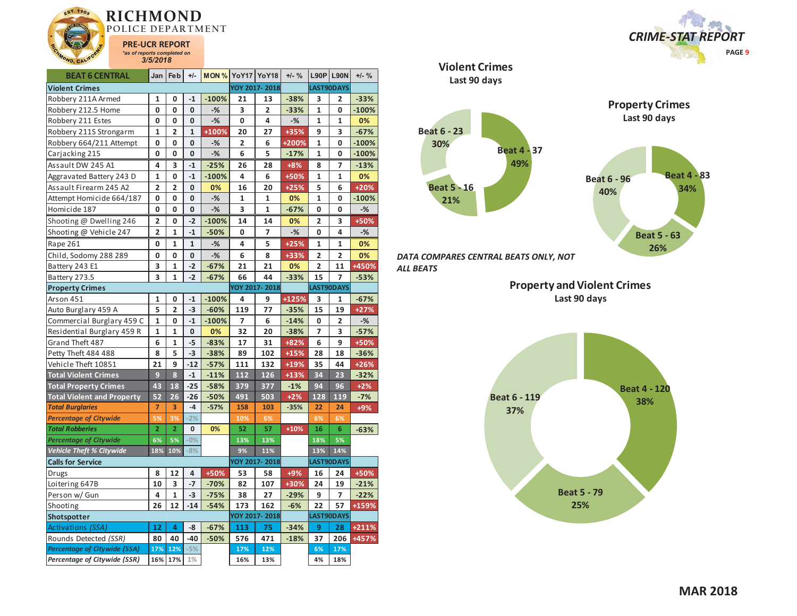

| <b>BEAT 6 CENTRAL</b>             | Jan                     | Feb            | $+/-$        | <b>MON % YoY17 YoY18</b> |     |                | $+/-$ % |                         | <b>L90P L90N</b> | $+/-$ % |
|-----------------------------------|-------------------------|----------------|--------------|--------------------------|-----|----------------|---------|-------------------------|------------------|---------|
| <b>Violent Crimes</b>             |                         |                |              |                          |     | YOY 2017-2018  |         |                         | LAST90DAYS       |         |
| Robbery 211A Armed                | 1                       | 0              | $-1$         | $-100%$                  | 21  | 13             | $-38%$  | 3                       | 2                | $-33%$  |
| Robbery 212.5 Home                | 0                       | 0              | $\mathbf{0}$ | $-%$                     | 3   | $\overline{2}$ | $-33%$  | 1                       | 0                | $-100%$ |
| Robbery 211 Estes                 | 0                       | 0              | 0            | $-$ %                    | 0   | 4              | $-%$    | 1                       | 1                | 0%      |
| Robbery 211S Strongarm            | 1                       | 2              | $\mathbf{1}$ | +100%                    | 20  | 27             | +35%    | 9                       | 3                | $-67%$  |
| Robbery 664/211 Attempt           | 0                       | 0              | 0            | $-%$                     | 2   | 6              | +200%   | 1                       | 0                | $-100%$ |
| Carjacking 215                    | 0                       | 0              | 0            | $-%$                     | 6   | 5              | $-17%$  | $\mathbf{1}$            | 0                | $-100%$ |
| Assault DW 245 A1                 | 4                       | 3              | $-1$         | $-25%$                   | 26  | 28             | $+8%$   | 8                       | 7                | $-13%$  |
| Aggravated Battery 243 D          | $\mathbf{1}$            | 0              | $-1$         | $-100%$                  | 4   | 6              | +50%    | $\mathbf{1}$            | 1                | 0%      |
| Assault Firearm 245 A2            | $\overline{\mathbf{c}}$ | $\overline{2}$ | 0            | 0%                       | 16  | 20             | $+25%$  | 5                       | 6                | $+20%$  |
| Attempt Homicide 664/187          | 0                       | 0              | $\mathbf{0}$ | $-%$                     | 1   | 1              | 0%      | $\mathbf{1}$            | 0                | $-100%$ |
| Homicide 187                      | 0                       | 0              | 0            | $-%$                     | 3   | 1              | $-67%$  | 0                       | 0                | -%      |
| Shooting @ Dwelling 246           | 2                       | 0              | $-2$         | $-100%$                  | 14  | 14             | 0%      | 2                       | 3                | +50%    |
| Shooting @ Vehicle 247            | 2                       | $\mathbf{1}$   | $-1$         | $-50%$                   | 0   | $\overline{7}$ | $-$ %   | 0                       | 4                | $-%$    |
| Rape 261                          | 0                       | $\mathbf 1$    | 1            | $-$ %                    | 4   | 5              | $+25%$  | 1                       | 1                | 0%      |
| Child, Sodomy 288 289             | 0                       | 0              | 0            | $-$ %                    | 6   | 8              | +33%    | $\overline{2}$          | 2                | 0%      |
| Battery 243 E1                    | 3                       | $\mathbf 1$    | $-2$         | $-67%$                   | 21  | 21             | 0%      | $\overline{\mathbf{c}}$ | 11               | +450%   |
| Battery 273.5                     | 3                       | 1              | $-2$         | $-67%$                   | 66  | 44             | $-33%$  | 15                      | 7                | $-53%$  |
| <b>Property Crimes</b>            |                         |                |              |                          |     | YOY 2017-2018  |         |                         | LAST90DAYS       |         |
| Arson 451                         | $\mathbf{1}$            | 0              | $-1$         | $-100%$                  | 4   | 9              | +125%   | 3                       | 1                | $-67%$  |
| Auto Burglary 459 A               | 5                       | $\overline{2}$ | $-3$         | $-60%$                   | 119 | 77             | $-35%$  | 15                      | 19               | $+27%$  |
| Commercial Burglary 459 C         | 1                       | 0              | $-1$         | $-100%$                  | 7   | 6              | $-14%$  | 0                       | 2                | $-%$    |
| Residential Burglary 459 R        | 1                       | 1              | 0            | 0%                       | 32  | 20             | $-38%$  | 7                       | 3                | $-57%$  |
| Grand Theft 487                   | 6                       | 1              | $-5$         | $-83%$                   | 17  | 31             | +82%    | 6                       | 9                | +50%    |
| Petty Theft 484 488               | 8                       | 5              | $-3$         | $-38%$                   | 89  | 102            | $+15%$  | 28                      | 18               | $-36%$  |
| Vehicle Theft 10851               | 21                      | 9              | $-12$        | $-57%$                   | 111 | 132            | +19%    | 35                      | 44               | $+26%$  |
| <b>Total Violent Crimes</b>       | 9                       | 8              | $-1$         | $-11%$                   | 112 | 126            | $+13%$  | 34                      | 23               | $-32%$  |
| <b>Total Property Crimes</b>      | 43                      | 18             | $-25$        | $-58%$                   | 379 | 377            | $-1%$   | 94                      | 96               | $+2%$   |
| <b>Total Violent and Property</b> | 52                      | 26             | $-26$        | $-50%$                   | 491 | 503            | $+2%$   | 128                     | 119              | $-7%$   |
| <b>Total Burglaries</b>           | 7                       | 3              | $-4$         | $-57%$                   | 158 | 103            | $-35%$  | 22                      | 24               | +9%     |
| <b>Percentage of Citywide</b>     | 5%                      | 3%             | $-2%$        |                          | 10% | 6%             |         | 6%                      | 6%               |         |
| <b>Total Robberies</b>            | $\overline{2}$          | $\overline{2}$ | 0            | 0%                       | 52  | 57             | $+10%$  | 16                      | 6                | $-63%$  |
| <b>Percentage of Citywide</b>     | 6%                      | 5%             | $-0%$        |                          | 13% | 13%            |         | 18%                     | 5%               |         |
| <b>Vehicle Theft % Citywide</b>   | 18%                     | 10%            | $-8%$        |                          | 9%  | 11%            |         | 13%                     | 14%              |         |
| <b>Calls for Service</b>          |                         |                |              |                          |     | YOY 2017-2018  |         |                         | LAST90DAYS       |         |
| Drugs                             | 8                       | 12             | 4            | +50%                     | 53  | 58             | +9%     | 16                      | 24               | +50%    |
| Loitering 647B                    | 10                      | 3              | $-7$         | $-70%$                   | 82  | 107            | +30%    | 24                      | 19               | $-21%$  |
| Person w/ Gun                     | 4                       | 1              | $-3$         | $-75%$                   | 38  | 27             | $-29%$  | 9                       | 7                | $-22%$  |
| Shooting                          | 26                      | 12             | $-14$        | $-54%$                   | 173 | 162            | $-6%$   | 22                      | 57               | +159%   |
| Shotspotter                       |                         |                |              |                          |     | YOY 2017-2018  |         |                         | LAST90DAYS       |         |
| Activations (SSA)                 | 12                      | 4              | -8           | $-67%$                   | 113 | 75             | $-34%$  | 9                       | 28               | +211%   |
| Rounds Detected (SSR)             | 80                      | 40             | $-40$        | $-50%$                   | 576 | 471            | $-18%$  | 37                      | 206              | +457%   |
| Percentage of Citywide (SSA)      | 17%                     | 12%            | $-5%$        |                          | 17% | 12%            |         | 6%                      | 17%              |         |
| Percentage of Citywide (SSR)      | 16%                     | 17%            | 1%           |                          | 16% | 13%            |         | 4%                      | 18%              |         |

 *CRIME-STAT REPORT* **PAGE 9**



*DATA COMPARES CENTRAL BEATS ONLY, NOT ALL BEATS* 

**Violent Crimes**

**Property and Violent Crimes Last 90 days**

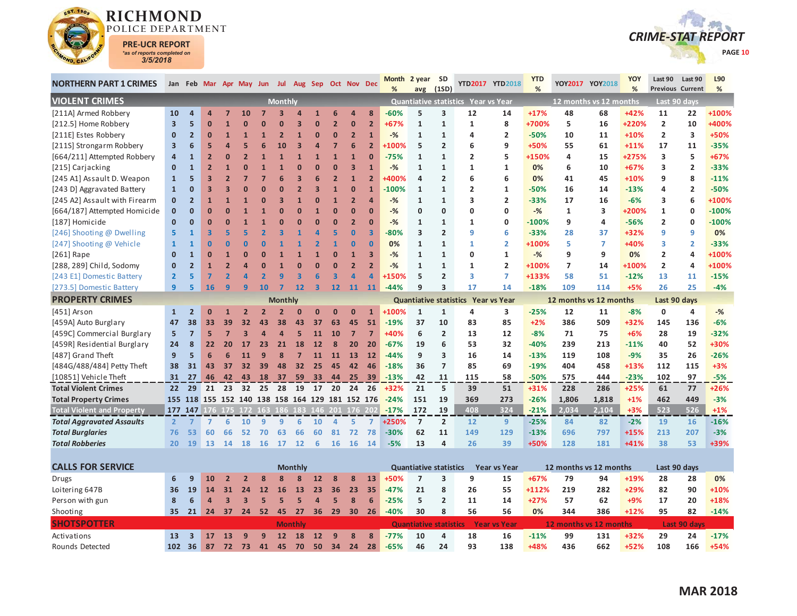

Activations

Rounds Detected

**13 3 17 13 9 9 12 18 12 9 8 8 -77%**

**102 36 87 72 73 41 45 70 50 34 24 28 -65%**



| <b>NORTHERN PART 1 CRIMES</b>        |                         |                |                         |                |                 | Jan Feb Mar Apr May Jun Jul Aug Sep Oct Nov Dec |                |                |                 |                |                         |                               | %       | Month 2 year<br>avg           | <b>SD</b><br>(1SD)  |                                     | YTD2017 YTD2018        | <b>YTD</b><br>% |                        | YOY2017 YOY2018        | YOY<br>%     | Last 90<br><b>Previous Current</b> | Last 90        | L90<br>% |
|--------------------------------------|-------------------------|----------------|-------------------------|----------------|-----------------|-------------------------------------------------|----------------|----------------|-----------------|----------------|-------------------------|-------------------------------|---------|-------------------------------|---------------------|-------------------------------------|------------------------|-----------------|------------------------|------------------------|--------------|------------------------------------|----------------|----------|
| <b>VIOLENT CRIMES</b>                |                         |                |                         |                |                 |                                                 | <b>Monthly</b> |                |                 |                |                         |                               |         |                               |                     | Quantiative statistics Year vs Year |                        |                 |                        | 12 months vs 12 months |              |                                    | Last 90 days   |          |
| [211A] Armed Robbery                 | 10                      | $\overline{a}$ | $\Delta$                | 7              | <b>10</b>       |                                                 |                |                | 1               | 6              | 4                       | 8                             | $-60%$  | 5                             | 3                   | 12                                  | 14                     | $+17%$          | 48                     | 68                     | +42%         | 11                                 | 22             | +100%    |
| [212.5] Home Robbery                 | $\overline{\mathbf{3}}$ | 5              | $\bf{0}$                |                |                 |                                                 |                | В              | $\overline{0}$  | $\overline{2}$ | $\mathbf{0}$            | $\overline{2}$                | $+67%$  | $\mathbf{1}$                  | $\mathbf{1}$        | 1                                   | 8                      | +700%           | 5                      | 16                     | +220%        | $\overline{2}$                     | 10             | +400%    |
| [211E] Estes Robbery                 | $\mathbf{0}$            | $\overline{2}$ | $\mathbf{0}$            |                |                 |                                                 |                |                | $\overline{0}$  | $\Omega$       | $\overline{2}$          | $\mathbf{1}$                  | $-%$    | $\mathbf{1}$                  | $\mathbf{1}$        | 4                                   | $\overline{2}$         | $-50%$          | 10                     | 11                     | $+10%$       | $\overline{2}$                     | 3              | +50%     |
| [211S] Strongarm Robbery             | 3                       | 6              | 5                       | Δ              |                 |                                                 | 10             | в              | Δ               | 7              | 6                       | $\overline{2}$                | +100%   | 5                             | $\overline{2}$      | 6                                   | 9                      | +50%            | 55                     | 61                     | $+11%$       | 17                                 | 11             | $-35%$   |
| [664/211] Attempted Robbery          | $\overline{a}$          | $\mathbf{1}$   | $\overline{2}$          | $\Omega$       |                 |                                                 |                |                | $\mathbf{1}$    | $\overline{1}$ | $\overline{1}$          | $\Omega$                      | $-75%$  | $\mathbf{1}$                  | $\mathbf{1}$        | $\overline{2}$                      | 5                      | +150%           | 4                      | 15                     | +275%        | 3                                  | 5              | $+67%$   |
| [215] Carjacking                     | $\mathbf{0}$            | $\mathbf{1}$   | $\overline{2}$          |                |                 |                                                 |                |                | 0               | $\Omega$       | $\overline{\mathbf{3}}$ | $\mathbf{1}$                  | $-%$    | 1                             | $\mathbf{1}$        | 1                                   | 1                      | 0%              | 6                      | 10                     | $+67%$       | 3                                  | $\overline{2}$ | $-33%$   |
| [245 A1] Assault D. Weapon           | $\mathbf{1}$            | 5              | 3                       |                |                 |                                                 |                | В              |                 | $\overline{2}$ | $\mathbf{1}$            | $\overline{2}$                | 400%    | 4                             | $\overline{2}$      | 6                                   | 6                      | 0%              | 41                     | 45                     | +10%         | 9                                  | 8              | $-11%$   |
| [243 D] Aggravated Battery           | $\mathbf{1}$            | 0              | 3                       |                |                 |                                                 |                | 2              | R               | $\overline{1}$ | $\mathbf{0}$            | $\overline{1}$                | $-100%$ | $\mathbf{1}$                  | $\mathbf{1}$        | $\overline{2}$                      | $\mathbf{1}$           | $-50%$          | 16                     | 14                     | $-13%$       | 4                                  | $\overline{2}$ | $-50%$   |
| [245 A2] Assault with Firearm        | $\mathbf{0}$            | $\overline{2}$ | $\mathbf{1}$            |                |                 |                                                 | 3              | $\mathbf{1}$   | 0               | $\overline{1}$ | $\overline{2}$          | $\Delta$                      | $-%$    | $\mathbf{1}$                  | $\mathbf{1}$        | 3                                   | $\overline{2}$         | $-33%$          | 17                     | 16                     | $-6%$        | 3                                  | 6              | +100%    |
| [664/187] Attempted Homicide         | $\mathbf{0}$            | $\overline{0}$ | $\Omega$                |                |                 |                                                 | $\mathbf{0}$   | $\Omega$       | 1               | $\overline{0}$ | $\mathbf{0}$            | $\Omega$                      | $-%$    | 0                             | 0                   | $\mathbf 0$                         | 0                      | $-%$            | 1                      | 3                      | +200%        | $\mathbf{1}$                       | 0              | $-100%$  |
| [187] Homicide                       | $\mathbf{0}$            | $\overline{0}$ | O                       |                |                 |                                                 |                | n              | $\overline{0}$  | $\overline{0}$ | $\overline{2}$          | $\Omega$                      | $-%$    | $\mathbf{1}$                  | $\mathbf{1}$        | $\mathbf{1}$                        | 0                      | $-100%$         | 9                      | 4                      | $-56%$       | $\overline{2}$                     | 0              | $-100%$  |
| [246] Shooting @ Dwelling            | 5                       | $\mathbf{1}$   | $\overline{\mathbf{3}}$ |                |                 |                                                 |                |                |                 | 5              | $\bf{0}$                | $\overline{\mathbf{3}}$       | $-80%$  | 3                             | $\overline{2}$      | 9                                   | 6                      | $-33%$          | 28                     | 37                     | +32%         | 9                                  | 9              | 0%       |
| [247] Shooting @ Vehicle             | $\mathbf{1}$            | $\mathbf{1}$   | $\bf{0}$                | n              |                 |                                                 |                |                |                 | 1              | $\mathbf{0}$            | $\Omega$                      | 0%      | $\mathbf{1}$                  | $\mathbf{1}$        | $\mathbf{1}$                        | $\overline{2}$         | +100%           | 5                      | 7                      | +40%         | 3                                  | $\overline{2}$ | $-33%$   |
| [261] Rape                           | $\mathbf{0}$            | $\mathbf{1}$   | $\Omega$                |                |                 |                                                 |                |                | 1               | $\overline{0}$ | $\mathbf{1}$            | $\overline{\mathbf{3}}$       | $-%$    | $\mathbf{1}$                  | $\mathbf{1}$        | $\mathbf 0$                         | $\mathbf{1}$           | $-%$            | 9                      | 9                      | 0%           | $\overline{2}$                     | 4              | +100%    |
| [288, 289] Child, Sodomy             | $\mathbf{0}$            | $\overline{2}$ |                         |                |                 | O                                               |                | ŋ              | $\overline{0}$  | $\mathbf 0$    | $\overline{2}$          | $\overline{2}$                | $-%$    | $\mathbf{1}$                  | $\mathbf{1}$        | 1                                   | $\overline{2}$         | +100%           | $\overline{7}$         | 14                     | +100%        | $\overline{2}$                     | 4              | +100%    |
| [243 E1] Domestic Battery            | $\overline{2}$          | 5              | 7                       |                |                 |                                                 |                | з              | 6               | 3              | Δ                       | $\overline{a}$                | +150%   | 5                             | $\overline{2}$      | 3                                   | $\overline{7}$         | +133%           | 58                     | 51                     | $-12%$       | 13                                 | 11             | $-15%$   |
| [273.5] Domestic Battery             | 9                       | 5              | 16                      | q              |                 | 10                                              |                | 12             | 3               | 12             | 11                      | 11                            | $-44%$  | 9                             | 3                   | 17                                  | 14                     | $-18%$          | 109                    | 114                    | $+5%$        | 26                                 | 25             | $-4%$    |
| <b>PROPERTY CRIMES</b>               |                         |                |                         |                |                 |                                                 | <b>Monthly</b> |                |                 |                |                         |                               |         |                               |                     | Quantiative statistics Year vs Year |                        |                 | 12 months vs 12 months |                        |              | Last 90 days                       |                |          |
| [451] Arson                          | $\mathbf{1}$            | $\overline{2}$ | $\bf{0}$                |                |                 |                                                 |                |                | 0               | $\Omega$       | $\mathbf 0$             | $\mathbf{1}$                  | $+100%$ | $\mathbf{1}$                  | $\mathbf{1}$        | $\overline{a}$                      | 3                      | $-25%$          | 12                     | 11                     | $-8%$        | $\mathbf 0$                        | 4              | $-%$     |
| [459A] Auto Burglary                 | 47                      | 38             | 33                      | 39             | 32              | 43                                              | 38             | 43             | 37              | 63             | 45                      | 51                            | $-19%$  | 37                            | 10                  | 83                                  | 85                     | $+2%$           | 386                    | 509                    | +32%         | 145                                | 136            | $-6%$    |
| [459C] Commercial Burglary           | 5                       | $\overline{7}$ | 5                       | $\overline{ }$ |                 | Δ                                               | $\Delta$       | 5              | 11              | 10             | $\overline{7}$          | $\overline{\mathbf{z}}$       | +40%    | 6                             | $\overline{2}$      | 13                                  | 12                     | $-8%$           | 71                     | 75                     | $+6%$        | 28                                 | 19             | $-32%$   |
| [459R] Residential Burglary          | 24                      | 8              | 22                      | 20             | 17              | 23                                              | 21             | 18             | 12              | 8              | 20                      | 20                            | $-67%$  | 19                            | 6                   | 53                                  | 32                     | $-40%$          | 239                    | 213                    | $-11%$       | 40                                 | 52             | +30%     |
| [487] Grand Theft                    | 9                       | 5              | 6                       | 6              |                 |                                                 | 8              | 7              | 11              | <b>11</b>      | 13                      | 12                            | $-44%$  | 9                             | 3                   | 16                                  | 14                     | $-13%$          | 119                    | 108                    | $-9%$        | 35                                 | 26             | $-26%$   |
| [484G/488/484] Petty Theft           | 38                      | 31             | 43                      | 37             | 32              | 39                                              | 48             | 32             | 25              | 45             | 42                      | 46                            | $-18%$  | 36                            | $\overline{7}$      | 85                                  | 69                     | $-19%$          | 404                    | 458                    | $+13%$       | 112                                | 115            | $+3%$    |
| [10851] Vehicle Theft                | 31                      | 27             | 46                      | 42             | 43              | 18                                              | 37             | 59             | 33 <sup>2</sup> | 44             | 25                      | - 39                          | $-13%$  | 42                            | 11                  | 115                                 | 58                     | $-50%$          | 575                    | 444                    | $-23%$       | 102                                | 97             | $-5%$    |
| <b>Total Violent Crimes</b>          | 22                      | 29             | 21                      | 23             | 32 <sup>2</sup> | 25                                              | 28             | 19             | 17              | 20             | 24                      | 26                            | $+32%$  | 21                            | 5                   | 39                                  | 51                     | +31%            | 228                    | 286                    | $+25%$       | 61                                 | 77             | $+26%$   |
| <b>Total Property Crimes</b>         |                         |                |                         |                |                 | 155 118 155 152 140 138 158 164 129 181 152 176 |                |                |                 |                |                         |                               | $-24%$  | 151                           | 19                  | 369                                 | 273                    | $-26%$          | 1,806                  | 1,818                  | $+1%$        | 462                                | 449            | $-3%$    |
| <b>Total Violent and Property</b>    |                         | 177 147        |                         |                |                 | 176 175 172 163 186 183 146 201 176 202         |                |                |                 |                |                         |                               | $-17%$  | 172                           | 19                  | 408                                 | 324                    | $-21%$          | 2.034                  | 2,104                  | $+3%$        | 523                                | 526            | $+1%$    |
| <b>Total Aggravated Assaults</b>     | $\overline{2}$          |                | $\overline{7}$          | 6              | 10              | 9                                               | 9              | 6              | 10              | $\overline{4}$ | 5.                      | $\overline{7}$                | $+250%$ | $\overline{7}$                | $\overline{2}$      | 12                                  | $\overline{9}$         | $-25%$          | 84                     | 82                     | $-2%$        | 19                                 | 16             | $-16%$   |
| <b>Total Burglaries</b>              | 76                      | 53             | 60                      | 66             | 52              | 70                                              | 63             | 66             | 60              | 81             | 72                      | 78                            | $-30%$  | 62                            | 11                  | 149                                 | 129                    | $-13%$          | 696                    | 797                    | $+15%$       | 213                                | 207            | $-3%$    |
| <b>Total Robberies</b>               | 20                      | 19             | 13                      | 14             | 18              | <b>16</b>                                       | 17             | 12             | 6               | 16             | <b>16</b>               | 14                            | $-5%$   | 13                            | 4                   | 26                                  | 39                     | +50%            | 128                    | 181                    | $+41%$       | 38                                 | 53             | +39%     |
|                                      |                         |                |                         |                |                 |                                                 |                |                |                 |                |                         |                               |         |                               |                     |                                     |                        |                 |                        |                        |              |                                    |                |          |
| <b>CALLS FOR SERVICE</b>             |                         |                |                         |                |                 |                                                 |                | <b>Monthly</b> |                 |                |                         |                               |         | <b>Quantiative statistics</b> |                     |                                     | <b>Year vs Year</b>    |                 | 12 months vs 12 months |                        |              |                                    | Last 90 days   |          |
| Drugs                                | 6                       | 9              | 10                      | $\overline{2}$ | $\overline{2}$  | 8                                               | 8              | 8              | 12              | 8              | 8                       | 13                            | +50%    | $\overline{7}$                | 3                   | 9                                   | 15                     | $+67%$          | 79                     | 94                     | +19%         | 28                                 | 28             | 0%       |
| Loitering 647B                       | 36                      | 19             | 14                      | 31             | 24              | 12                                              | 16             | 13             | 23              | 36             | 23                      | 35                            | $-47%$  | 21                            | 8                   | 26                                  | 55                     | +112%           | 219                    | 282                    | +29%         | 82                                 | 90             | +10%     |
| Person with gun                      | 8                       | 6              | Δ                       | В              |                 |                                                 | 5              | 5              | Δ               | 5              | 8                       | 6                             | $-25%$  | 5                             | $\overline{2}$      | 11                                  | 14                     | $+27%$          | 57                     | 62                     | $+9%$        | 17                                 | 20             | +18%     |
| Shooting                             | 35                      | 21             | 24                      | 37             | 24              | 52                                              | 45             | 27             | 36              | 29             | 30                      | 26                            | $-40%$  | 30                            | 8                   | 56                                  | 56                     | 0%              | 344                    | 386                    | $+12%$       | 95                                 | 82             | $-14%$   |
| <b>SHOTSPOTTER</b><br><b>Monthly</b> |                         |                |                         |                |                 |                                                 |                |                |                 |                |                         | <b>Quantiative statistics</b> |         |                               | <b>Year vs Year</b> |                                     | 12 months vs 12 months |                 |                        |                        | Last 90 days |                                    |                |          |

**10 4 18 16 -11% 99 131 +32% 29 24 -17%**

**46 24 93 138 +48% 436 662 +52% 108 166 +54%**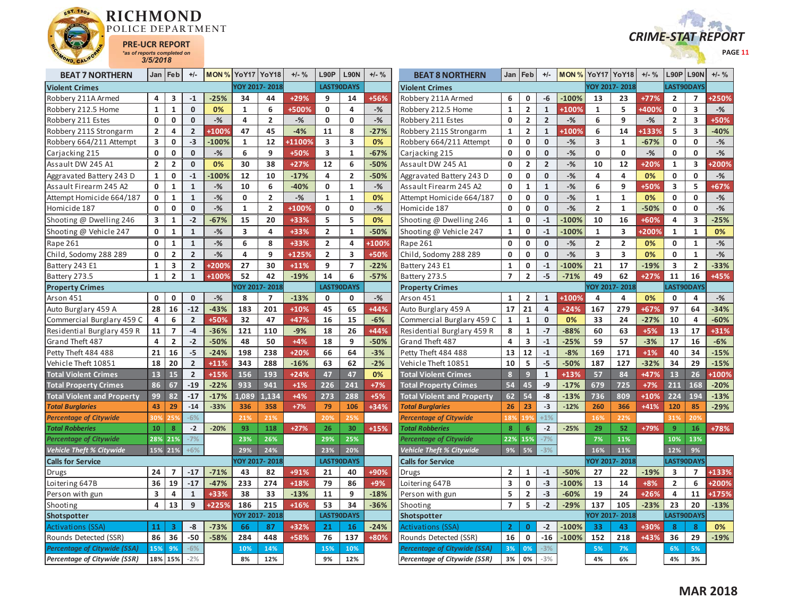



| <b>BEAT 7 NORTHERN</b>              | Jan                     | Feb                     | $+/-$          |         |                         | <b>MON % YoY17 YoY18</b> | $+/-$ % | L90P                    | <b>L90N</b>             | $+/-$ % | <b>BEAT 8 NORTHERN</b>              | Jan                     | Feb                     | $+/-$          | <b>MON % YoY17 YoY18</b> |                         |                         | $+/-$ % | L90P                    | <b>L90N</b>    | $+/-$ % |
|-------------------------------------|-------------------------|-------------------------|----------------|---------|-------------------------|--------------------------|---------|-------------------------|-------------------------|---------|-------------------------------------|-------------------------|-------------------------|----------------|--------------------------|-------------------------|-------------------------|---------|-------------------------|----------------|---------|
| <b>Violent Crimes</b>               |                         |                         |                |         |                         | YOY 2017-2018            |         |                         | LAST90DAYS              |         | <b>Violent Crimes</b>               |                         |                         |                |                          | YOY 2017-2018           |                         |         | LAST90DAYS              |                |         |
| Robbery 211A Armed                  | 4                       | 3                       | $-1$           | $-25%$  | 34                      | 44                       | +29%    | 9                       | 14                      | +56%    | Robbery 211A Armed                  | 6                       | 0                       | -6             | $-100%$                  | 13                      | 23                      | $+77%$  | $\overline{2}$          | $\overline{7}$ | +250%   |
| Robbery 212.5 Home                  | $\mathbf{1}$            | $\mathbf{1}$            | $\mathbf{0}$   | 0%      | $\mathbf{1}$            | 6                        | +500%   | $\mathbf 0$             | 4                       | $-$ %   | Robbery 212.5 Home                  | $\mathbf 1$             | $\overline{2}$          | $\mathbf 1$    | +100%                    | $\mathbf{1}$            | 5                       | +400%   | $\mathbf 0$             | 3              | $-$ %   |
| Robbery 211 Estes                   | $\mathbf 0$             | 0                       | $\mathbf 0$    | $-$ %   | 4                       | $\overline{2}$           | $-%$    | $\mathbf{0}$            | 0                       | $-$ %   | Robbery 211 Estes                   | 0                       | $\overline{2}$          | $\overline{2}$ | $-$ %                    | 6                       | 9                       | $-$ %   | $\overline{2}$          | 3              | +50%    |
| Robbery 211S Strongarm              | $\overline{2}$          | 4                       | $\overline{2}$ | +100%   | 47                      | 45                       | $-4%$   | 11                      | 8                       | $-27%$  | Robbery 211S Strongarm              | $\mathbf 1$             | $\overline{2}$          | $\mathbf 1$    | <b>100%</b>              | 6                       | 14                      | +133%   | 5                       | 3              | $-40%$  |
| Robbery 664/211 Attempt             | $\overline{\mathbf{3}}$ | 0                       | $-3$           | $-100%$ | $\mathbf{1}$            | 12                       | +11009  | $\overline{\mathbf{3}}$ | $\overline{\mathbf{3}}$ | 0%      | Robbery 664/211 Attempt             | $\mathbf 0$             | $\mathbf 0$             | $\mathbf{0}$   | $-$ %                    | $\overline{\mathbf{3}}$ | 1                       | $-67%$  | $\mathbf{0}$            | $\mathbf{0}$   | $-$ %   |
| Carjacking 215                      | $\mathbf 0$             | 0                       | $\mathbf 0$    | $-$ %   | 6                       | 9                        | +50%    | 3                       | $\mathbf{1}$            | $-67%$  | Carjacking 215                      | $\mathbf 0$             | $\mathbf 0$             | $\mathbf{0}$   | $-$ %                    | 0                       | 0                       | $-$ %   | $\mathbf 0$             | 0              | $-$ %   |
| Assault DW 245 A1                   | $\overline{2}$          | $\overline{2}$          | $\mathbf 0$    | 0%      | 30                      | 38                       | $+27%$  | 12                      | 6                       | $-50%$  | Assault DW 245 A1                   | $\mathbf 0$             | $\overline{2}$          | $\overline{2}$ | $-$ %                    | 10                      | 12                      | $+20%$  | $\mathbf{1}$            | 3              | +200%   |
| Aggravated Battery 243 D            | 1                       | 0                       | $-1$           | $-100%$ | 12                      | 10                       | $-17%$  | 4                       | $\overline{2}$          | -50%    | Aggravated Battery 243 D            | 0                       | 0                       | $\mathbf{0}$   | $-%$                     | 4                       | 4                       | 0%      | 0                       | 0              | $-$ %   |
| Assault Firearm 245 A2              | $\mathbf 0$             | $\mathbf{1}$            | $\mathbf{1}$   | $-$ %   | 10                      | 6                        | $-40%$  | 0                       | $\mathbf{1}$            | $-$ %   | Assault Firearm 245 A2              | $\mathbf 0$             | $\mathbf{1}$            | $\mathbf{1}$   | $-$ %                    | 6                       | 9                       | +50%    | $\overline{\mathbf{3}}$ | 5              | +67%    |
| Attempt Homicide 664/187            | $\mathbf 0$             | $\mathbf{1}$            | $\mathbf{1}$   | $-$ %   | 0                       | $\overline{\mathbf{2}}$  | $-%$    | $\mathbf{1}$            | $\mathbf{1}$            | 0%      | Attempt Homicide 664/187            | 0                       | $\pmb{0}$               | $\bf{0}$       | $-$ %                    | $\mathbf{1}$            | $\mathbf{1}$            | 0%      | $\mathbf 0$             | 0              | $-$ %   |
| Homicide 187                        | 0                       | 0                       | $\mathbf 0$    | $-$ %   | $\mathbf{1}$            | $\overline{2}$           | +100%   | $\mathbf 0$             | $\mathbf 0$             | $-$ %   | Homicide 187                        | $\mathbf 0$             | $\mathbf 0$             | $\mathbf{0}$   | $-$ %                    | $\overline{2}$          | $\mathbf{1}$            | $-50%$  | $\mathbf 0$             | $\mathbf{0}$   | $-$ %   |
| Shooting @ Dwelling 246             | 3                       | $\mathbf{1}$            | $-2$           | $-67%$  | 15                      | 20                       | +33%    | 5                       | 5                       | 0%      | Shooting @ Dwelling 246             | 1                       | 0                       | $-1$           | $-100%$                  | 10                      | 16                      | +60%    | 4                       | 3              | $-25%$  |
| Shooting @ Vehicle 247              | 0                       | $\mathbf{1}$            | $\mathbf{1}$   | $-$ %   | $\overline{\mathbf{3}}$ | 4                        | +33%    | $\overline{2}$          | $\mathbf{1}$            | $-50%$  | Shooting @ Vehicle 247              | $\mathbf{1}$            | 0                       | $\mathbf{-1}$  | 100%                     | $\mathbf{1}$            | 3                       | +200%   | $\mathbf 1$             | $\mathbf{1}$   | 0%      |
| Rape 261                            | 0                       | $\mathbf{1}$            | $\mathbf{1}$   | $-$ %   | 6                       | 8                        | +33%    | 2                       | 4                       | +100%   | Rape 261                            | 0                       | 0                       | $\mathbf 0$    | $-%$                     | $\overline{2}$          | $\overline{2}$          | 0%      | 0                       | 1              | $-$ %   |
| Child, Sodomy 288 289               | $\mathbf 0$             | $\overline{2}$          | $\overline{2}$ | $-$ %   | 4                       | 9                        | +125%   | $\overline{2}$          | $\overline{\mathbf{3}}$ | +50%    | Child, Sodomy 288 289               | $\mathbf 0$             | $\mathbf 0$             | $\mathbf{0}$   | $-$ %                    | $\overline{\mathbf{3}}$ | $\overline{\mathbf{3}}$ | 0%      | 0                       | $\mathbf{1}$   | $-$ %   |
| Battery 243 E1                      | $\mathbf{1}$            | 3                       | $\overline{2}$ | +200%   | 27                      | 30                       | $+11%$  | 9                       | $\overline{7}$          | $-22%$  | Battery 243 E1                      | 1                       | $\mathbf 0$             | $-1$           | $-100%$                  | 21                      | 17                      | $-19%$  | 3                       | $\overline{2}$ | $-33%$  |
| Battery 273.5                       | $\mathbf{1}$            | $\overline{\mathbf{2}}$ | $\mathbf 1$    | +100%   | 52                      | 42                       | $-19%$  | 14                      | 6                       | $-57%$  | Battery 273.5                       | $\overline{7}$          | $\overline{\mathbf{2}}$ | $-5$           | $-71%$                   | 49                      | 62                      | $+27%$  | 11                      | 16             | +45%    |
| <b>Property Crimes</b>              |                         |                         |                |         |                         | YOY 2017-2018            |         |                         | <b>LAST90DAYS</b>       |         | <b>Property Crimes</b>              |                         |                         |                |                          |                         | <b>YOY 2017-2018</b>    |         |                         | LAST90DAYS     |         |
| Arson 451                           | $\mathbf 0$             | 0                       | $\mathbf 0$    | $-$ %   | 8                       | $\overline{7}$           | $-13%$  | $\mathbf 0$             | $\mathbf 0$             | $-$ %   | Arson 451                           | $\mathbf{1}$            | $\overline{2}$          | $\mathbf{1}$   | +100%                    | 4                       | 4                       | 0%      | $\mathbf 0$             | 4              | $-$ %   |
| Auto Burglary 459 A                 | 28                      | 16                      | $-12$          | $-43%$  | 183                     | 201                      | $+10%$  | 45                      | 65                      | +44%    | Auto Burglary 459 A                 | 17                      | 21                      | $\overline{a}$ | $+24%$                   | 167                     | 279                     | +67%    | 97                      | 64             | $-34%$  |
| Commercial Burglary 459 C           | 4                       | 6                       | $\overline{2}$ | +50%    | 32                      | 47                       | +47%    | 16                      | 15                      | $-6%$   | Commercial Burglary 459 C           | 1                       | 1                       | $\mathbf{0}$   | 0%                       | 33                      | 24                      | $-27%$  | 10                      | 4              | $-60%$  |
| Residential Burglary 459 R          | 11                      | $\overline{7}$          | $-4$           | $-36%$  | 121                     | 110                      | $-9%$   | 18                      | 26                      | $+44%$  | Residential Burglary 459 R          | 8                       | $\mathbf{1}$            | $-7$           | $-88%$                   | 60                      | 63                      | $+5%$   | 13                      | 17             | +31%    |
| Grand Theft 487                     | $\overline{\mathbf{4}}$ | $\overline{2}$          | $-2$           | $-50%$  | 48                      | 50                       | $+4%$   | 18                      | 9                       | $-50%$  | Grand Theft 487                     | $\overline{a}$          | 3                       | $-1$           | $-25%$                   | 59                      | 57                      | $-3%$   | 17                      | 16             | $-6%$   |
| Petty Theft 484 488                 | 21                      | 16                      | $-5$           | $-24%$  | 198                     | 238                      | +20%    | 66                      | 64                      | $-3%$   | Petty Theft 484 488                 | 13                      | 12                      | $-1$           | $-8%$                    | 169                     | 171                     | $+1%$   | 40                      | 34             | $-15%$  |
| Vehicle Theft 10851                 | 18                      | 20                      | $\overline{2}$ | $+11%$  | 343                     | 288                      | $-16%$  | 63                      | 62                      | $-2%$   | Vehicle Theft 10851                 | 10                      | 5                       | $-5$           | $-50%$                   | 187                     | 127                     | $-32%$  | 34                      | 29             | $-15%$  |
| <b>Total Violent Crimes</b>         | 13                      | 15                      | $\overline{2}$ | $+15%$  | 156                     | 193                      | $+24%$  | 47                      | 47                      | 0%      | <b>Total Violent Crimes</b>         | 8                       | $\overline{9}$          | $\mathbf{1}$   | $+13%$                   | 57                      | 84                      | +47%    | 13                      | 26             | +100%   |
| <b>Total Property Crimes</b>        | 86                      | 67                      | $-19$          | $-22%$  | 933                     | 941                      | $+1%$   | 226                     | 241                     | $+7%$   | <b>Total Property Crimes</b>        | 54                      | 45                      | $-9$           | $-17%$                   | 679                     | 725                     | $+7%$   | 211                     | 168            | $-20%$  |
| <b>Total Violent and Property</b>   | 99                      | 82                      | $-17$          | $-17%$  | 1.089                   | 1.134                    | $+4%$   | 273                     | 288                     | $+5%$   | <b>Total Violent and Property</b>   | 62                      | 54                      | $-8$           | $-13%$                   | 736                     | 809                     | $+10%$  | 224                     | 194            | $-13%$  |
| <b>Total Burglaries</b>             | 43                      | 29                      | $-14$          | $-33%$  | 336                     | 358                      | $+7%$   | 79                      | 106                     | +34%    | <b>Total Burglaries</b>             | 26                      | 23                      | $-3$           | $-12%$                   | 260                     | 366                     | $+41%$  | 120                     | 85             | $-29%$  |
| <b>Percentage of Citywide</b>       | 30%                     |                         | $-6%$          |         | 21%                     | 21%                      |         | 20%                     | 25%                     |         | <b>Percentage of Citywide</b>       | 189                     | 19'                     | $+1%$          |                          | 16%                     | 22%                     |         | 319                     | 20%            |         |
| <b>Total Robberies</b>              | 10                      | 8                       | $-2$           | $-20%$  | 93                      | 118                      | $+27%$  | 26                      | 30                      | $+15%$  | <b>Total Robberies</b>              | 8                       | 6                       | $-2$           | $-25%$                   | 29                      | 52                      | +79%    | $\overline{9}$          | 16             | +78%    |
| <b>Percentage of Citywide</b>       | 28%                     | 21%                     | $-7%$          |         | 23%                     | 26%                      |         | 29%                     | 25%                     |         | Percentage of Citywide              | 22%                     | 15%                     | $-7%$          |                          | 7%                      | 11%                     |         | 10%                     | 13%            |         |
| <b>Vehicle Theft % Citywide</b>     |                         | $15\%$ 21%              | $+6%$          |         | 29%                     | 24%                      |         | 23%                     | 20%                     |         | <b>Vehicle Theft % Citywide</b>     | 9%                      | 5%                      | $-3%$          |                          | 16%                     | 11%                     |         | 12%                     | 9%             |         |
| <b>Calls for Service</b>            |                         |                         |                |         |                         | YOY 2017-2018            |         |                         | LAST90DAYS              |         | <b>Calls for Service</b>            |                         |                         |                |                          |                         | YOY 2017-2018           |         |                         | LAST90DAYS     |         |
| Drugs                               | 24                      | $\overline{7}$          | $-17$          | $-71%$  | 43                      | 82                       | +91%    | 21                      | 40                      | +90%    | <b>Drugs</b>                        | $\overline{2}$          | $\mathbf{1}$            | $-1$           | $-50%$                   | 27                      | 22                      | $-19%$  | 3                       | $\overline{7}$ | +133%   |
| Loitering 647B                      | 36                      | 19                      | $-17$          | $-47%$  | 233                     | 274                      | $+18%$  | 79                      | 86                      | +9%     | Loitering 647B                      | $\overline{\mathbf{3}}$ | $\mathbf 0$             | $-3$           | $-100%$                  | 13                      | 14                      | $+8%$   | $\overline{2}$          | 6              | +200%   |
| Person with gun                     | 3                       | 4                       | $\mathbf{1}$   | +33%    | 38                      | 33                       | $-13%$  | 11                      | 9                       | $-18%$  | Person with gun                     | 5                       | $\overline{\mathbf{2}}$ | $-3$           | $-60%$                   | 19                      | 24                      | +26%    | 4                       | 11             | +175%   |
| Shooting                            | $\overline{4}$          | 13                      | 9              | +225%   | 186                     | 215                      | +16%    | 53                      | 34                      | $-36%$  | Shooting                            | $\overline{7}$          | 5                       | $-2$           | $-29%$                   | 137                     | 105                     | $-23%$  | 23                      | 20             | $-13%$  |
| Shotspotter                         |                         |                         |                |         |                         | YOY 2017-2018            |         |                         | <b>LAST90DAYS</b>       |         | <b>Shotspotter</b>                  |                         |                         |                |                          |                         | OY 2017-2018            |         |                         | LAST90DAYS     |         |
| <b>Activations (SSA)</b>            | 11                      | 3                       | -8             | $-73%$  | 66                      | 87                       | +32%    | 21                      | <b>16</b>               | $-24%$  | <b>Activations (SSA)</b>            | $\overline{2}$          | $\mathbf{0}$            | $-2$           | $-100%$                  | 33                      | 43                      | +30%    | 8                       | 8              | 0%      |
| Rounds Detected (SSR)               | 86                      | 36                      | $-50$          | $-58%$  | 284                     | 448                      | +58%    | 76                      | 137                     | +80%    | Rounds Detected (SSR)               | 16                      | $\mathbf 0$             | $-16$          | $-100%$                  | 152                     | 218                     | +43%    | 36                      | 29             | $-19%$  |
| <b>Percentage of Citywide (SSA)</b> | 15%                     | 9%                      | $-6%$          |         | 10%                     | 14%                      |         | 15%                     | 10%                     |         | <b>Percentage of Citywide (SSA)</b> | 3%                      | 0%                      | $-3%$          |                          | 5%                      | 7%                      |         | 6%                      | 5%             |         |
| <b>Percentage of Citywide (SSR)</b> |                         | 18% 15%                 | $-2%$          |         | 8%                      | 12%                      |         | 9%                      | 12%                     |         | <b>Percentage of Citywide (SSR)</b> | 3%                      | 0%                      | $-3%$          |                          | 4%                      | 6%                      |         | 4%                      | 3%             |         |